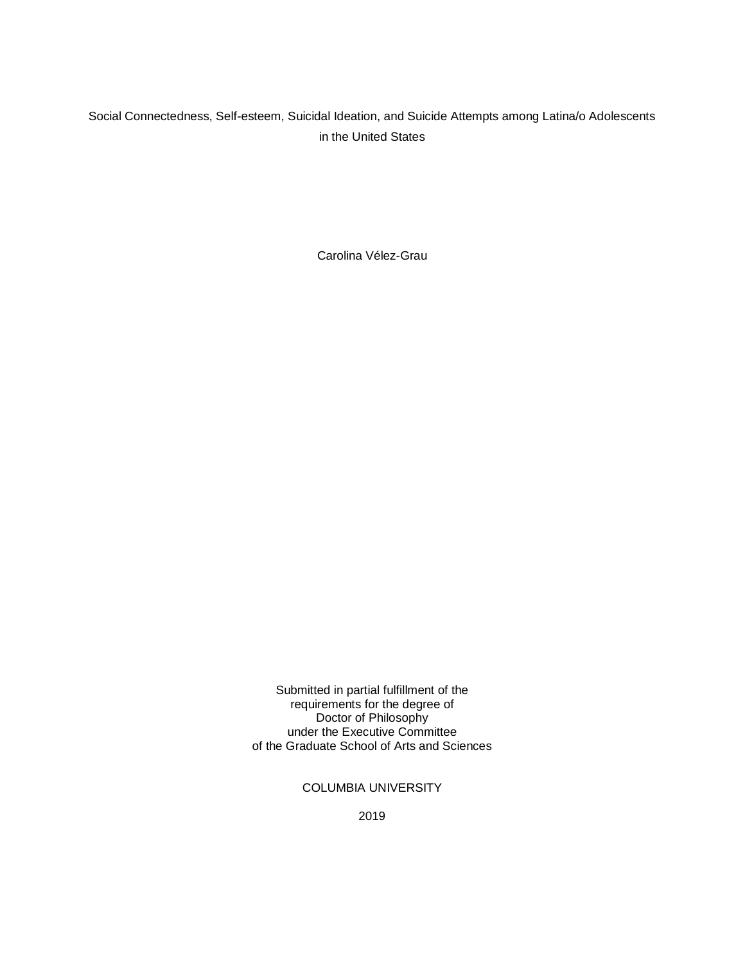# Social Connectedness, Self-esteem, Suicidal Ideation, and Suicide Attempts among Latina/o Adolescents in the United States

Carolina Vélez-Grau

Submitted in partial fulfillment of the requirements for the degree of Doctor of Philosophy under the Executive Committee of the Graduate School of Arts and Sciences

# COLUMBIA UNIVERSITY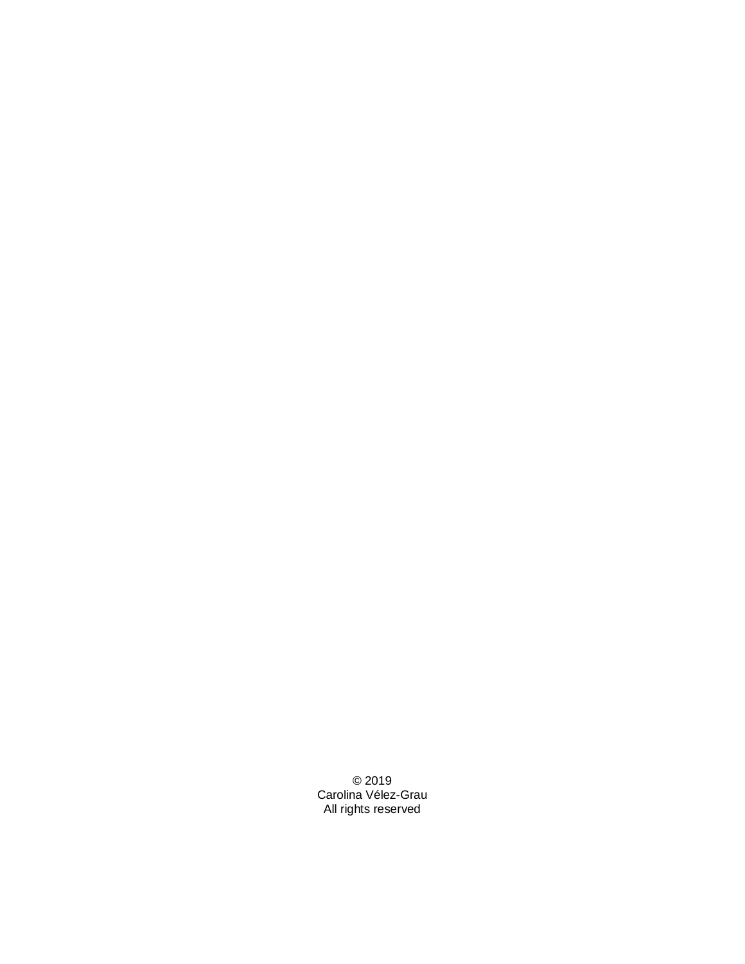© 2019 Carolina Vélez-Grau All rights reserved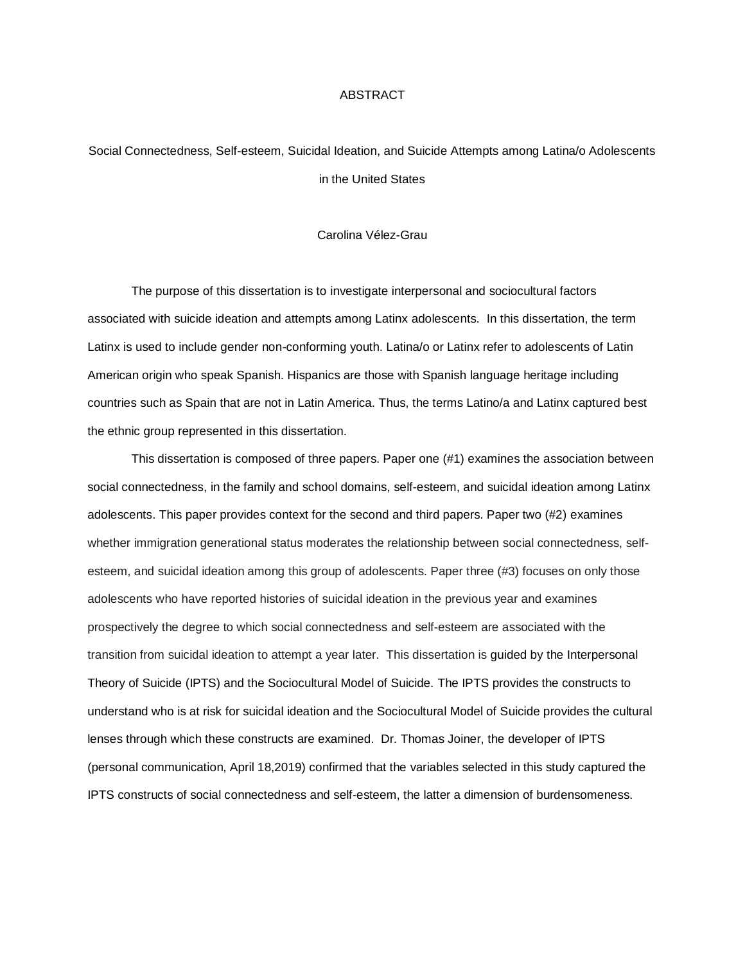#### ABSTRACT

Social Connectedness, Self-esteem, Suicidal Ideation, and Suicide Attempts among Latina/o Adolescents in the United States

#### Carolina Vélez-Grau

The purpose of this dissertation is to investigate interpersonal and sociocultural factors associated with suicide ideation and attempts among Latinx adolescents. In this dissertation, the term Latinx is used to include gender non-conforming youth. Latina/o or Latinx refer to adolescents of Latin American origin who speak Spanish. Hispanics are those with Spanish language heritage including countries such as Spain that are not in Latin America. Thus, the terms Latino/a and Latinx captured best the ethnic group represented in this dissertation.

This dissertation is composed of three papers. Paper one (#1) examines the association between social connectedness, in the family and school domains, self-esteem, and suicidal ideation among Latinx adolescents. This paper provides context for the second and third papers. Paper two (#2) examines whether immigration generational status moderates the relationship between social connectedness, selfesteem, and suicidal ideation among this group of adolescents. Paper three (#3) focuses on only those adolescents who have reported histories of suicidal ideation in the previous year and examines prospectively the degree to which social connectedness and self-esteem are associated with the transition from suicidal ideation to attempt a year later. This dissertation is guided by the Interpersonal Theory of Suicide (IPTS) and the Sociocultural Model of Suicide. The IPTS provides the constructs to understand who is at risk for suicidal ideation and the Sociocultural Model of Suicide provides the cultural lenses through which these constructs are examined. Dr. Thomas Joiner, the developer of IPTS (personal communication, April 18,2019) confirmed that the variables selected in this study captured the IPTS constructs of social connectedness and self-esteem, the latter a dimension of burdensomeness.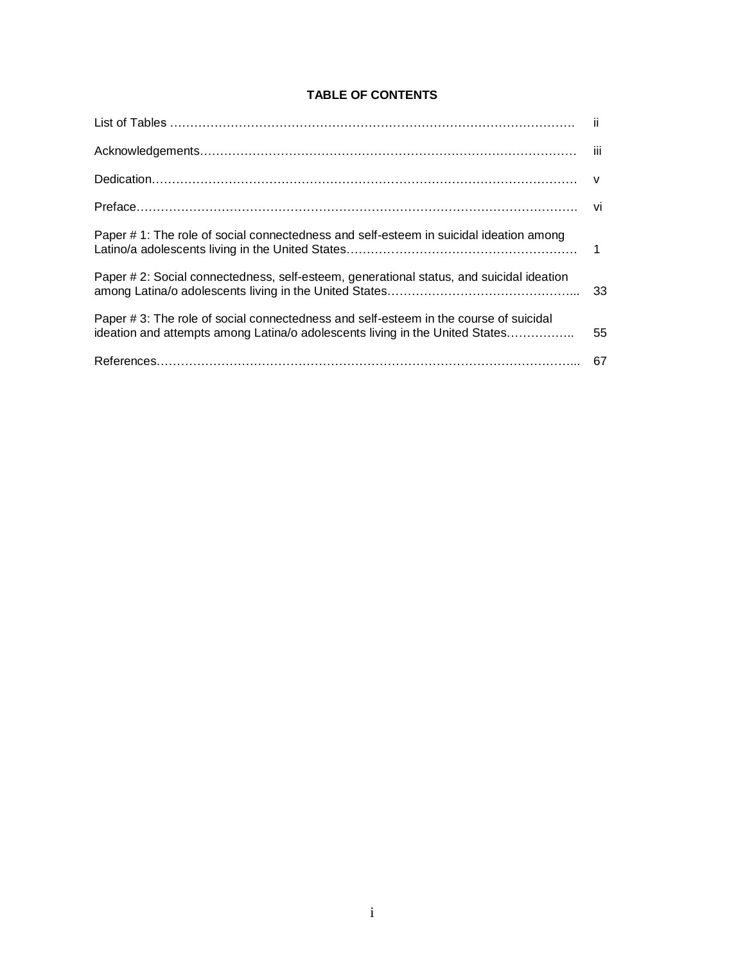# **TABLE OF CONTENTS**

| Paper # 1: The role of social connectedness and self-esteem in suicidal ideation among                                                                                |    |
|-----------------------------------------------------------------------------------------------------------------------------------------------------------------------|----|
| Paper # 2: Social connectedness, self-esteem, generational status, and suicidal ideation                                                                              |    |
| Paper # 3: The role of social connectedness and self-esteem in the course of suicidal<br>ideation and attempts among Latina/o adolescents living in the United States | 55 |
|                                                                                                                                                                       |    |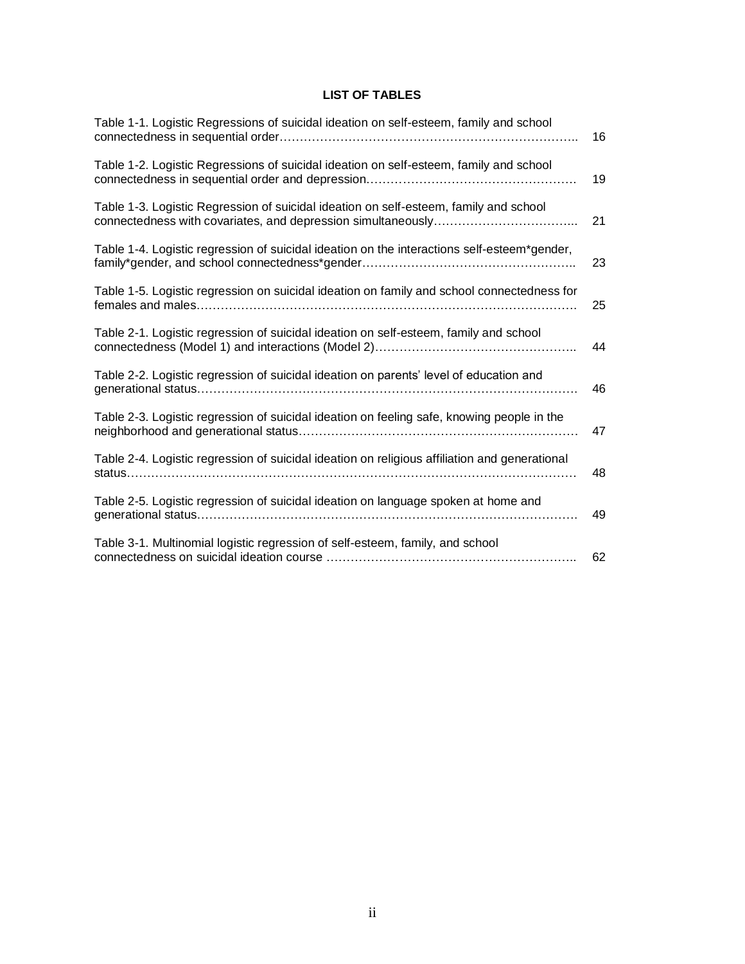# **LIST OF TABLES**

| Table 1-1. Logistic Regressions of suicidal ideation on self-esteem, family and school        | 16 |
|-----------------------------------------------------------------------------------------------|----|
| Table 1-2. Logistic Regressions of suicidal ideation on self-esteem, family and school        | 19 |
| Table 1-3. Logistic Regression of suicidal ideation on self-esteem, family and school         | 21 |
| Table 1-4. Logistic regression of suicidal ideation on the interactions self-esteem*gender,   | 23 |
| Table 1-5. Logistic regression on suicidal ideation on family and school connectedness for    | 25 |
| Table 2-1. Logistic regression of suicidal ideation on self-esteem, family and school         | 44 |
| Table 2-2. Logistic regression of suicidal ideation on parents' level of education and        | 46 |
| Table 2-3. Logistic regression of suicidal ideation on feeling safe, knowing people in the    | 47 |
| Table 2-4. Logistic regression of suicidal ideation on religious affiliation and generational | 48 |
| Table 2-5. Logistic regression of suicidal ideation on language spoken at home and            | 49 |
| Table 3-1. Multinomial logistic regression of self-esteem, family, and school                 | 62 |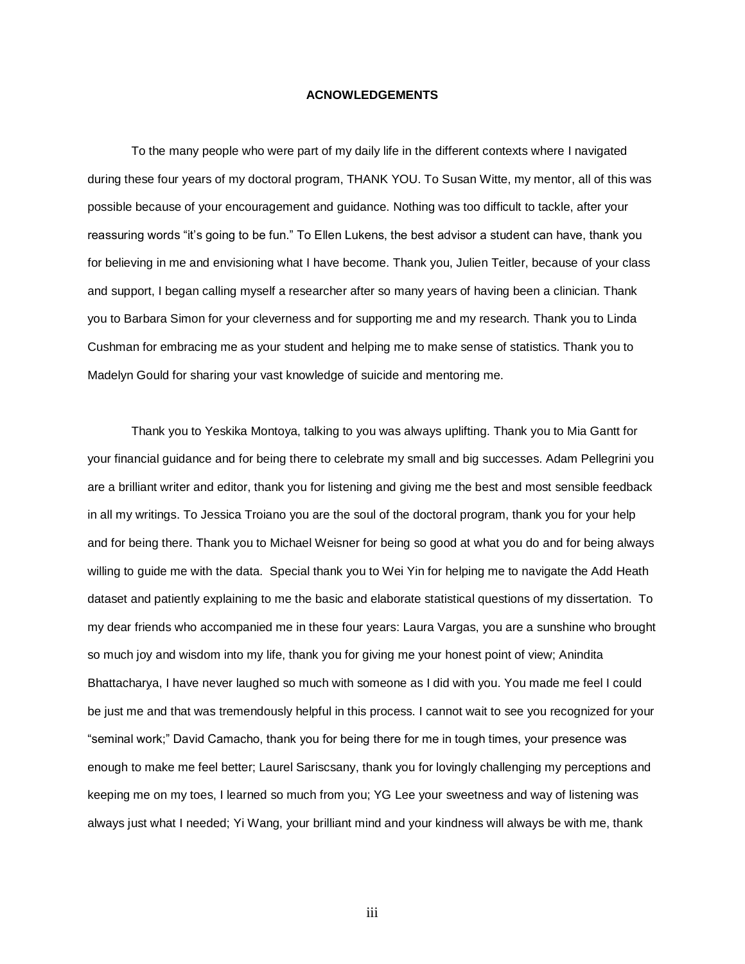#### **ACNOWLEDGEMENTS**

To the many people who were part of my daily life in the different contexts where I navigated during these four years of my doctoral program, THANK YOU. To Susan Witte, my mentor, all of this was possible because of your encouragement and guidance. Nothing was too difficult to tackle, after your reassuring words "it's going to be fun." To Ellen Lukens, the best advisor a student can have, thank you for believing in me and envisioning what I have become. Thank you, Julien Teitler, because of your class and support, I began calling myself a researcher after so many years of having been a clinician. Thank you to Barbara Simon for your cleverness and for supporting me and my research. Thank you to Linda Cushman for embracing me as your student and helping me to make sense of statistics. Thank you to Madelyn Gould for sharing your vast knowledge of suicide and mentoring me.

Thank you to Yeskika Montoya, talking to you was always uplifting. Thank you to Mia Gantt for your financial guidance and for being there to celebrate my small and big successes. Adam Pellegrini you are a brilliant writer and editor, thank you for listening and giving me the best and most sensible feedback in all my writings. To Jessica Troiano you are the soul of the doctoral program, thank you for your help and for being there. Thank you to Michael Weisner for being so good at what you do and for being always willing to guide me with the data. Special thank you to Wei Yin for helping me to navigate the Add Heath dataset and patiently explaining to me the basic and elaborate statistical questions of my dissertation. To my dear friends who accompanied me in these four years: Laura Vargas, you are a sunshine who brought so much joy and wisdom into my life, thank you for giving me your honest point of view; Anindita Bhattacharya, I have never laughed so much with someone as I did with you. You made me feel I could be just me and that was tremendously helpful in this process. I cannot wait to see you recognized for your "seminal work;" David Camacho, thank you for being there for me in tough times, your presence was enough to make me feel better; Laurel Sariscsany, thank you for lovingly challenging my perceptions and keeping me on my toes, I learned so much from you; YG Lee your sweetness and way of listening was always just what I needed; Yi Wang, your brilliant mind and your kindness will always be with me, thank

iii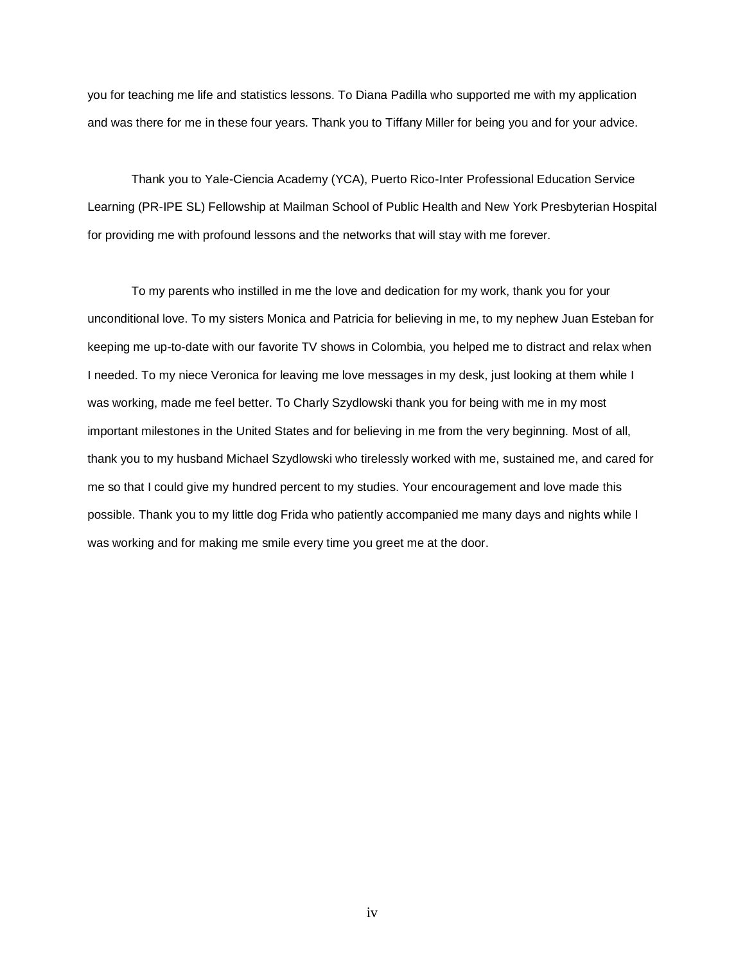you for teaching me life and statistics lessons. To Diana Padilla who supported me with my application and was there for me in these four years. Thank you to Tiffany Miller for being you and for your advice.

Thank you to Yale-Ciencia Academy (YCA), Puerto Rico-Inter Professional Education Service Learning (PR-IPE SL) Fellowship at Mailman School of Public Health and New York Presbyterian Hospital for providing me with profound lessons and the networks that will stay with me forever.

To my parents who instilled in me the love and dedication for my work, thank you for your unconditional love. To my sisters Monica and Patricia for believing in me, to my nephew Juan Esteban for keeping me up-to-date with our favorite TV shows in Colombia, you helped me to distract and relax when I needed. To my niece Veronica for leaving me love messages in my desk, just looking at them while I was working, made me feel better. To Charly Szydlowski thank you for being with me in my most important milestones in the United States and for believing in me from the very beginning. Most of all, thank you to my husband Michael Szydlowski who tirelessly worked with me, sustained me, and cared for me so that I could give my hundred percent to my studies. Your encouragement and love made this possible. Thank you to my little dog Frida who patiently accompanied me many days and nights while I was working and for making me smile every time you greet me at the door.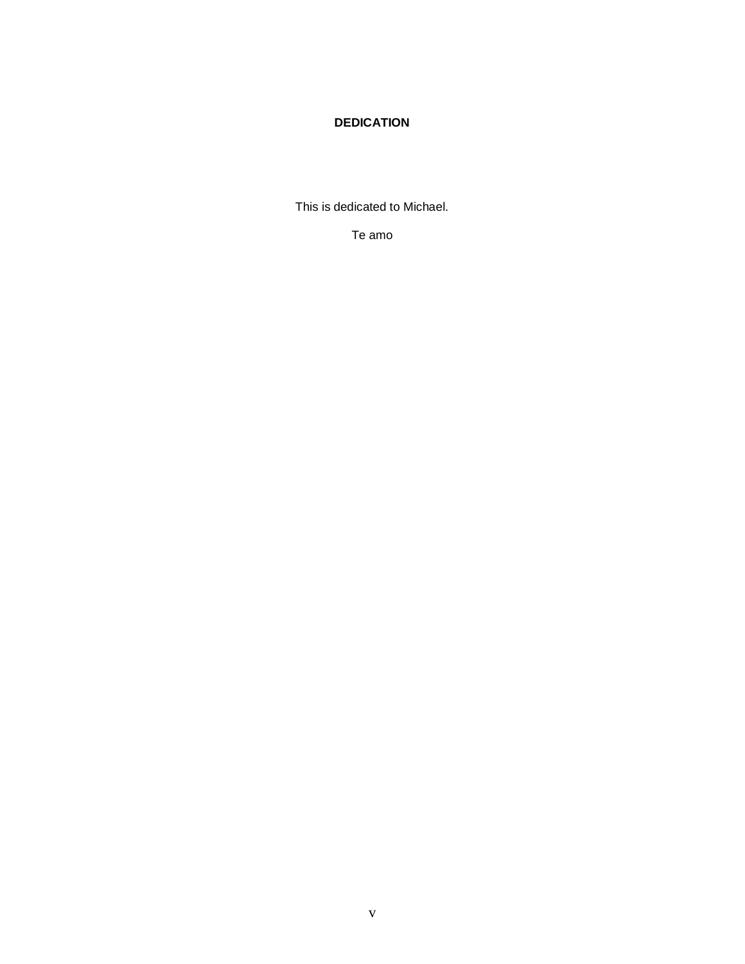# **DEDICATION**

This is dedicated to Michael.

Te amo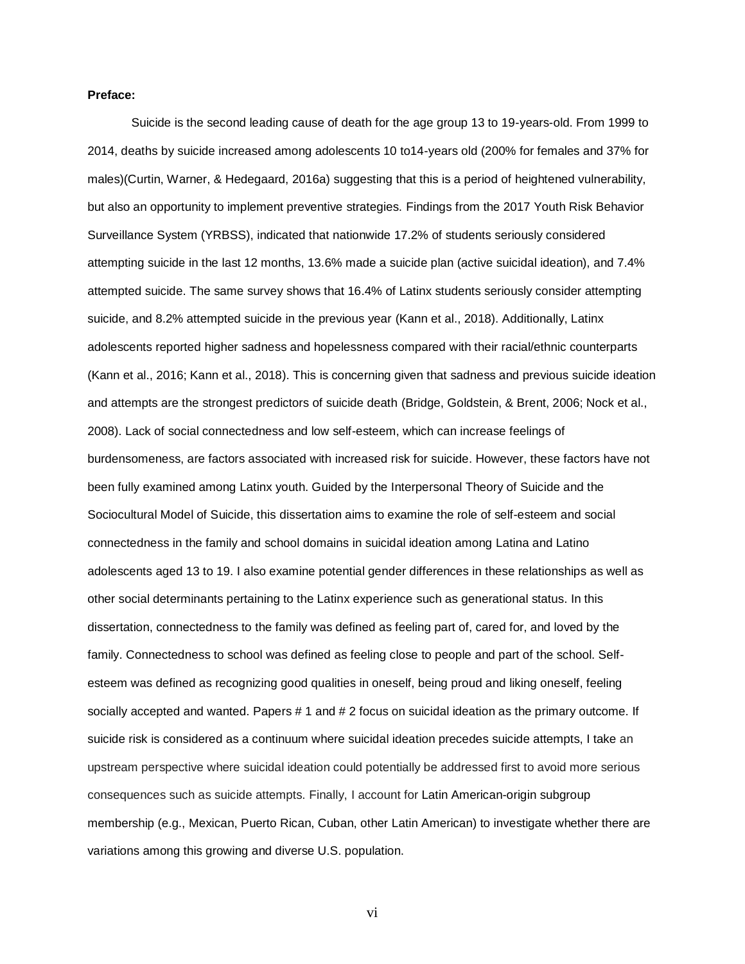#### **Preface:**

Suicide is the second leading cause of death for the age group 13 to 19-years-old. From 1999 to 2014, deaths by suicide increased among adolescents 10 to14-years old (200% for females and 37% for males)(Curtin, Warner, & Hedegaard, 2016a) suggesting that this is a period of heightened vulnerability, but also an opportunity to implement preventive strategies. Findings from the 2017 Youth Risk Behavior Surveillance System (YRBSS), indicated that nationwide 17.2% of students seriously considered attempting suicide in the last 12 months, 13.6% made a suicide plan (active suicidal ideation), and 7.4% attempted suicide. The same survey shows that 16.4% of Latinx students seriously consider attempting suicide, and 8.2% attempted suicide in the previous year (Kann et al., 2018). Additionally, Latinx adolescents reported higher sadness and hopelessness compared with their racial/ethnic counterparts (Kann et al., 2016; Kann et al., 2018). This is concerning given that sadness and previous suicide ideation and attempts are the strongest predictors of suicide death (Bridge, Goldstein, & Brent, 2006; Nock et al., 2008). Lack of social connectedness and low self-esteem, which can increase feelings of burdensomeness, are factors associated with increased risk for suicide. However, these factors have not been fully examined among Latinx youth. Guided by the Interpersonal Theory of Suicide and the Sociocultural Model of Suicide, this dissertation aims to examine the role of self-esteem and social connectedness in the family and school domains in suicidal ideation among Latina and Latino adolescents aged 13 to 19. I also examine potential gender differences in these relationships as well as other social determinants pertaining to the Latinx experience such as generational status. In this dissertation, connectedness to the family was defined as feeling part of, cared for, and loved by the family. Connectedness to school was defined as feeling close to people and part of the school. Selfesteem was defined as recognizing good qualities in oneself, being proud and liking oneself, feeling socially accepted and wanted. Papers # 1 and # 2 focus on suicidal ideation as the primary outcome. If suicide risk is considered as a continuum where suicidal ideation precedes suicide attempts, I take an upstream perspective where suicidal ideation could potentially be addressed first to avoid more serious consequences such as suicide attempts. Finally, I account for Latin American-origin subgroup membership (e.g., Mexican, Puerto Rican, Cuban, other Latin American) to investigate whether there are variations among this growing and diverse U.S. population.

vi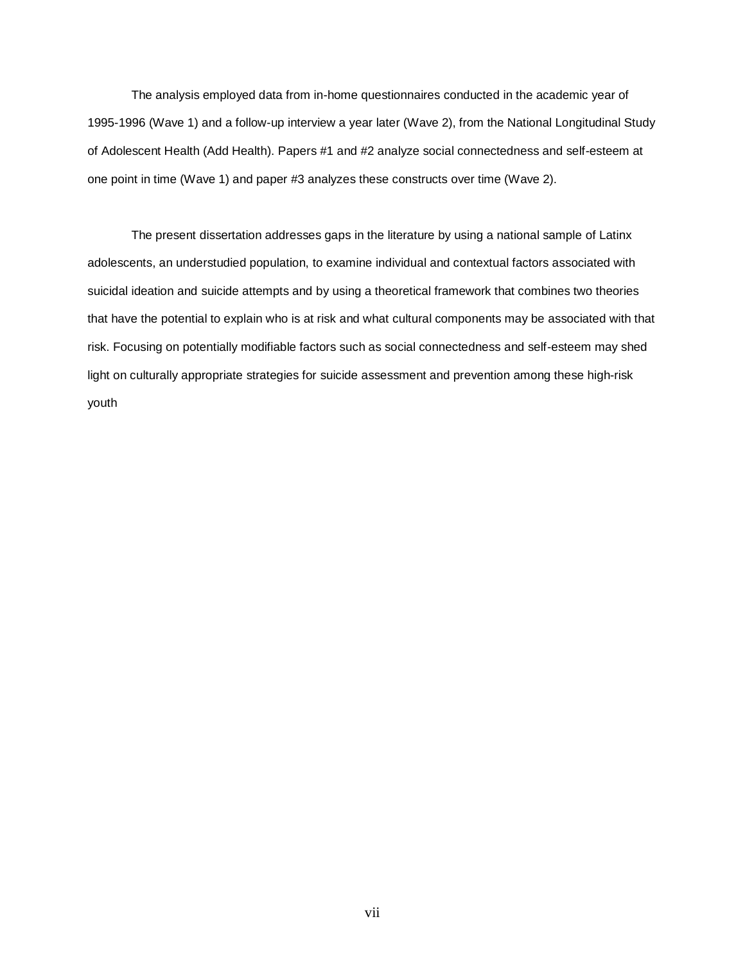The analysis employed data from in-home questionnaires conducted in the academic year of 1995-1996 (Wave 1) and a follow-up interview a year later (Wave 2), from the National Longitudinal Study of Adolescent Health (Add Health). Papers #1 and #2 analyze social connectedness and self-esteem at one point in time (Wave 1) and paper #3 analyzes these constructs over time (Wave 2).

The present dissertation addresses gaps in the literature by using a national sample of Latinx adolescents, an understudied population, to examine individual and contextual factors associated with suicidal ideation and suicide attempts and by using a theoretical framework that combines two theories that have the potential to explain who is at risk and what cultural components may be associated with that risk. Focusing on potentially modifiable factors such as social connectedness and self-esteem may shed light on culturally appropriate strategies for suicide assessment and prevention among these high-risk youth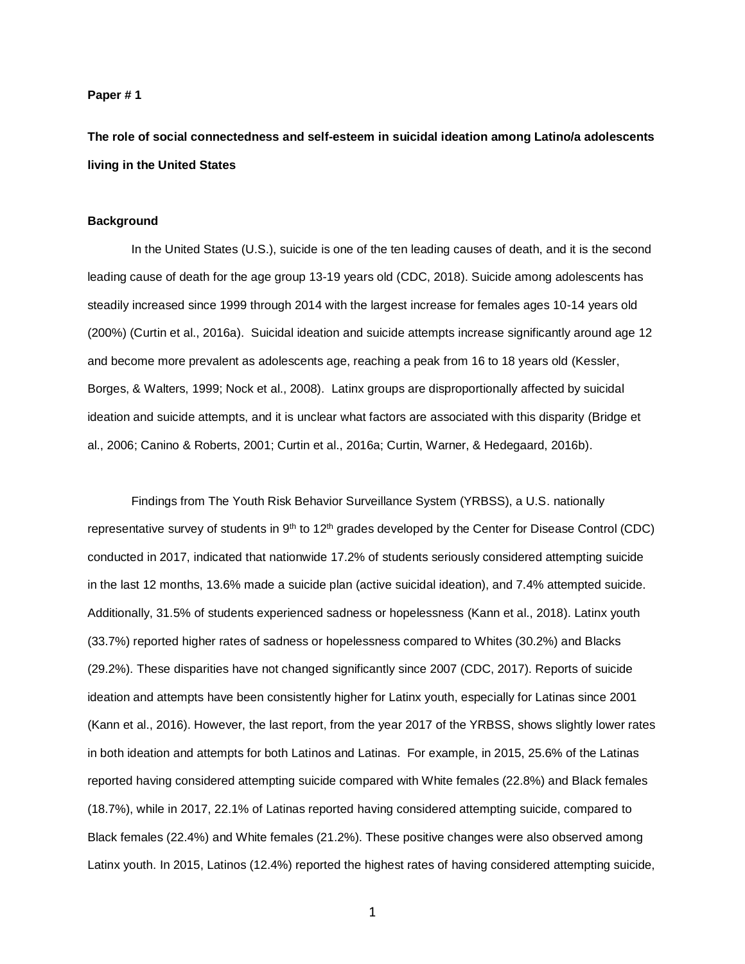#### **Paper # 1**

**The role of social connectedness and self-esteem in suicidal ideation among Latino/a adolescents living in the United States**

#### **Background**

In the United States (U.S.), suicide is one of the ten leading causes of death, and it is the second leading cause of death for the age group 13-19 years old (CDC, 2018). Suicide among adolescents has steadily increased since 1999 through 2014 with the largest increase for females ages 10-14 years old (200%) (Curtin et al., 2016a). Suicidal ideation and suicide attempts increase significantly around age 12 and become more prevalent as adolescents age, reaching a peak from 16 to 18 years old (Kessler, Borges, & Walters, 1999; Nock et al., 2008). Latinx groups are disproportionally affected by suicidal ideation and suicide attempts, and it is unclear what factors are associated with this disparity (Bridge et al., 2006; Canino & Roberts, 2001; Curtin et al., 2016a; Curtin, Warner, & Hedegaard, 2016b).

Findings from The Youth Risk Behavior Surveillance System (YRBSS), a U.S. nationally representative survey of students in 9<sup>th</sup> to 12<sup>th</sup> grades developed by the Center for Disease Control (CDC) conducted in 2017, indicated that nationwide 17.2% of students seriously considered attempting suicide in the last 12 months, 13.6% made a suicide plan (active suicidal ideation), and 7.4% attempted suicide. Additionally, 31.5% of students experienced sadness or hopelessness (Kann et al., 2018). Latinx youth (33.7%) reported higher rates of sadness or hopelessness compared to Whites (30.2%) and Blacks (29.2%). These disparities have not changed significantly since 2007 (CDC, 2017). Reports of suicide ideation and attempts have been consistently higher for Latinx youth, especially for Latinas since 2001 (Kann et al., 2016). However, the last report, from the year 2017 of the YRBSS, shows slightly lower rates in both ideation and attempts for both Latinos and Latinas. For example, in 2015, 25.6% of the Latinas reported having considered attempting suicide compared with White females (22.8%) and Black females (18.7%), while in 2017, 22.1% of Latinas reported having considered attempting suicide, compared to Black females (22.4%) and White females (21.2%). These positive changes were also observed among Latinx youth. In 2015, Latinos (12.4%) reported the highest rates of having considered attempting suicide,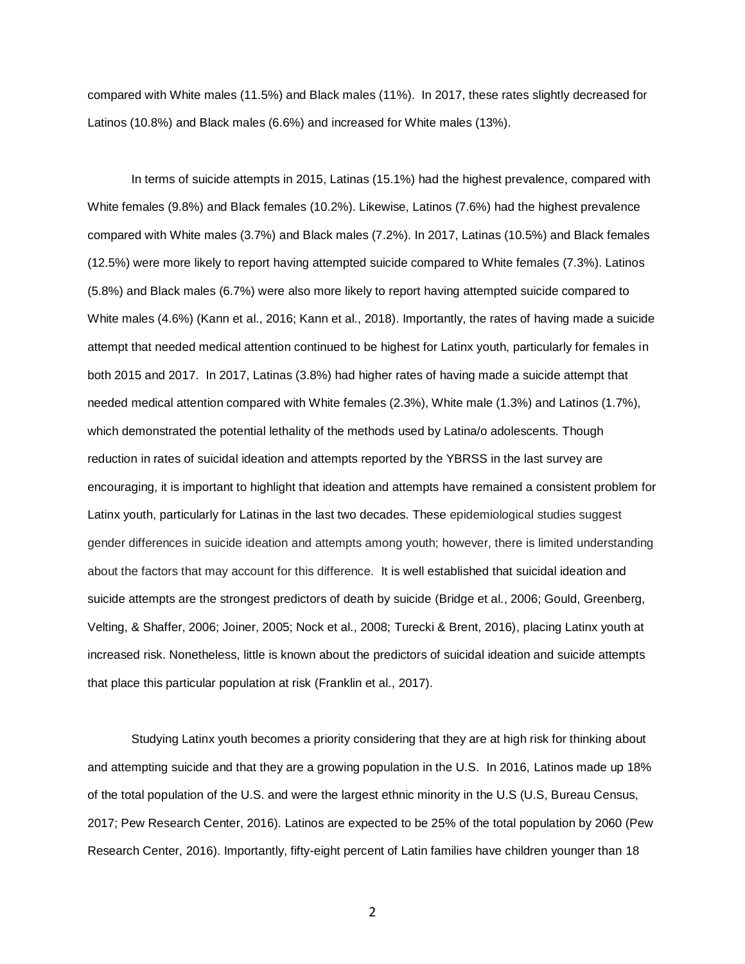compared with White males (11.5%) and Black males (11%). In 2017, these rates slightly decreased for Latinos (10.8%) and Black males (6.6%) and increased for White males (13%).

In terms of suicide attempts in 2015, Latinas (15.1%) had the highest prevalence, compared with White females (9.8%) and Black females (10.2%). Likewise, Latinos (7.6%) had the highest prevalence compared with White males (3.7%) and Black males (7.2%). In 2017, Latinas (10.5%) and Black females (12.5%) were more likely to report having attempted suicide compared to White females (7.3%). Latinos (5.8%) and Black males (6.7%) were also more likely to report having attempted suicide compared to White males (4.6%) (Kann et al., 2016; Kann et al., 2018). Importantly, the rates of having made a suicide attempt that needed medical attention continued to be highest for Latinx youth, particularly for females in both 2015 and 2017. In 2017, Latinas (3.8%) had higher rates of having made a suicide attempt that needed medical attention compared with White females (2.3%), White male (1.3%) and Latinos (1.7%), which demonstrated the potential lethality of the methods used by Latina/o adolescents. Though reduction in rates of suicidal ideation and attempts reported by the YBRSS in the last survey are encouraging, it is important to highlight that ideation and attempts have remained a consistent problem for Latinx youth, particularly for Latinas in the last two decades. These epidemiological studies suggest gender differences in suicide ideation and attempts among youth; however, there is limited understanding about the factors that may account for this difference. It is well established that suicidal ideation and suicide attempts are the strongest predictors of death by suicide (Bridge et al., 2006; Gould, Greenberg, Velting, & Shaffer, 2006; Joiner, 2005; Nock et al., 2008; Turecki & Brent, 2016), placing Latinx youth at increased risk. Nonetheless, little is known about the predictors of suicidal ideation and suicide attempts that place this particular population at risk (Franklin et al., 2017).

Studying Latinx youth becomes a priority considering that they are at high risk for thinking about and attempting suicide and that they are a growing population in the U.S. In 2016, Latinos made up 18% of the total population of the U.S. and were the largest ethnic minority in the U.S (U.S, Bureau Census, 2017; Pew Research Center, 2016). Latinos are expected to be 25% of the total population by 2060 (Pew Research Center, 2016). Importantly, fifty-eight percent of Latin families have children younger than 18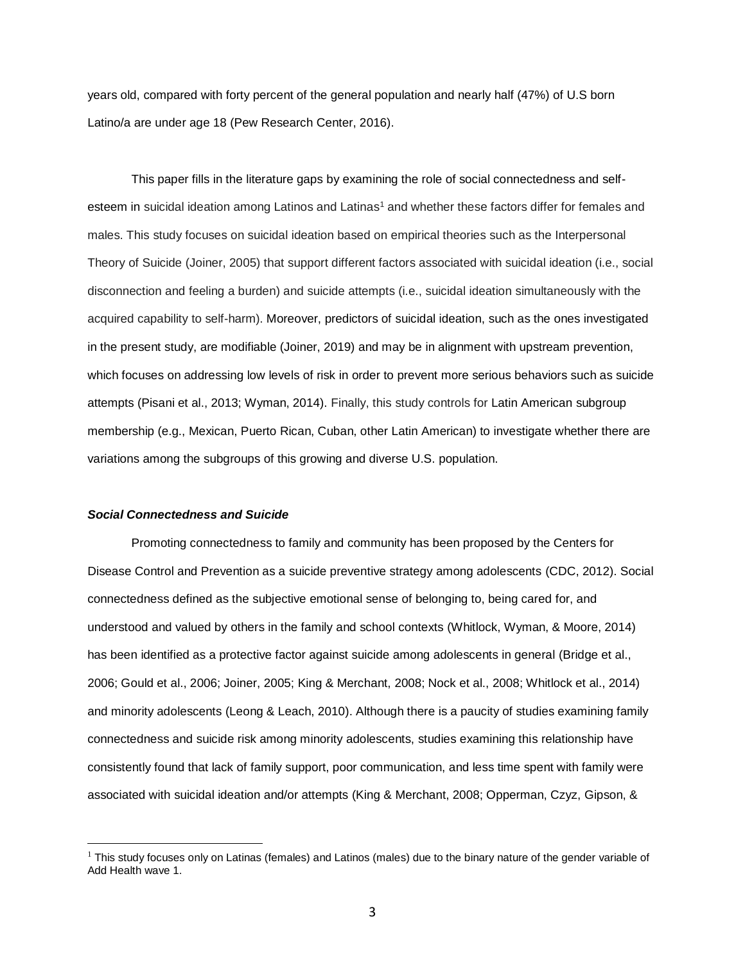years old, compared with forty percent of the general population and nearly half (47%) of U.S born Latino/a are under age 18 (Pew Research Center, 2016).

This paper fills in the literature gaps by examining the role of social connectedness and selfesteem in suicidal ideation among Latinos and Latinas<sup>1</sup> and whether these factors differ for females and males. This study focuses on suicidal ideation based on empirical theories such as the Interpersonal Theory of Suicide (Joiner, 2005) that support different factors associated with suicidal ideation (i.e., social disconnection and feeling a burden) and suicide attempts (i.e., suicidal ideation simultaneously with the acquired capability to self-harm). Moreover, predictors of suicidal ideation, such as the ones investigated in the present study, are modifiable (Joiner, 2019) and may be in alignment with upstream prevention, which focuses on addressing low levels of risk in order to prevent more serious behaviors such as suicide attempts (Pisani et al., 2013; Wyman, 2014). Finally, this study controls for Latin American subgroup membership (e.g., Mexican, Puerto Rican, Cuban, other Latin American) to investigate whether there are variations among the subgroups of this growing and diverse U.S. population.

## *Social Connectedness and Suicide*

Promoting connectedness to family and community has been proposed by the Centers for Disease Control and Prevention as a suicide preventive strategy among adolescents (CDC, 2012). Social connectedness defined as the subjective emotional sense of belonging to, being cared for, and understood and valued by others in the family and school contexts (Whitlock, Wyman, & Moore, 2014) has been identified as a protective factor against suicide among adolescents in general (Bridge et al., 2006; Gould et al., 2006; Joiner, 2005; King & Merchant, 2008; Nock et al., 2008; Whitlock et al., 2014) and minority adolescents (Leong & Leach, 2010). Although there is a paucity of studies examining family connectedness and suicide risk among minority adolescents, studies examining this relationship have consistently found that lack of family support, poor communication, and less time spent with family were associated with suicidal ideation and/or attempts (King & Merchant, 2008; Opperman, Czyz, Gipson, &

 $<sup>1</sup>$  This study focuses only on Latinas (females) and Latinos (males) due to the binary nature of the gender variable of</sup> Add Health wave 1.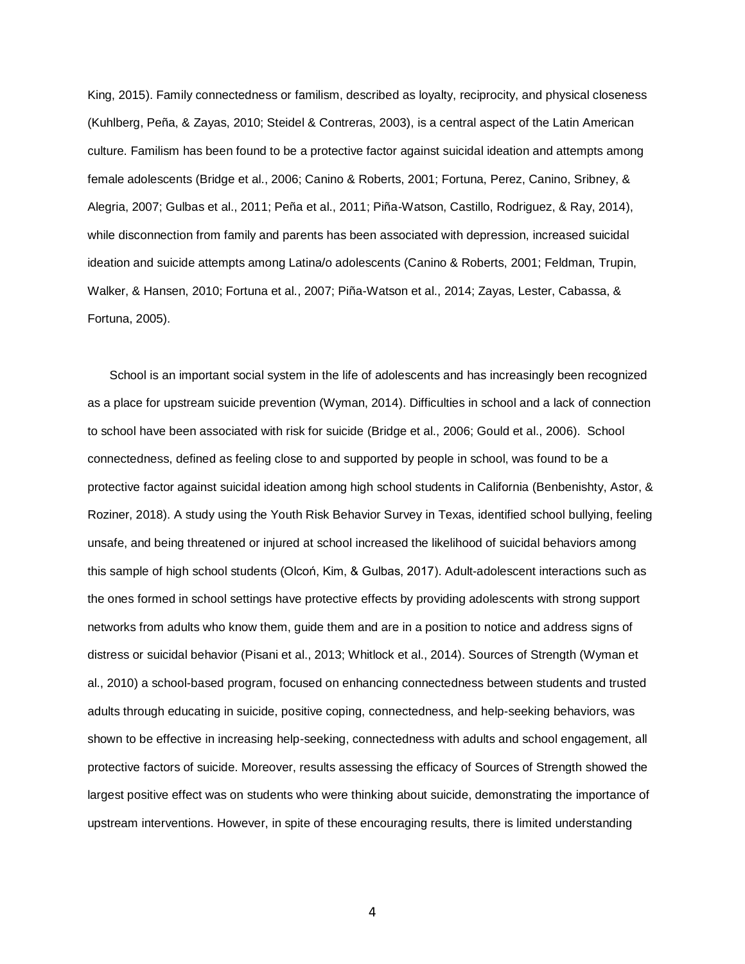King, 2015). Family connectedness or familism, described as loyalty, reciprocity, and physical closeness (Kuhlberg, Peña, & Zayas, 2010; Steidel & Contreras, 2003), is a central aspect of the Latin American culture. Familism has been found to be a protective factor against suicidal ideation and attempts among female adolescents (Bridge et al., 2006; Canino & Roberts, 2001; Fortuna, Perez, Canino, Sribney, & Alegria, 2007; Gulbas et al., 2011; Peña et al., 2011; Piña-Watson, Castillo, Rodriguez, & Ray, 2014), while disconnection from family and parents has been associated with depression, increased suicidal ideation and suicide attempts among Latina/o adolescents (Canino & Roberts, 2001; Feldman, Trupin, Walker, & Hansen, 2010; Fortuna et al., 2007; Piña-Watson et al., 2014; Zayas, Lester, Cabassa, & Fortuna, 2005).

School is an important social system in the life of adolescents and has increasingly been recognized as a place for upstream suicide prevention (Wyman, 2014). Difficulties in school and a lack of connection to school have been associated with risk for suicide (Bridge et al., 2006; Gould et al., 2006). School connectedness, defined as feeling close to and supported by people in school, was found to be a protective factor against suicidal ideation among high school students in California (Benbenishty, Astor, & Roziner, 2018). A study using the Youth Risk Behavior Survey in Texas, identified school bullying, feeling unsafe, and being threatened or injured at school increased the likelihood of suicidal behaviors among this sample of high school students (Olcoń, Kim, & Gulbas, 2017). Adult-adolescent interactions such as the ones formed in school settings have protective effects by providing adolescents with strong support networks from adults who know them, guide them and are in a position to notice and address signs of distress or suicidal behavior (Pisani et al., 2013; Whitlock et al., 2014). Sources of Strength (Wyman et al., 2010) a school-based program, focused on enhancing connectedness between students and trusted adults through educating in suicide, positive coping, connectedness, and help-seeking behaviors, was shown to be effective in increasing help-seeking, connectedness with adults and school engagement, all protective factors of suicide. Moreover, results assessing the efficacy of Sources of Strength showed the largest positive effect was on students who were thinking about suicide, demonstrating the importance of upstream interventions. However, in spite of these encouraging results, there is limited understanding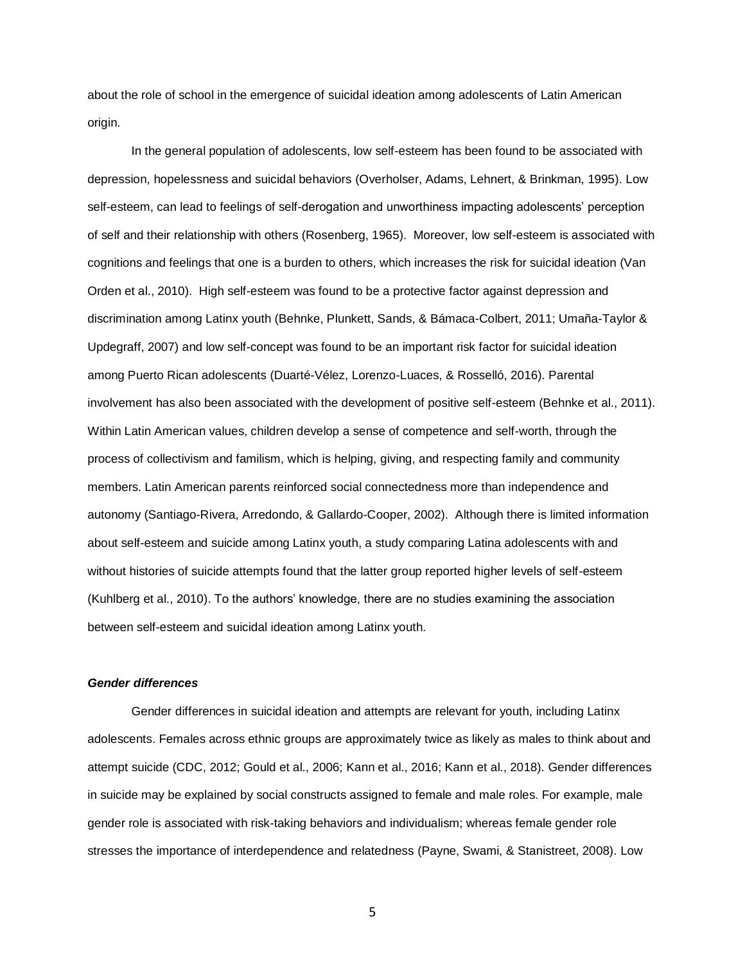about the role of school in the emergence of suicidal ideation among adolescents of Latin American origin.

In the general population of adolescents, low self-esteem has been found to be associated with depression, hopelessness and suicidal behaviors (Overholser, Adams, Lehnert, & Brinkman, 1995). Low self-esteem, can lead to feelings of self-derogation and unworthiness impacting adolescents' perception of self and their relationship with others (Rosenberg, 1965). Moreover, low self-esteem is associated with cognitions and feelings that one is a burden to others, which increases the risk for suicidal ideation (Van Orden et al., 2010). High self-esteem was found to be a protective factor against depression and discrimination among Latinx youth (Behnke, Plunkett, Sands, & Bámaca-Colbert, 2011; Umaña-Taylor & Updegraff, 2007) and low self-concept was found to be an important risk factor for suicidal ideation among Puerto Rican adolescents (Duarté-Vélez, Lorenzo-Luaces, & Rosselló, 2016). Parental involvement has also been associated with the development of positive self-esteem (Behnke et al., 2011). Within Latin American values, children develop a sense of competence and self-worth, through the process of collectivism and familism, which is helping, giving, and respecting family and community members. Latin American parents reinforced social connectedness more than independence and autonomy (Santiago-Rivera, Arredondo, & Gallardo-Cooper, 2002). Although there is limited information about self-esteem and suicide among Latinx youth, a study comparing Latina adolescents with and without histories of suicide attempts found that the latter group reported higher levels of self-esteem (Kuhlberg et al., 2010). To the authors' knowledge, there are no studies examining the association between self-esteem and suicidal ideation among Latinx youth.

# *Gender differences*

Gender differences in suicidal ideation and attempts are relevant for youth, including Latinx adolescents. Females across ethnic groups are approximately twice as likely as males to think about and attempt suicide (CDC, 2012; Gould et al., 2006; Kann et al., 2016; Kann et al., 2018). Gender differences in suicide may be explained by social constructs assigned to female and male roles. For example, male gender role is associated with risk-taking behaviors and individualism; whereas female gender role stresses the importance of interdependence and relatedness (Payne, Swami, & Stanistreet, 2008). Low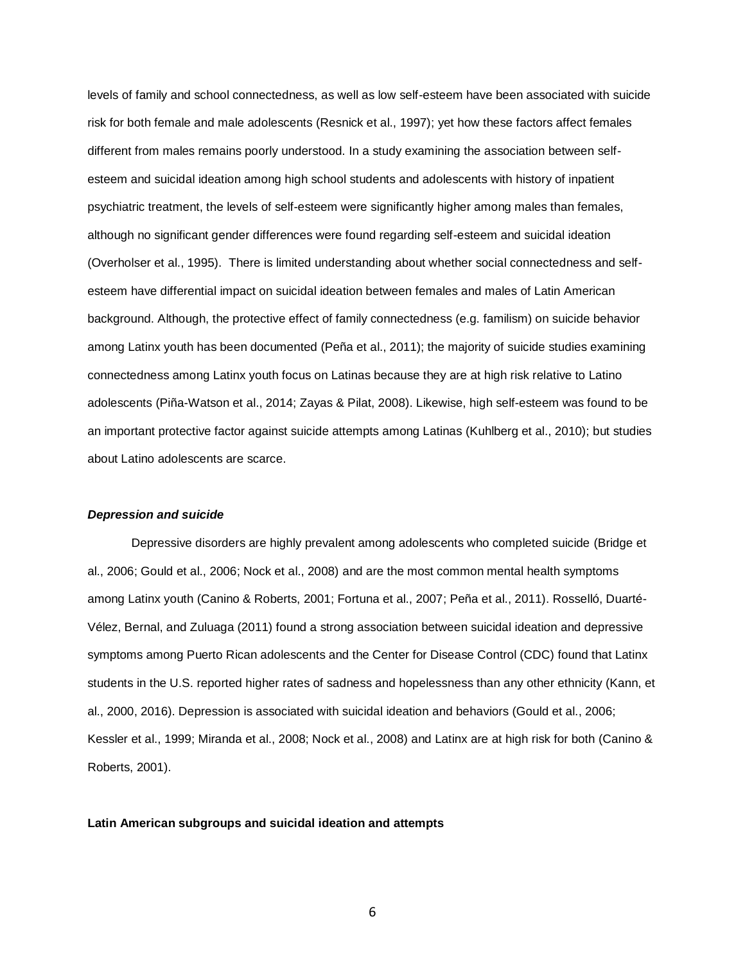levels of family and school connectedness, as well as low self-esteem have been associated with suicide risk for both female and male adolescents (Resnick et al., 1997); yet how these factors affect females different from males remains poorly understood. In a study examining the association between selfesteem and suicidal ideation among high school students and adolescents with history of inpatient psychiatric treatment, the levels of self-esteem were significantly higher among males than females, although no significant gender differences were found regarding self-esteem and suicidal ideation (Overholser et al., 1995). There is limited understanding about whether social connectedness and selfesteem have differential impact on suicidal ideation between females and males of Latin American background. Although, the protective effect of family connectedness (e.g. familism) on suicide behavior among Latinx youth has been documented (Peña et al., 2011); the majority of suicide studies examining connectedness among Latinx youth focus on Latinas because they are at high risk relative to Latino adolescents (Piña-Watson et al., 2014; Zayas & Pilat, 2008). Likewise, high self-esteem was found to be an important protective factor against suicide attempts among Latinas (Kuhlberg et al., 2010); but studies about Latino adolescents are scarce.

#### *Depression and suicide*

Depressive disorders are highly prevalent among adolescents who completed suicide (Bridge et al., 2006; Gould et al., 2006; Nock et al., 2008) and are the most common mental health symptoms among Latinx youth (Canino & Roberts, 2001; Fortuna et al., 2007; Peña et al., 2011). Rosselló, Duarté-Vélez, Bernal, and Zuluaga (2011) found a strong association between suicidal ideation and depressive symptoms among Puerto Rican adolescents and the Center for Disease Control (CDC) found that Latinx students in the U.S. reported higher rates of sadness and hopelessness than any other ethnicity (Kann, et al., 2000, 2016). Depression is associated with suicidal ideation and behaviors (Gould et al., 2006; Kessler et al., 1999; Miranda et al., 2008; Nock et al., 2008) and Latinx are at high risk for both (Canino & Roberts, 2001).

#### **Latin American subgroups and suicidal ideation and attempts**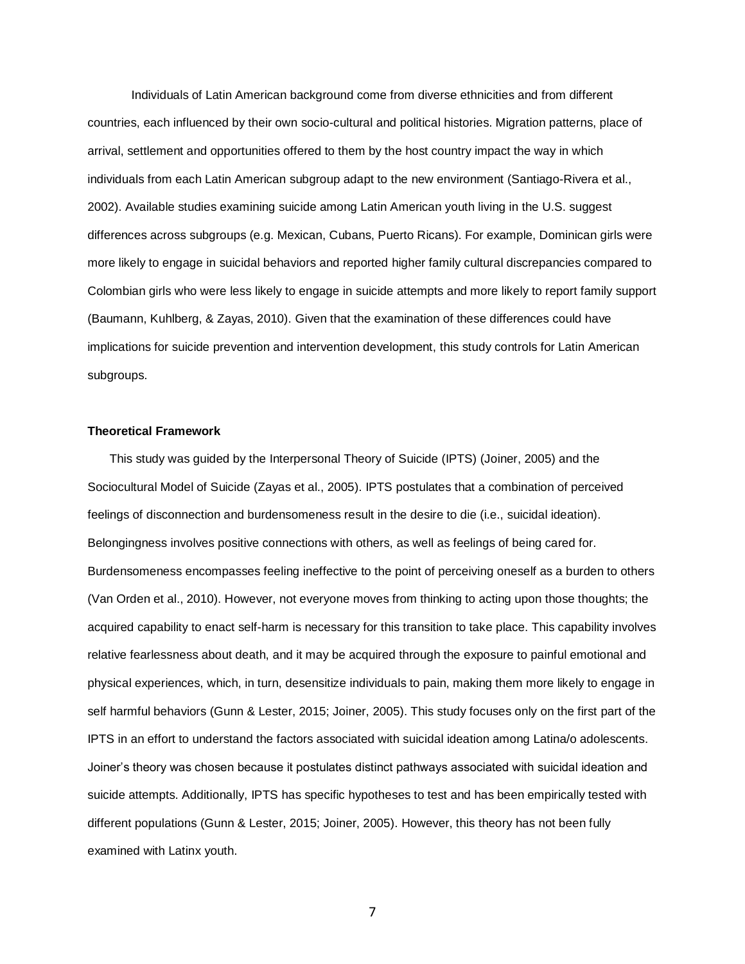Individuals of Latin American background come from diverse ethnicities and from different countries, each influenced by their own socio-cultural and political histories. Migration patterns, place of arrival, settlement and opportunities offered to them by the host country impact the way in which individuals from each Latin American subgroup adapt to the new environment (Santiago-Rivera et al., 2002). Available studies examining suicide among Latin American youth living in the U.S. suggest differences across subgroups (e.g. Mexican, Cubans, Puerto Ricans). For example, Dominican girls were more likely to engage in suicidal behaviors and reported higher family cultural discrepancies compared to Colombian girls who were less likely to engage in suicide attempts and more likely to report family support (Baumann, Kuhlberg, & Zayas, 2010). Given that the examination of these differences could have implications for suicide prevention and intervention development, this study controls for Latin American subgroups.

#### **Theoretical Framework**

This study was guided by the Interpersonal Theory of Suicide (IPTS) (Joiner, 2005) and the Sociocultural Model of Suicide (Zayas et al., 2005). IPTS postulates that a combination of perceived feelings of disconnection and burdensomeness result in the desire to die (i.e., suicidal ideation). Belongingness involves positive connections with others, as well as feelings of being cared for. Burdensomeness encompasses feeling ineffective to the point of perceiving oneself as a burden to others (Van Orden et al., 2010). However, not everyone moves from thinking to acting upon those thoughts; the acquired capability to enact self-harm is necessary for this transition to take place. This capability involves relative fearlessness about death, and it may be acquired through the exposure to painful emotional and physical experiences, which, in turn, desensitize individuals to pain, making them more likely to engage in self harmful behaviors (Gunn & Lester, 2015; Joiner, 2005). This study focuses only on the first part of the IPTS in an effort to understand the factors associated with suicidal ideation among Latina/o adolescents. Joiner's theory was chosen because it postulates distinct pathways associated with suicidal ideation and suicide attempts. Additionally, IPTS has specific hypotheses to test and has been empirically tested with different populations (Gunn & Lester, 2015; Joiner, 2005). However, this theory has not been fully examined with Latinx youth.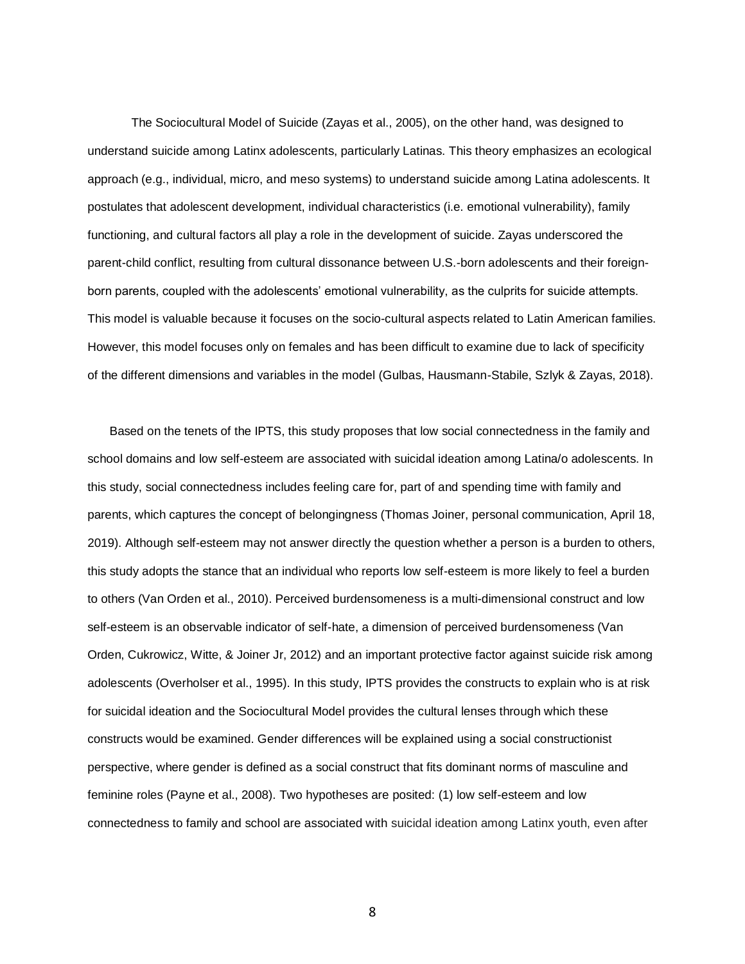The Sociocultural Model of Suicide (Zayas et al., 2005), on the other hand, was designed to understand suicide among Latinx adolescents, particularly Latinas. This theory emphasizes an ecological approach (e.g., individual, micro, and meso systems) to understand suicide among Latina adolescents. It postulates that adolescent development, individual characteristics (i.e. emotional vulnerability), family functioning, and cultural factors all play a role in the development of suicide. Zayas underscored the parent-child conflict, resulting from cultural dissonance between U.S.-born adolescents and their foreignborn parents, coupled with the adolescents' emotional vulnerability, as the culprits for suicide attempts. This model is valuable because it focuses on the socio-cultural aspects related to Latin American families. However, this model focuses only on females and has been difficult to examine due to lack of specificity of the different dimensions and variables in the model (Gulbas, Hausmann-Stabile, Szlyk & Zayas, 2018).

Based on the tenets of the IPTS, this study proposes that low social connectedness in the family and school domains and low self-esteem are associated with suicidal ideation among Latina/o adolescents. In this study, social connectedness includes feeling care for, part of and spending time with family and parents, which captures the concept of belongingness (Thomas Joiner, personal communication, April 18, 2019). Although self-esteem may not answer directly the question whether a person is a burden to others, this study adopts the stance that an individual who reports low self-esteem is more likely to feel a burden to others (Van Orden et al., 2010). Perceived burdensomeness is a multi-dimensional construct and low self-esteem is an observable indicator of self-hate, a dimension of perceived burdensomeness (Van Orden, Cukrowicz, Witte, & Joiner Jr, 2012) and an important protective factor against suicide risk among adolescents (Overholser et al., 1995). In this study, IPTS provides the constructs to explain who is at risk for suicidal ideation and the Sociocultural Model provides the cultural lenses through which these constructs would be examined. Gender differences will be explained using a social constructionist perspective, where gender is defined as a social construct that fits dominant norms of masculine and feminine roles (Payne et al., 2008). Two hypotheses are posited: (1) low self-esteem and low connectedness to family and school are associated with suicidal ideation among Latinx youth, even after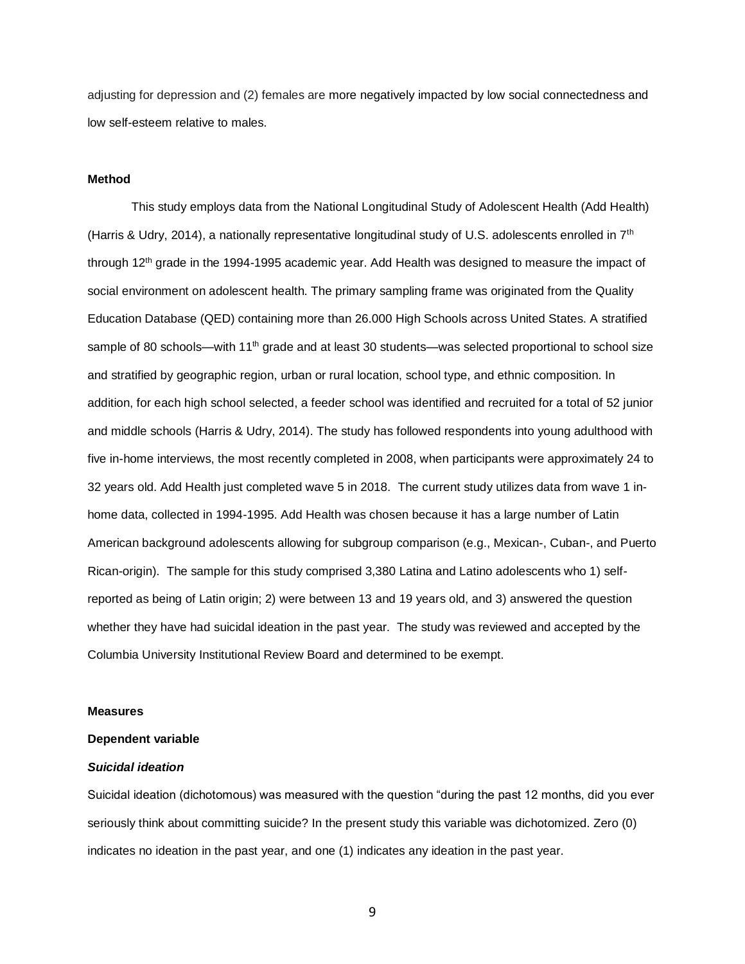adjusting for depression and (2) females are more negatively impacted by low social connectedness and low self-esteem relative to males.

#### **Method**

This study employs data from the National Longitudinal Study of Adolescent Health (Add Health) (Harris & Udry, 2014), a nationally representative longitudinal study of U.S. adolescents enrolled in 7<sup>th</sup> through 12<sup>th</sup> grade in the 1994-1995 academic year. Add Health was designed to measure the impact of social environment on adolescent health. The primary sampling frame was originated from the Quality Education Database (QED) containing more than 26.000 High Schools across United States. A stratified sample of 80 schools—with 11<sup>th</sup> grade and at least 30 students—was selected proportional to school size and stratified by geographic region, urban or rural location, school type, and ethnic composition. In addition, for each high school selected, a feeder school was identified and recruited for a total of 52 junior and middle schools (Harris & Udry, 2014). The study has followed respondents into young adulthood with five in-home interviews, the most recently completed in 2008, when participants were approximately 24 to 32 years old. Add Health just completed wave 5 in 2018. The current study utilizes data from wave 1 inhome data, collected in 1994-1995. Add Health was chosen because it has a large number of Latin American background adolescents allowing for subgroup comparison (e.g., Mexican-, Cuban-, and Puerto Rican-origin). The sample for this study comprised 3,380 Latina and Latino adolescents who 1) selfreported as being of Latin origin; 2) were between 13 and 19 years old, and 3) answered the question whether they have had suicidal ideation in the past year. The study was reviewed and accepted by the Columbia University Institutional Review Board and determined to be exempt.

#### **Measures**

#### **Dependent variable**

#### *Suicidal ideation*

Suicidal ideation (dichotomous) was measured with the question "during the past 12 months, did you ever seriously think about committing suicide? In the present study this variable was dichotomized. Zero (0) indicates no ideation in the past year, and one (1) indicates any ideation in the past year.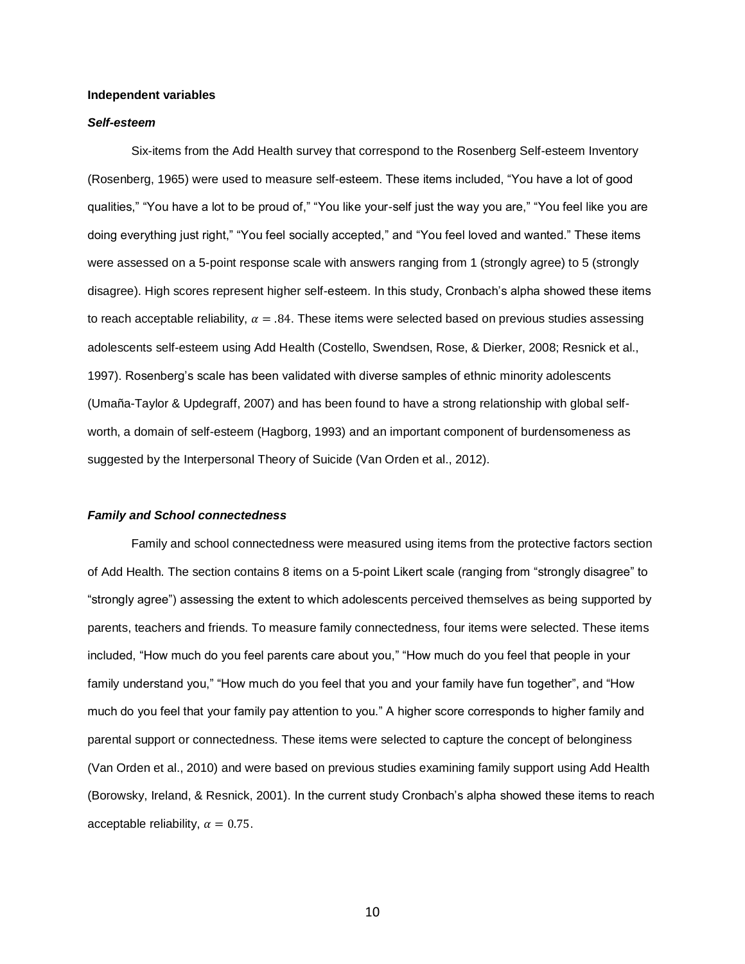#### **Independent variables**

#### *Self-esteem*

Six-items from the Add Health survey that correspond to the Rosenberg Self-esteem Inventory (Rosenberg, 1965) were used to measure self-esteem. These items included, "You have a lot of good qualities," "You have a lot to be proud of," "You like your-self just the way you are," "You feel like you are doing everything just right," "You feel socially accepted," and "You feel loved and wanted." These items were assessed on a 5-point response scale with answers ranging from 1 (strongly agree) to 5 (strongly disagree). High scores represent higher self-esteem. In this study, Cronbach's alpha showed these items to reach acceptable reliability,  $\alpha = .84$ . These items were selected based on previous studies assessing adolescents self-esteem using Add Health (Costello, Swendsen, Rose, & Dierker, 2008; Resnick et al., 1997). Rosenberg's scale has been validated with diverse samples of ethnic minority adolescents (Umaña-Taylor & Updegraff, 2007) and has been found to have a strong relationship with global selfworth, a domain of self-esteem (Hagborg, 1993) and an important component of burdensomeness as suggested by the Interpersonal Theory of Suicide (Van Orden et al., 2012).

#### *Family and School connectedness*

Family and school connectedness were measured using items from the protective factors section of Add Health. The section contains 8 items on a 5-point Likert scale (ranging from "strongly disagree" to "strongly agree") assessing the extent to which adolescents perceived themselves as being supported by parents, teachers and friends. To measure family connectedness, four items were selected. These items included, "How much do you feel parents care about you," "How much do you feel that people in your family understand you," "How much do you feel that you and your family have fun together", and "How much do you feel that your family pay attention to you." A higher score corresponds to higher family and parental support or connectedness. These items were selected to capture the concept of belonginess (Van Orden et al., 2010) and were based on previous studies examining family support using Add Health (Borowsky, Ireland, & Resnick, 2001). In the current study Cronbach's alpha showed these items to reach acceptable reliability,  $\alpha = 0.75$ .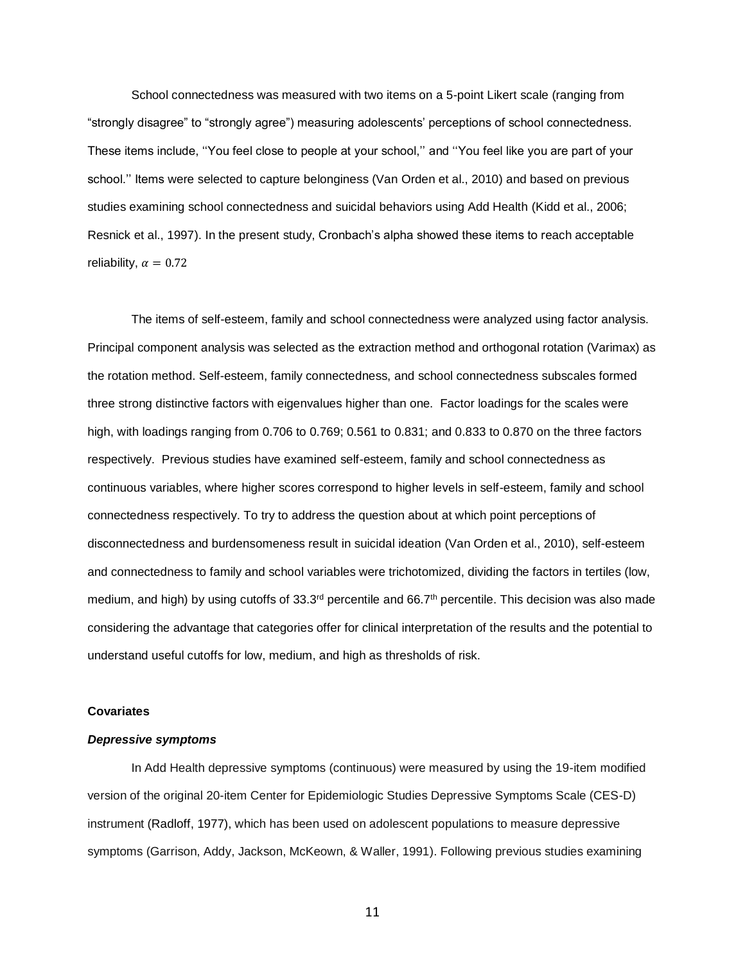School connectedness was measured with two items on a 5-point Likert scale (ranging from "strongly disagree" to "strongly agree") measuring adolescents' perceptions of school connectedness. These items include, ''You feel close to people at your school,'' and ''You feel like you are part of your school.'' Items were selected to capture belonginess (Van Orden et al., 2010) and based on previous studies examining school connectedness and suicidal behaviors using Add Health (Kidd et al., 2006; Resnick et al., 1997). In the present study, Cronbach's alpha showed these items to reach acceptable reliability,  $\alpha = 0.72$ 

The items of self-esteem, family and school connectedness were analyzed using factor analysis. Principal component analysis was selected as the extraction method and orthogonal rotation (Varimax) as the rotation method. Self-esteem, family connectedness, and school connectedness subscales formed three strong distinctive factors with eigenvalues higher than one. Factor loadings for the scales were high, with loadings ranging from 0.706 to 0.769; 0.561 to 0.831; and 0.833 to 0.870 on the three factors respectively. Previous studies have examined self-esteem, family and school connectedness as continuous variables, where higher scores correspond to higher levels in self-esteem, family and school connectedness respectively. To try to address the question about at which point perceptions of disconnectedness and burdensomeness result in suicidal ideation (Van Orden et al., 2010), self-esteem and connectedness to family and school variables were trichotomized, dividing the factors in tertiles (low, medium, and high) by using cutoffs of 33.3<sup>rd</sup> percentile and 66.7<sup>th</sup> percentile. This decision was also made considering the advantage that categories offer for clinical interpretation of the results and the potential to understand useful cutoffs for low, medium, and high as thresholds of risk.

## **Covariates**

## *Depressive symptoms*

In Add Health depressive symptoms (continuous) were measured by using the 19-item modified version of the original 20-item Center for Epidemiologic Studies Depressive Symptoms Scale (CES-D) instrument (Radloff, 1977), which has been used on adolescent populations to measure depressive symptoms (Garrison, Addy, Jackson, McKeown, & Waller, 1991). Following previous studies examining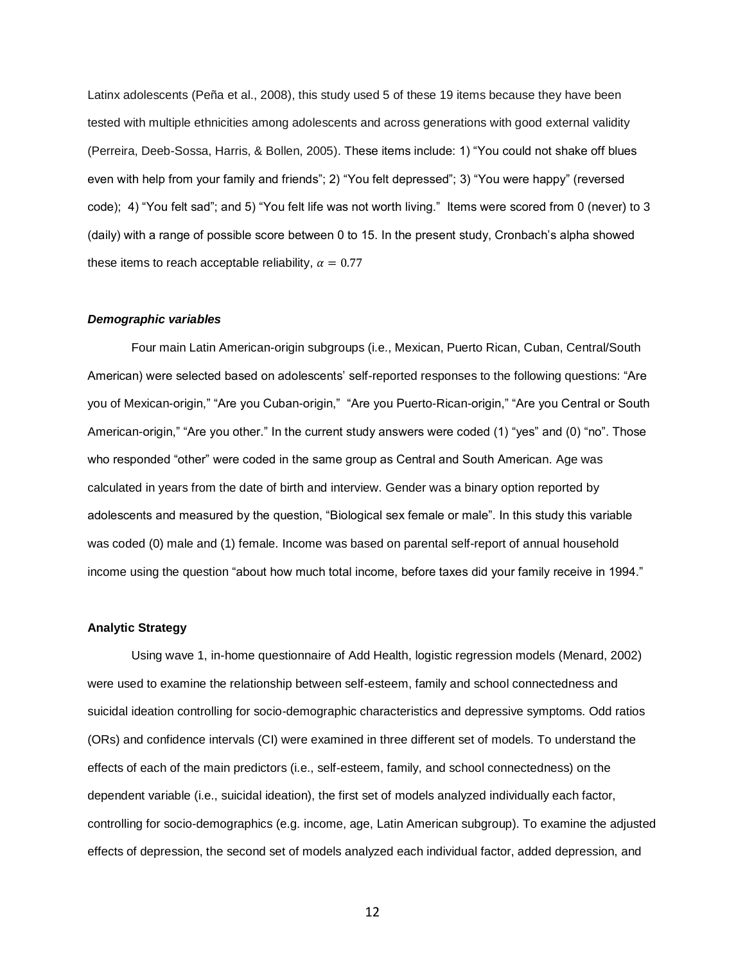Latinx adolescents (Peña et al., 2008), this study used 5 of these 19 items because they have been tested with multiple ethnicities among adolescents and across generations with good external validity (Perreira, Deeb-Sossa, Harris, & Bollen, 2005). These items include: 1) "You could not shake off blues even with help from your family and friends"; 2) "You felt depressed"; 3) "You were happy" (reversed code); 4) "You felt sad"; and 5) "You felt life was not worth living." Items were scored from 0 (never) to 3 (daily) with a range of possible score between 0 to 15. In the present study, Cronbach's alpha showed these items to reach acceptable reliability,  $\alpha = 0.77$ 

#### *Demographic variables*

Four main Latin American-origin subgroups (i.e., Mexican, Puerto Rican, Cuban, Central/South American) were selected based on adolescents' self-reported responses to the following questions: "Are you of Mexican-origin," "Are you Cuban-origin," "Are you Puerto-Rican-origin," "Are you Central or South American-origin," "Are you other." In the current study answers were coded (1) "yes" and (0) "no". Those who responded "other" were coded in the same group as Central and South American. Age was calculated in years from the date of birth and interview. Gender was a binary option reported by adolescents and measured by the question, "Biological sex female or male". In this study this variable was coded (0) male and (1) female. Income was based on parental self-report of annual household income using the question "about how much total income, before taxes did your family receive in 1994."

#### **Analytic Strategy**

Using wave 1, in-home questionnaire of Add Health, logistic regression models (Menard, 2002) were used to examine the relationship between self-esteem, family and school connectedness and suicidal ideation controlling for socio-demographic characteristics and depressive symptoms. Odd ratios (ORs) and confidence intervals (CI) were examined in three different set of models. To understand the effects of each of the main predictors (i.e., self-esteem, family, and school connectedness) on the dependent variable (i.e., suicidal ideation), the first set of models analyzed individually each factor, controlling for socio-demographics (e.g. income, age, Latin American subgroup). To examine the adjusted effects of depression, the second set of models analyzed each individual factor, added depression, and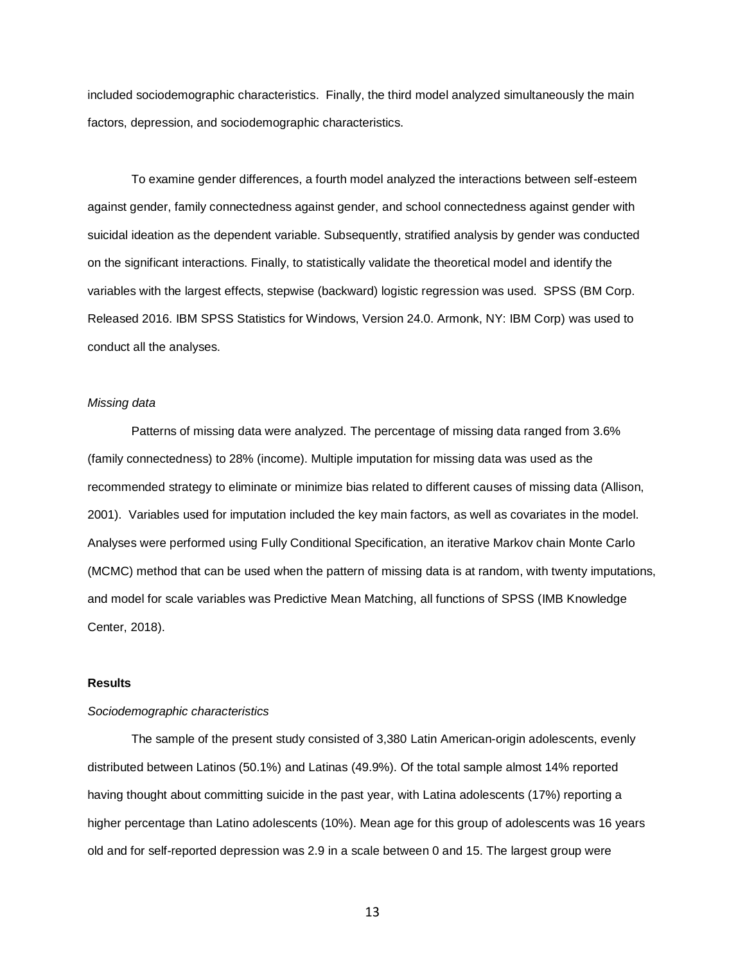included sociodemographic characteristics. Finally, the third model analyzed simultaneously the main factors, depression, and sociodemographic characteristics.

To examine gender differences, a fourth model analyzed the interactions between self-esteem against gender, family connectedness against gender, and school connectedness against gender with suicidal ideation as the dependent variable. Subsequently, stratified analysis by gender was conducted on the significant interactions. Finally, to statistically validate the theoretical model and identify the variables with the largest effects, stepwise (backward) logistic regression was used. SPSS (BM Corp. Released 2016. IBM SPSS Statistics for Windows, Version 24.0. Armonk, NY: IBM Corp) was used to conduct all the analyses.

## *Missing data*

Patterns of missing data were analyzed. The percentage of missing data ranged from 3.6% (family connectedness) to 28% (income). Multiple imputation for missing data was used as the recommended strategy to eliminate or minimize bias related to different causes of missing data (Allison, 2001). Variables used for imputation included the key main factors, as well as covariates in the model. Analyses were performed using Fully Conditional Specification, an iterative Markov chain Monte Carlo (MCMC) method that can be used when the pattern of missing data is at random, with twenty imputations, and model for scale variables was Predictive Mean Matching, all functions of SPSS (IMB Knowledge Center, 2018).

## **Results**

## *Sociodemographic characteristics*

The sample of the present study consisted of 3,380 Latin American-origin adolescents, evenly distributed between Latinos (50.1%) and Latinas (49.9%). Of the total sample almost 14% reported having thought about committing suicide in the past year, with Latina adolescents (17%) reporting a higher percentage than Latino adolescents (10%). Mean age for this group of adolescents was 16 years old and for self-reported depression was 2.9 in a scale between 0 and 15. The largest group were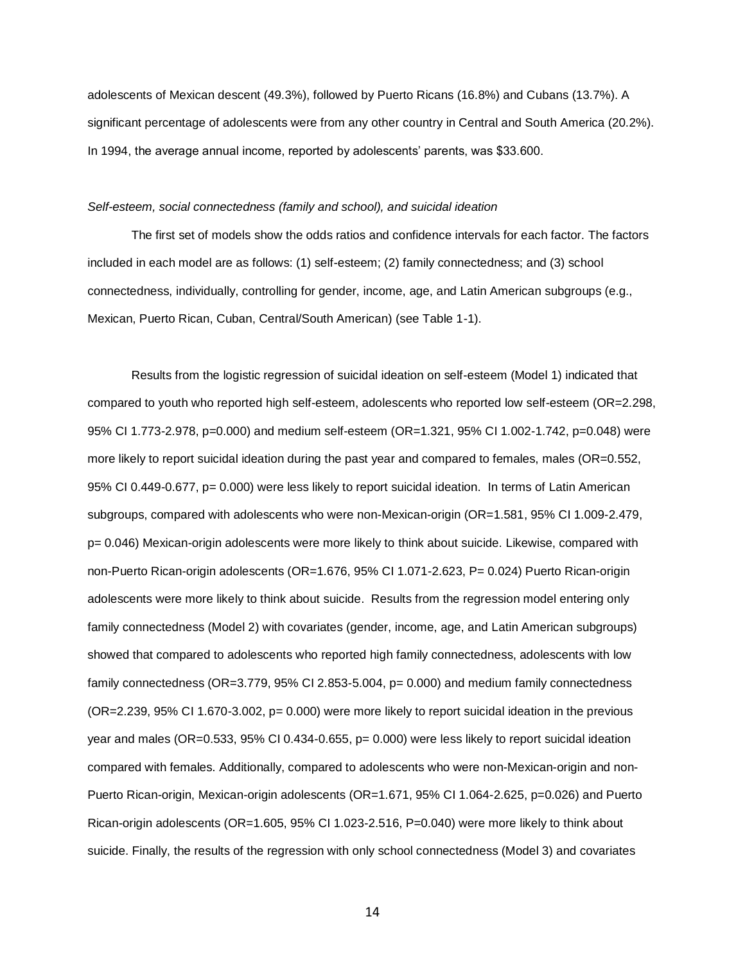adolescents of Mexican descent (49.3%), followed by Puerto Ricans (16.8%) and Cubans (13.7%). A significant percentage of adolescents were from any other country in Central and South America (20.2%). In 1994, the average annual income, reported by adolescents' parents, was \$33.600.

#### *Self-esteem, social connectedness (family and school), and suicidal ideation*

The first set of models show the odds ratios and confidence intervals for each factor. The factors included in each model are as follows: (1) self-esteem; (2) family connectedness; and (3) school connectedness, individually, controlling for gender, income, age, and Latin American subgroups (e.g., Mexican, Puerto Rican, Cuban, Central/South American) (see Table 1-1).

Results from the logistic regression of suicidal ideation on self-esteem (Model 1) indicated that compared to youth who reported high self-esteem, adolescents who reported low self-esteem (OR=2.298, 95% CI 1.773-2.978, p=0.000) and medium self-esteem (OR=1.321, 95% CI 1.002-1.742, p=0.048) were more likely to report suicidal ideation during the past year and compared to females, males (OR=0.552, 95% CI 0.449-0.677, p= 0.000) were less likely to report suicidal ideation. In terms of Latin American subgroups, compared with adolescents who were non-Mexican-origin (OR=1.581, 95% CI 1.009-2.479, p= 0.046) Mexican-origin adolescents were more likely to think about suicide. Likewise, compared with non-Puerto Rican-origin adolescents (OR=1.676, 95% CI 1.071-2.623, P= 0.024) Puerto Rican-origin adolescents were more likely to think about suicide. Results from the regression model entering only family connectedness (Model 2) with covariates (gender, income, age, and Latin American subgroups) showed that compared to adolescents who reported high family connectedness, adolescents with low family connectedness (OR=3.779, 95% CI 2.853-5.004, p= 0.000) and medium family connectedness (OR=2.239, 95% CI 1.670-3.002, p= 0.000) were more likely to report suicidal ideation in the previous year and males (OR=0.533, 95% CI 0.434-0.655, p= 0.000) were less likely to report suicidal ideation compared with females. Additionally, compared to adolescents who were non-Mexican-origin and non-Puerto Rican-origin, Mexican-origin adolescents (OR=1.671, 95% CI 1.064-2.625, p=0.026) and Puerto Rican-origin adolescents (OR=1.605, 95% CI 1.023-2.516, P=0.040) were more likely to think about suicide. Finally, the results of the regression with only school connectedness (Model 3) and covariates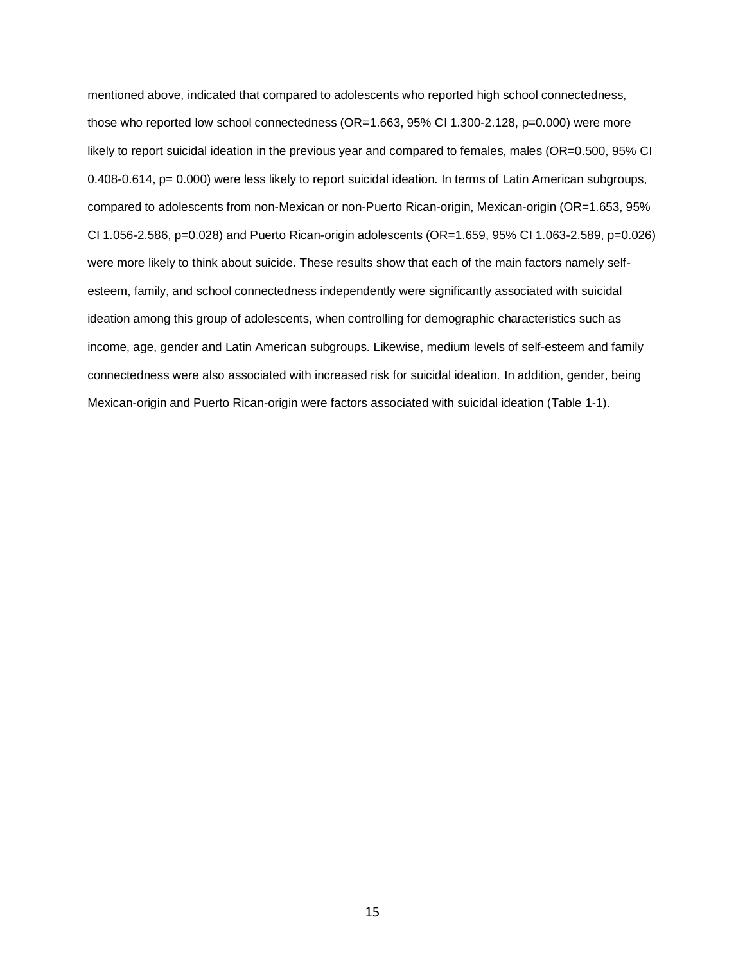mentioned above, indicated that compared to adolescents who reported high school connectedness, those who reported low school connectedness (OR=1.663, 95% CI 1.300-2.128, p=0.000) were more likely to report suicidal ideation in the previous year and compared to females, males (OR=0.500, 95% CI 0.408-0.614, p= 0.000) were less likely to report suicidal ideation. In terms of Latin American subgroups, compared to adolescents from non-Mexican or non-Puerto Rican-origin, Mexican-origin (OR=1.653, 95% CI 1.056-2.586, p=0.028) and Puerto Rican-origin adolescents (OR=1.659, 95% CI 1.063-2.589, p=0.026) were more likely to think about suicide. These results show that each of the main factors namely selfesteem, family, and school connectedness independently were significantly associated with suicidal ideation among this group of adolescents, when controlling for demographic characteristics such as income, age, gender and Latin American subgroups. Likewise, medium levels of self-esteem and family connectedness were also associated with increased risk for suicidal ideation. In addition, gender, being Mexican-origin and Puerto Rican-origin were factors associated with suicidal ideation (Table 1-1).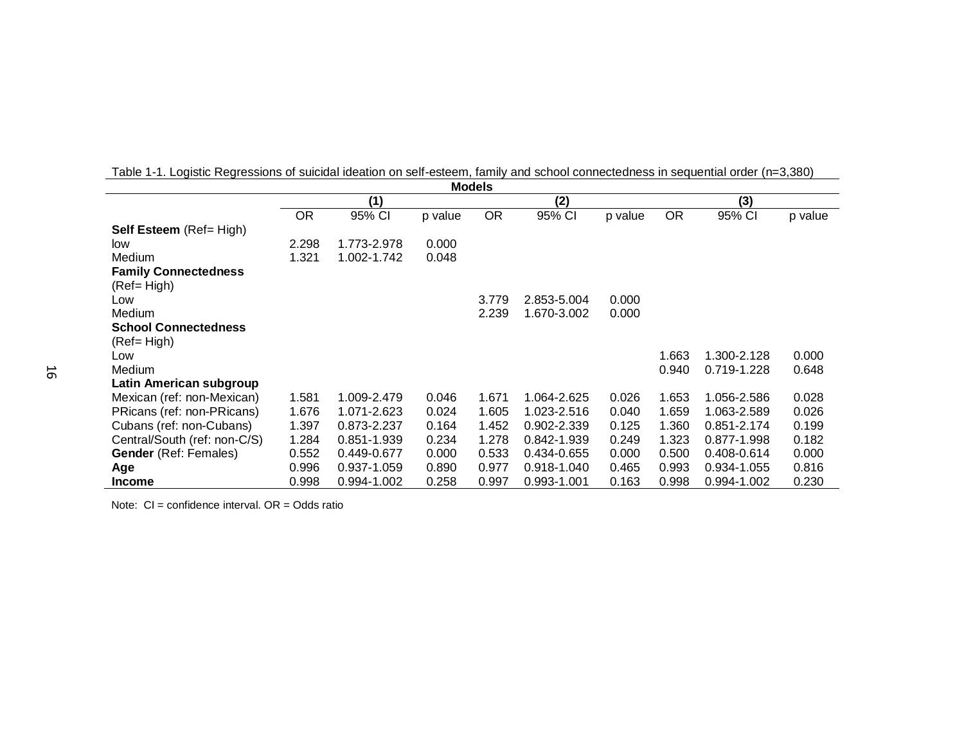|                                |           |             |         | <b>Models</b> |             |         |           |             |         |
|--------------------------------|-----------|-------------|---------|---------------|-------------|---------|-----------|-------------|---------|
|                                |           | (1)         |         |               | (2)         |         |           | (3)         |         |
|                                | <b>OR</b> | 95% CI      | p value | <b>OR</b>     | 95% CI      | p value | <b>OR</b> | 95% CI      | p value |
| <b>Self Esteem</b> (Ref= High) |           |             |         |               |             |         |           |             |         |
| low                            | 2.298     | 1.773-2.978 | 0.000   |               |             |         |           |             |         |
| Medium                         | 1.321     | 1.002-1.742 | 0.048   |               |             |         |           |             |         |
| <b>Family Connectedness</b>    |           |             |         |               |             |         |           |             |         |
| $(Ref = High)$                 |           |             |         |               |             |         |           |             |         |
| Low                            |           |             |         | 3.779         | 2.853-5.004 | 0.000   |           |             |         |
| Medium                         |           |             |         | 2.239         | 1.670-3.002 | 0.000   |           |             |         |
| <b>School Connectedness</b>    |           |             |         |               |             |         |           |             |         |
| (Ref= High)                    |           |             |         |               |             |         |           |             |         |
| Low                            |           |             |         |               |             |         | 1.663     | 1.300-2.128 | 0.000   |
| Medium                         |           |             |         |               |             |         | 0.940     | 0.719-1.228 | 0.648   |
| Latin American subgroup        |           |             |         |               |             |         |           |             |         |
| Mexican (ref: non-Mexican)     | 1.581     | 1.009-2.479 | 0.046   | 1.671         | 1.064-2.625 | 0.026   | 1.653     | 1.056-2.586 | 0.028   |
| PRicans (ref: non-PRicans)     | 1.676     | 1.071-2.623 | 0.024   | 1.605         | 1.023-2.516 | 0.040   | 1.659     | 1.063-2.589 | 0.026   |
| Cubans (ref: non-Cubans)       | 1.397     | 0.873-2.237 | 0.164   | 1.452         | 0.902-2.339 | 0.125   | 1.360     | 0.851-2.174 | 0.199   |
| Central/South (ref: non-C/S)   | 1.284     | 0.851-1.939 | 0.234   | 1.278         | 0.842-1.939 | 0.249   | 1.323     | 0.877-1.998 | 0.182   |
| <b>Gender</b> (Ref: Females)   | 0.552     | 0.449-0.677 | 0.000   | 0.533         | 0.434-0.655 | 0.000   | 0.500     | 0.408-0.614 | 0.000   |
| Age                            | 0.996     | 0.937-1.059 | 0.890   | 0.977         | 0.918-1.040 | 0.465   | 0.993     | 0.934-1.055 | 0.816   |
| <b>Income</b>                  | 0.998     | 0.994-1.002 | 0.258   | 0.997         | 0.993-1.001 | 0.163   | 0.998     | 0.994-1.002 | 0.230   |

| Table 1-1. Logistic Regressions of suicidal ideation on self-esteem, family and school connectedness in sequential order (n=3,380) |
|------------------------------------------------------------------------------------------------------------------------------------|
|------------------------------------------------------------------------------------------------------------------------------------|

Note:  $CI =$  confidence interval.  $OR =$  Odds ratio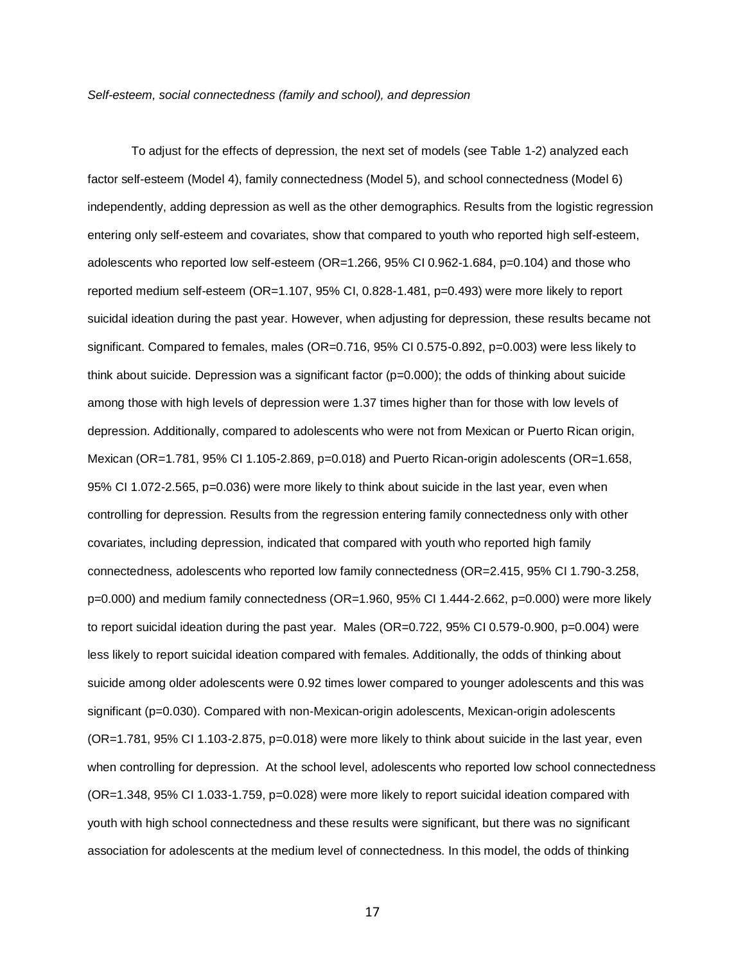#### *Self-esteem, social connectedness (family and school), and depression*

To adjust for the effects of depression, the next set of models (see Table 1-2) analyzed each factor self-esteem (Model 4), family connectedness (Model 5), and school connectedness (Model 6) independently, adding depression as well as the other demographics. Results from the logistic regression entering only self-esteem and covariates, show that compared to youth who reported high self-esteem, adolescents who reported low self-esteem (OR=1.266, 95% CI 0.962-1.684, p=0.104) and those who reported medium self-esteem (OR=1.107, 95% CI, 0.828-1.481, p=0.493) were more likely to report suicidal ideation during the past year. However, when adjusting for depression, these results became not significant. Compared to females, males (OR=0.716, 95% CI 0.575-0.892, p=0.003) were less likely to think about suicide. Depression was a significant factor  $(p=0.000)$ ; the odds of thinking about suicide among those with high levels of depression were 1.37 times higher than for those with low levels of depression. Additionally, compared to adolescents who were not from Mexican or Puerto Rican origin, Mexican (OR=1.781, 95% CI 1.105-2.869, p=0.018) and Puerto Rican-origin adolescents (OR=1.658, 95% CI 1.072-2.565, p=0.036) were more likely to think about suicide in the last year, even when controlling for depression. Results from the regression entering family connectedness only with other covariates, including depression, indicated that compared with youth who reported high family connectedness, adolescents who reported low family connectedness (OR=2.415, 95% CI 1.790-3.258, p=0.000) and medium family connectedness (OR=1.960, 95% CI 1.444-2.662, p=0.000) were more likely to report suicidal ideation during the past year. Males (OR=0.722, 95% CI 0.579-0.900, p=0.004) were less likely to report suicidal ideation compared with females. Additionally, the odds of thinking about suicide among older adolescents were 0.92 times lower compared to younger adolescents and this was significant (p=0.030). Compared with non-Mexican-origin adolescents, Mexican-origin adolescents (OR=1.781, 95% CI 1.103-2.875, p=0.018) were more likely to think about suicide in the last year, even when controlling for depression. At the school level, adolescents who reported low school connectedness (OR=1.348, 95% CI 1.033-1.759, p=0.028) were more likely to report suicidal ideation compared with youth with high school connectedness and these results were significant, but there was no significant association for adolescents at the medium level of connectedness. In this model, the odds of thinking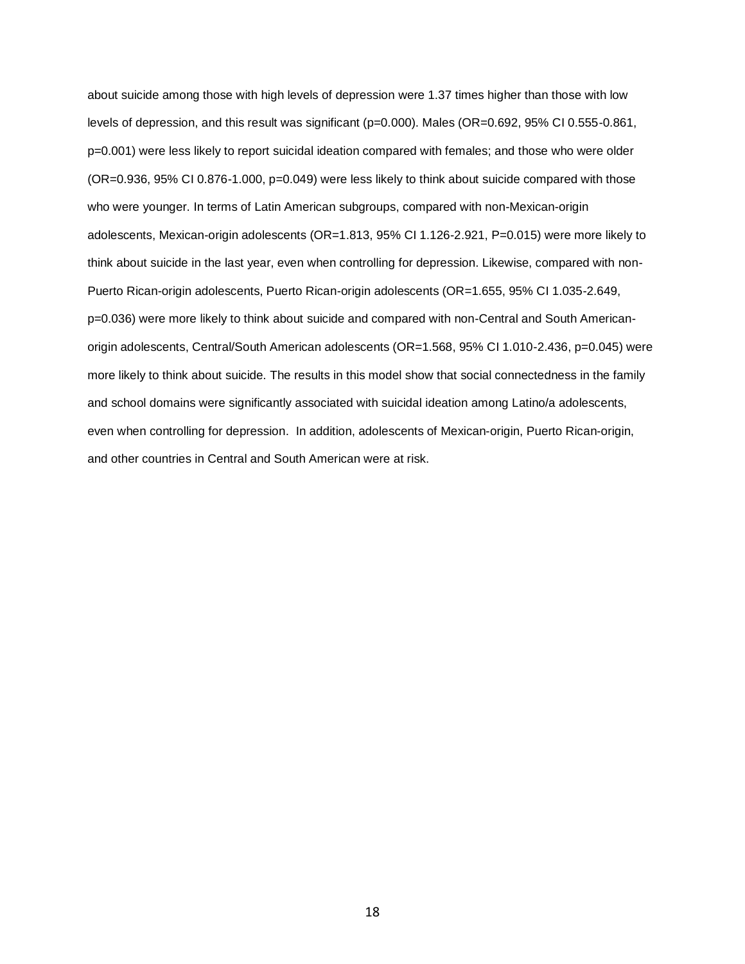about suicide among those with high levels of depression were 1.37 times higher than those with low levels of depression, and this result was significant (p=0.000). Males (OR=0.692, 95% CI 0.555-0.861, p=0.001) were less likely to report suicidal ideation compared with females; and those who were older (OR=0.936, 95% CI 0.876-1.000, p=0.049) were less likely to think about suicide compared with those who were younger. In terms of Latin American subgroups, compared with non-Mexican-origin adolescents, Mexican-origin adolescents (OR=1.813, 95% CI 1.126-2.921, P=0.015) were more likely to think about suicide in the last year, even when controlling for depression. Likewise, compared with non-Puerto Rican-origin adolescents, Puerto Rican-origin adolescents (OR=1.655, 95% CI 1.035-2.649, p=0.036) were more likely to think about suicide and compared with non-Central and South Americanorigin adolescents, Central/South American adolescents (OR=1.568, 95% CI 1.010-2.436, p=0.045) were more likely to think about suicide. The results in this model show that social connectedness in the family and school domains were significantly associated with suicidal ideation among Latino/a adolescents, even when controlling for depression. In addition, adolescents of Mexican-origin, Puerto Rican-origin, and other countries in Central and South American were at risk.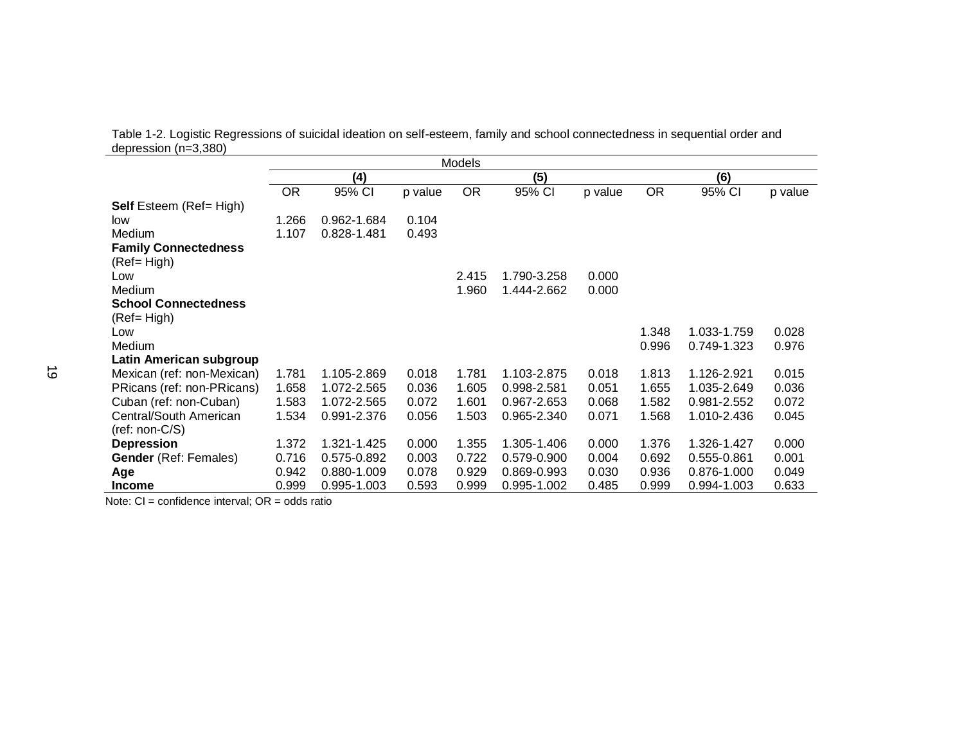Table 1-2. Logistic Regressions of suicidal ideation on self-esteem, family and school connectedness in sequential order and depression (n=3,380)

|                                |           |             |         | Models    |             |         |           |             |         |
|--------------------------------|-----------|-------------|---------|-----------|-------------|---------|-----------|-------------|---------|
|                                |           | (4)         |         |           | (5)         |         |           | (6)         |         |
|                                | <b>OR</b> | 95% CI      | p value | <b>OR</b> | 95% CI      | p value | <b>OR</b> | 95% CI      | p value |
| <b>Self</b> Esteem (Ref= High) |           |             |         |           |             |         |           |             |         |
| low                            | 1.266     | 0.962-1.684 | 0.104   |           |             |         |           |             |         |
| Medium                         | 1.107     | 0.828-1.481 | 0.493   |           |             |         |           |             |         |
| <b>Family Connectedness</b>    |           |             |         |           |             |         |           |             |         |
| (Ref= High)                    |           |             |         |           |             |         |           |             |         |
| Low                            |           |             |         | 2.415     | 1.790-3.258 | 0.000   |           |             |         |
| Medium                         |           |             |         | 1.960     | 1.444-2.662 | 0.000   |           |             |         |
| <b>School Connectedness</b>    |           |             |         |           |             |         |           |             |         |
| (Ref= High)                    |           |             |         |           |             |         |           |             |         |
| Low                            |           |             |         |           |             |         | 1.348     | 1.033-1.759 | 0.028   |
| Medium                         |           |             |         |           |             |         | 0.996     | 0.749-1.323 | 0.976   |
| Latin American subgroup        |           |             |         |           |             |         |           |             |         |
| Mexican (ref: non-Mexican)     | 1.781     | 1.105-2.869 | 0.018   | 1.781     | 1.103-2.875 | 0.018   | 1.813     | 1.126-2.921 | 0.015   |
| PRicans (ref: non-PRicans)     | 1.658     | 1.072-2.565 | 0.036   | 1.605     | 0.998-2.581 | 0.051   | 1.655     | 1.035-2.649 | 0.036   |
| Cuban (ref: non-Cuban)         | 1.583     | 1.072-2.565 | 0.072   | 1.601     | 0.967-2.653 | 0.068   | 1.582     | 0.981-2.552 | 0.072   |
| Central/South American         | 1.534     | 0.991-2.376 | 0.056   | 1.503     | 0.965-2.340 | 0.071   | 1.568     | 1.010-2.436 | 0.045   |
| $(ref: non-C/S)$               |           |             |         |           |             |         |           |             |         |
| <b>Depression</b>              | 1.372     | 1.321-1.425 | 0.000   | 1.355     | 1.305-1.406 | 0.000   | 1.376     | 1.326-1.427 | 0.000   |
| <b>Gender</b> (Ref: Females)   | 0.716     | 0.575-0.892 | 0.003   | 0.722     | 0.579-0.900 | 0.004   | 0.692     | 0.555-0.861 | 0.001   |
| Age                            | 0.942     | 0.880-1.009 | 0.078   | 0.929     | 0.869-0.993 | 0.030   | 0.936     | 0.876-1.000 | 0.049   |
| <b>Income</b>                  | 0.999     | 0.995-1.003 | 0.593   | 0.999     | 0.995-1.002 | 0.485   | 0.999     | 0.994-1.003 | 0.633   |

Note: CI = confidence interval; OR = odds ratio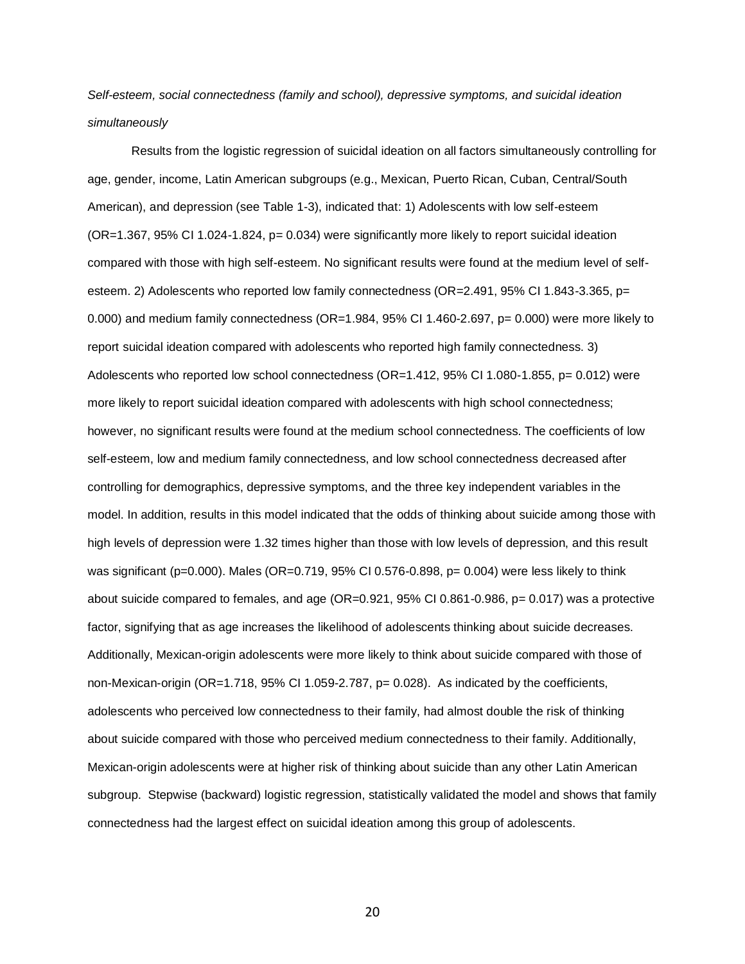# *Self-esteem, social connectedness (family and school), depressive symptoms, and suicidal ideation simultaneously*

Results from the logistic regression of suicidal ideation on all factors simultaneously controlling for age, gender, income, Latin American subgroups (e.g., Mexican, Puerto Rican, Cuban, Central/South American), and depression (see Table 1-3), indicated that: 1) Adolescents with low self-esteem (OR=1.367, 95% CI 1.024-1.824, p= 0.034) were significantly more likely to report suicidal ideation compared with those with high self-esteem. No significant results were found at the medium level of selfesteem. 2) Adolescents who reported low family connectedness (OR=2.491, 95% CI 1.843-3.365, p= 0.000) and medium family connectedness ( $OR=1.984$ , 95% CI 1.460-2.697, p= 0.000) were more likely to report suicidal ideation compared with adolescents who reported high family connectedness. 3) Adolescents who reported low school connectedness (OR=1.412, 95% CI 1.080-1.855, p= 0.012) were more likely to report suicidal ideation compared with adolescents with high school connectedness; however, no significant results were found at the medium school connectedness. The coefficients of low self-esteem, low and medium family connectedness, and low school connectedness decreased after controlling for demographics, depressive symptoms, and the three key independent variables in the model. In addition, results in this model indicated that the odds of thinking about suicide among those with high levels of depression were 1.32 times higher than those with low levels of depression, and this result was significant (p=0.000). Males (OR=0.719, 95% CI 0.576-0.898, p= 0.004) were less likely to think about suicide compared to females, and age (OR=0.921, 95% CI 0.861-0.986, p= 0.017) was a protective factor, signifying that as age increases the likelihood of adolescents thinking about suicide decreases. Additionally, Mexican-origin adolescents were more likely to think about suicide compared with those of non-Mexican-origin (OR=1.718, 95% CI 1.059-2.787, p= 0.028). As indicated by the coefficients, adolescents who perceived low connectedness to their family, had almost double the risk of thinking about suicide compared with those who perceived medium connectedness to their family. Additionally, Mexican-origin adolescents were at higher risk of thinking about suicide than any other Latin American subgroup. Stepwise (backward) logistic regression, statistically validated the model and shows that family connectedness had the largest effect on suicidal ideation among this group of adolescents.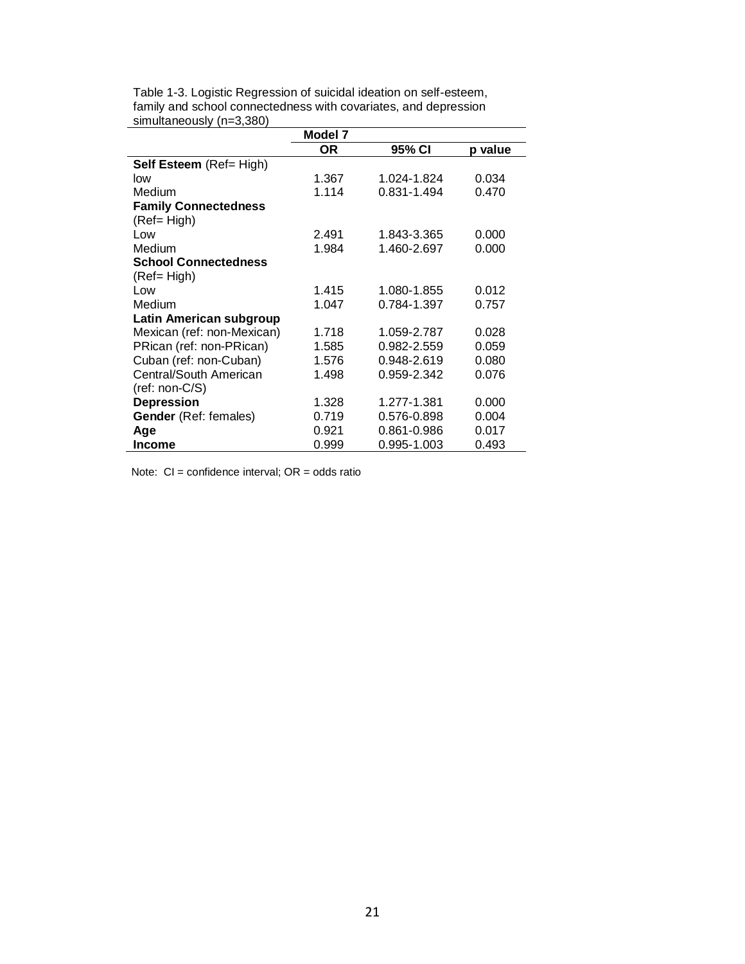| Table 1-3. Logistic Regression of suicidal ideation on self-esteem, |
|---------------------------------------------------------------------|
| family and school connectedness with covariates, and depression     |
| simultaneously (n=3,380)                                            |
|                                                                     |

|                              | Model 7 |             |         |
|------------------------------|---------|-------------|---------|
|                              | OR.     | 95% CI      | p value |
| Self Esteem (Ref= High)      |         |             |         |
| low                          | 1.367   | 1.024-1.824 | 0.034   |
| Medium                       | 1.114   | 0.831-1.494 | 0.470   |
| <b>Family Connectedness</b>  |         |             |         |
| (Ref= High)                  |         |             |         |
| Low                          | 2.491   | 1.843-3.365 | 0.000   |
| Medium                       | 1.984   | 1.460-2.697 | 0.000   |
| <b>School Connectedness</b>  |         |             |         |
| (Ref= High)                  |         |             |         |
| Low                          | 1.415   | 1.080-1.855 | 0.012   |
| Medium                       | 1.047   | 0.784-1.397 | 0.757   |
| Latin American subgroup      |         |             |         |
| Mexican (ref: non-Mexican)   | 1.718   | 1.059-2.787 | 0.028   |
| PRican (ref: non-PRican)     | 1.585   | 0.982-2.559 | 0.059   |
| Cuban (ref: non-Cuban)       | 1.576   | 0.948-2.619 | 0.080   |
| Central/South American       | 1.498   | 0.959-2.342 | 0.076   |
| (ref: non-C/S)               |         |             |         |
| <b>Depression</b>            | 1.328   | 1.277-1.381 | 0.000   |
| <b>Gender</b> (Ref: females) | 0.719   | 0.576-0.898 | 0.004   |
| Age                          | 0.921   | 0.861-0.986 | 0.017   |
| <b>Income</b>                | 0.999   | 0.995-1.003 | 0.493   |

Note:  $CI =$  confidence interval;  $OR =$  odds ratio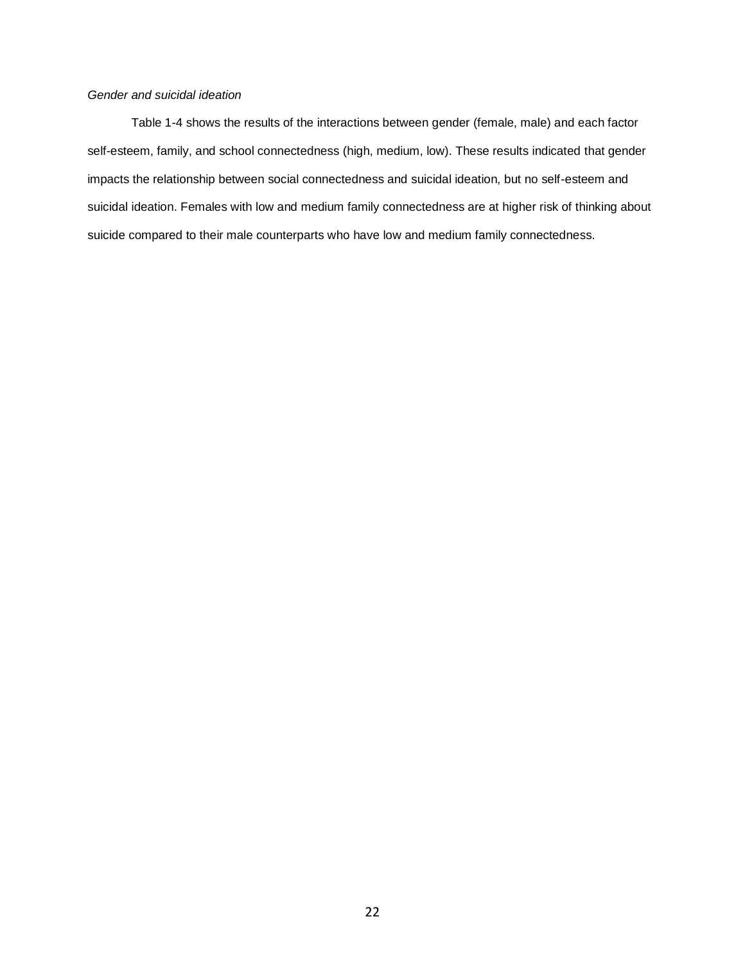# *Gender and suicidal ideation*

Table 1-4 shows the results of the interactions between gender (female, male) and each factor self-esteem, family, and school connectedness (high, medium, low). These results indicated that gender impacts the relationship between social connectedness and suicidal ideation, but no self-esteem and suicidal ideation. Females with low and medium family connectedness are at higher risk of thinking about suicide compared to their male counterparts who have low and medium family connectedness.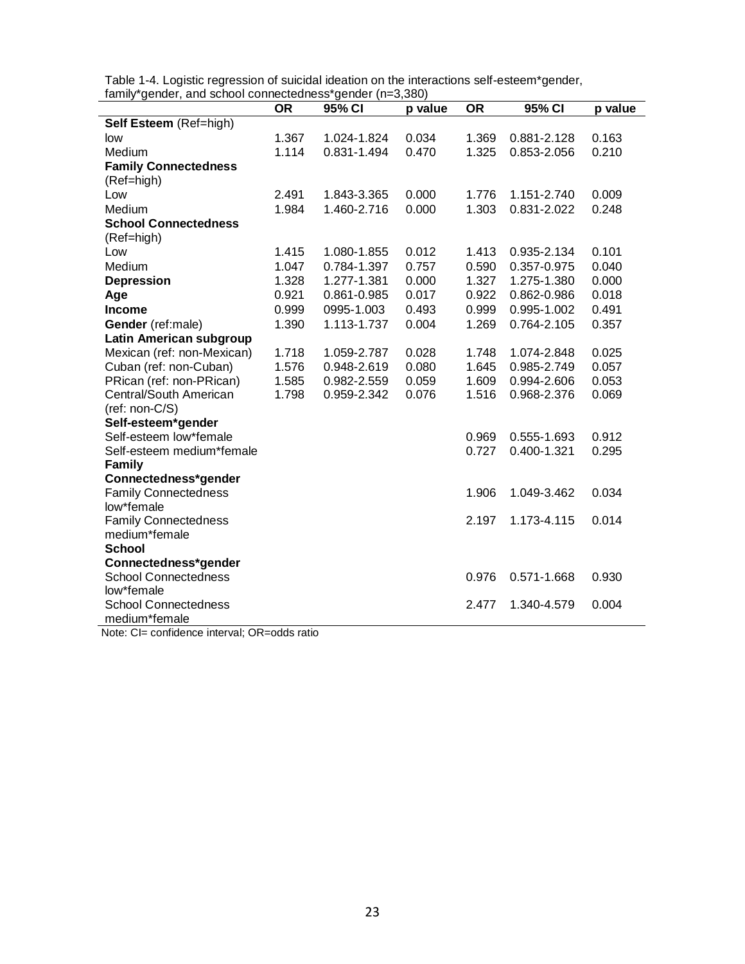Table 1-4. Logistic regression of suicidal ideation on the interactions self-esteem\*gender, family\*gender, and school connectedness\*gender (n=3,380)

| raminy genuer, and school connectedness genuer (n=0,000) | <b>OR</b> | 95% CI      | p value | <b>OR</b> | 95% CI      | p value |
|----------------------------------------------------------|-----------|-------------|---------|-----------|-------------|---------|
| Self Esteem (Ref=high)                                   |           |             |         |           |             |         |
| low                                                      | 1.367     | 1.024-1.824 | 0.034   | 1.369     | 0.881-2.128 | 0.163   |
| Medium                                                   | 1.114     | 0.831-1.494 | 0.470   | 1.325     | 0.853-2.056 | 0.210   |
| <b>Family Connectedness</b>                              |           |             |         |           |             |         |
| (Ref=high)                                               |           |             |         |           |             |         |
| Low                                                      | 2.491     | 1.843-3.365 | 0.000   | 1.776     | 1.151-2.740 | 0.009   |
| Medium                                                   | 1.984     | 1.460-2.716 | 0.000   | 1.303     | 0.831-2.022 | 0.248   |
| <b>School Connectedness</b>                              |           |             |         |           |             |         |
| (Ref=high)                                               |           |             |         |           |             |         |
| Low                                                      | 1.415     | 1.080-1.855 | 0.012   | 1.413     | 0.935-2.134 | 0.101   |
| Medium                                                   | 1.047     | 0.784-1.397 | 0.757   | 0.590     | 0.357-0.975 | 0.040   |
| <b>Depression</b>                                        | 1.328     | 1.277-1.381 | 0.000   | 1.327     | 1.275-1.380 | 0.000   |
| Age                                                      | 0.921     | 0.861-0.985 | 0.017   | 0.922     | 0.862-0.986 | 0.018   |
| <b>Income</b>                                            | 0.999     | 0995-1.003  | 0.493   | 0.999     | 0.995-1.002 | 0.491   |
| Gender (ref:male)                                        | 1.390     | 1.113-1.737 | 0.004   | 1.269     | 0.764-2.105 | 0.357   |
| Latin American subgroup                                  |           |             |         |           |             |         |
| Mexican (ref: non-Mexican)                               | 1.718     | 1.059-2.787 | 0.028   | 1.748     | 1.074-2.848 | 0.025   |
| Cuban (ref: non-Cuban)                                   | 1.576     | 0.948-2.619 | 0.080   | 1.645     | 0.985-2.749 | 0.057   |
| PRican (ref: non-PRican)                                 | 1.585     | 0.982-2.559 | 0.059   | 1.609     | 0.994-2.606 | 0.053   |
| Central/South American                                   | 1.798     | 0.959-2.342 | 0.076   | 1.516     | 0.968-2.376 | 0.069   |
| (ref: non-C/S)                                           |           |             |         |           |             |         |
| Self-esteem*gender                                       |           |             |         |           |             |         |
| Self-esteem low*female                                   |           |             |         | 0.969     | 0.555-1.693 | 0.912   |
| Self-esteem medium*female                                |           |             |         | 0.727     | 0.400-1.321 | 0.295   |
| <b>Family</b>                                            |           |             |         |           |             |         |
| Connectedness*gender                                     |           |             |         |           |             |         |
| <b>Family Connectedness</b><br>low*female                |           |             |         | 1.906     | 1.049-3.462 | 0.034   |
| <b>Family Connectedness</b>                              |           |             |         | 2.197     | 1.173-4.115 | 0.014   |
| medium*female                                            |           |             |         |           |             |         |
| <b>School</b>                                            |           |             |         |           |             |         |
| Connectedness*gender                                     |           |             |         |           |             |         |
| <b>School Connectedness</b>                              |           |             |         | 0.976     | 0.571-1.668 | 0.930   |
| low*female                                               |           |             |         |           |             |         |
| <b>School Connectedness</b>                              |           |             |         | 2.477     | 1.340-4.579 | 0.004   |
| medium*female                                            |           |             |         |           |             |         |

Note: CI= confidence interval; OR=odds ratio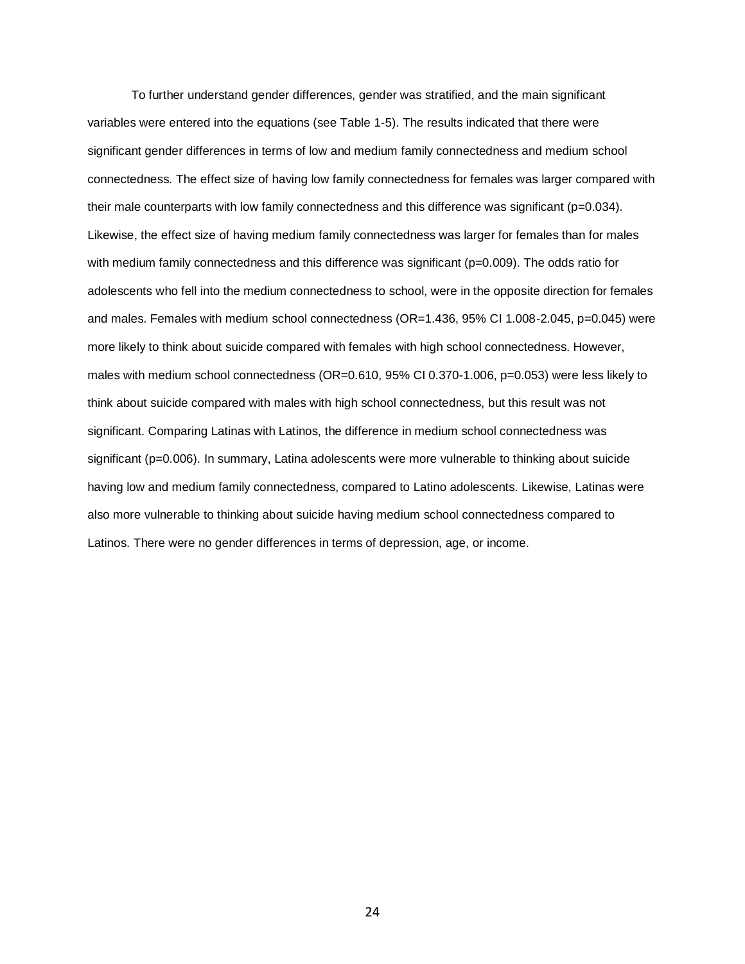To further understand gender differences, gender was stratified, and the main significant variables were entered into the equations (see Table 1-5). The results indicated that there were significant gender differences in terms of low and medium family connectedness and medium school connectedness. The effect size of having low family connectedness for females was larger compared with their male counterparts with low family connectedness and this difference was significant (p=0.034). Likewise, the effect size of having medium family connectedness was larger for females than for males with medium family connectedness and this difference was significant (p=0.009). The odds ratio for adolescents who fell into the medium connectedness to school, were in the opposite direction for females and males. Females with medium school connectedness (OR=1.436, 95% CI 1.008-2.045, p=0.045) were more likely to think about suicide compared with females with high school connectedness. However, males with medium school connectedness (OR=0.610, 95% CI 0.370-1.006, p=0.053) were less likely to think about suicide compared with males with high school connectedness, but this result was not significant. Comparing Latinas with Latinos, the difference in medium school connectedness was significant (p=0.006). In summary, Latina adolescents were more vulnerable to thinking about suicide having low and medium family connectedness, compared to Latino adolescents. Likewise, Latinas were also more vulnerable to thinking about suicide having medium school connectedness compared to Latinos. There were no gender differences in terms of depression, age, or income.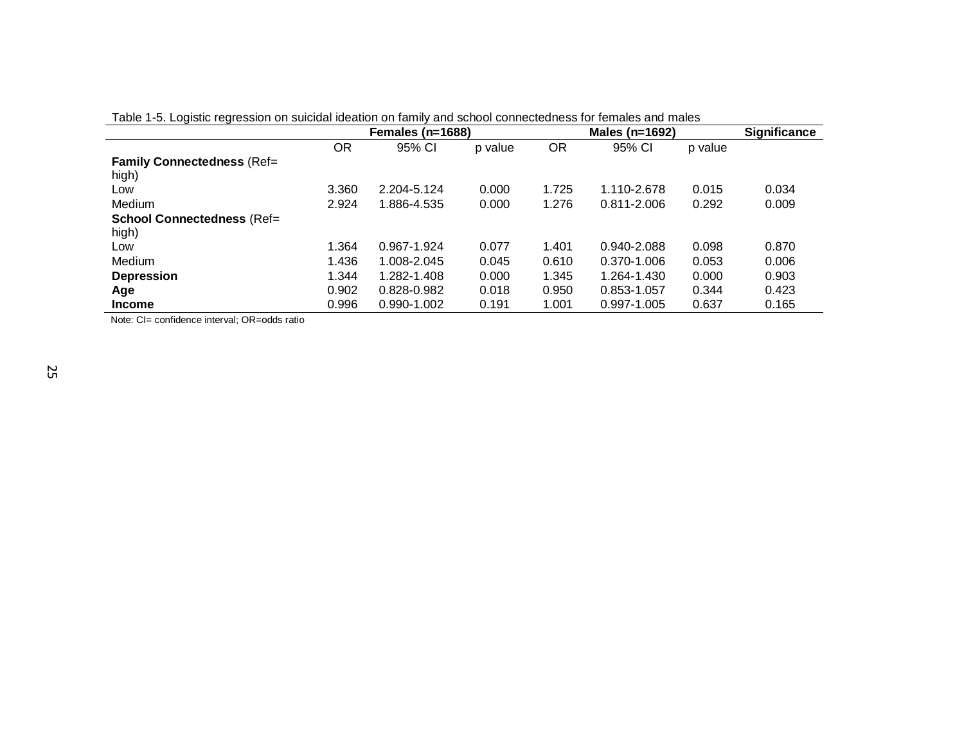|                                   |       | Females (n=1688) |         |       | Males (n=1692) |         | <b>Significance</b> |
|-----------------------------------|-------|------------------|---------|-------|----------------|---------|---------------------|
|                                   | OR    | 95% CI           | p value | OR    | 95% CI         | p value |                     |
| <b>Family Connectedness (Ref=</b> |       |                  |         |       |                |         |                     |
| high)                             |       |                  |         |       |                |         |                     |
| Low                               | 3.360 | 2.204-5.124      | 0.000   | 1.725 | 1.110-2.678    | 0.015   | 0.034               |
| Medium                            | 2.924 | 1.886-4.535      | 0.000   | 1.276 | 0.811-2.006    | 0.292   | 0.009               |
| <b>School Connectedness (Ref=</b> |       |                  |         |       |                |         |                     |
| high)                             |       |                  |         |       |                |         |                     |
| Low                               | 1.364 | 0.967-1.924      | 0.077   | 1.401 | 0.940-2.088    | 0.098   | 0.870               |
| Medium                            | 1.436 | 1.008-2.045      | 0.045   | 0.610 | 0.370-1.006    | 0.053   | 0.006               |
| <b>Depression</b>                 | 1.344 | 1.282-1.408      | 0.000   | 1.345 | 1.264-1.430    | 0.000   | 0.903               |
| Age                               | 0.902 | 0.828-0.982      | 0.018   | 0.950 | 0.853-1.057    | 0.344   | 0.423               |
| <b>Income</b>                     | 0.996 | 0.990-1.002      | 0.191   | 1.001 | 0.997-1.005    | 0.637   | 0.165               |

Table 1-5. Logistic regression on suicidal ideation on family and school connectedness for females and males

Note: CI= confidence interval; OR=odds ratio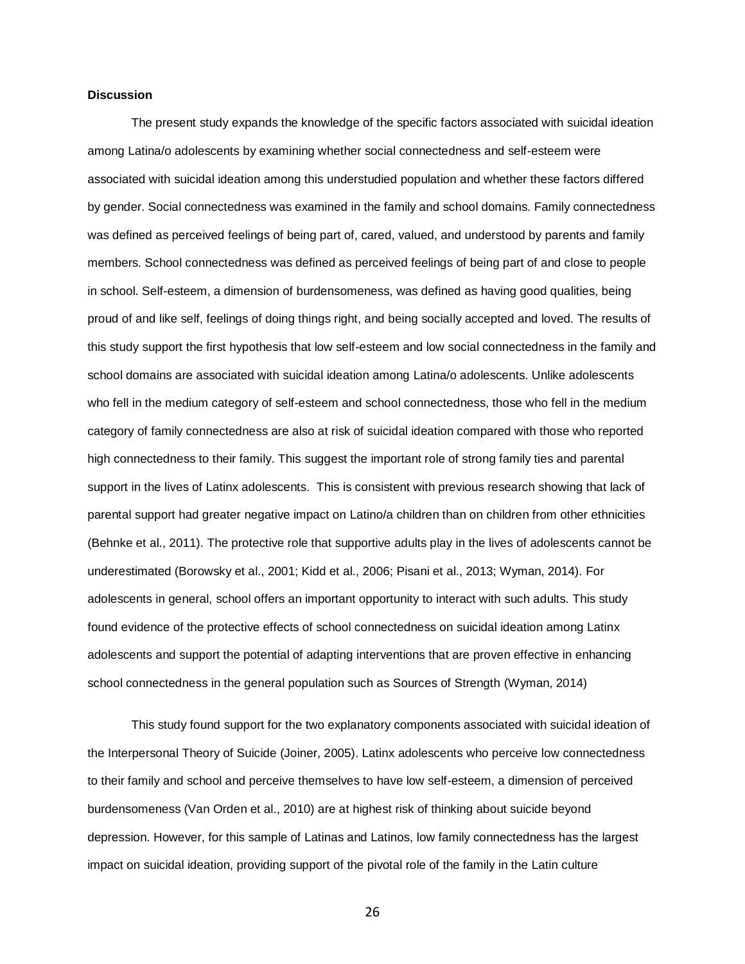### **Discussion**

The present study expands the knowledge of the specific factors associated with suicidal ideation among Latina/o adolescents by examining whether social connectedness and self-esteem were associated with suicidal ideation among this understudied population and whether these factors differed by gender. Social connectedness was examined in the family and school domains. Family connectedness was defined as perceived feelings of being part of, cared, valued, and understood by parents and family members. School connectedness was defined as perceived feelings of being part of and close to people in school. Self-esteem, a dimension of burdensomeness, was defined as having good qualities, being proud of and like self, feelings of doing things right, and being socially accepted and loved. The results of this study support the first hypothesis that low self-esteem and low social connectedness in the family and school domains are associated with suicidal ideation among Latina/o adolescents. Unlike adolescents who fell in the medium category of self-esteem and school connectedness, those who fell in the medium category of family connectedness are also at risk of suicidal ideation compared with those who reported high connectedness to their family. This suggest the important role of strong family ties and parental support in the lives of Latinx adolescents. This is consistent with previous research showing that lack of parental support had greater negative impact on Latino/a children than on children from other ethnicities (Behnke et al., 2011). The protective role that supportive adults play in the lives of adolescents cannot be underestimated (Borowsky et al., 2001; Kidd et al., 2006; Pisani et al., 2013; Wyman, 2014). For adolescents in general, school offers an important opportunity to interact with such adults. This study found evidence of the protective effects of school connectedness on suicidal ideation among Latinx adolescents and support the potential of adapting interventions that are proven effective in enhancing school connectedness in the general population such as Sources of Strength (Wyman, 2014)

This study found support for the two explanatory components associated with suicidal ideation of the Interpersonal Theory of Suicide (Joiner, 2005). Latinx adolescents who perceive low connectedness to their family and school and perceive themselves to have low self-esteem, a dimension of perceived burdensomeness (Van Orden et al., 2010) are at highest risk of thinking about suicide beyond depression. However, for this sample of Latinas and Latinos, low family connectedness has the largest impact on suicidal ideation, providing support of the pivotal role of the family in the Latin culture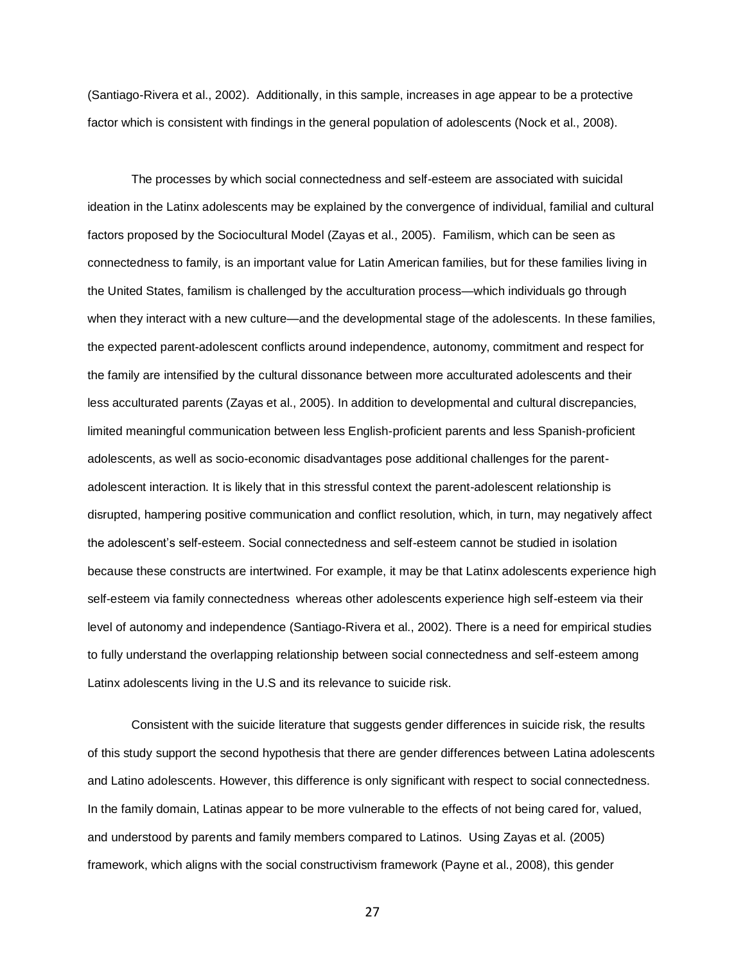(Santiago-Rivera et al., 2002). Additionally, in this sample, increases in age appear to be a protective factor which is consistent with findings in the general population of adolescents (Nock et al., 2008).

The processes by which social connectedness and self-esteem are associated with suicidal ideation in the Latinx adolescents may be explained by the convergence of individual, familial and cultural factors proposed by the Sociocultural Model (Zayas et al., 2005). Familism, which can be seen as connectedness to family, is an important value for Latin American families, but for these families living in the United States, familism is challenged by the acculturation process—which individuals go through when they interact with a new culture—and the developmental stage of the adolescents. In these families, the expected parent-adolescent conflicts around independence, autonomy, commitment and respect for the family are intensified by the cultural dissonance between more acculturated adolescents and their less acculturated parents (Zayas et al., 2005). In addition to developmental and cultural discrepancies, limited meaningful communication between less English-proficient parents and less Spanish-proficient adolescents, as well as socio-economic disadvantages pose additional challenges for the parentadolescent interaction. It is likely that in this stressful context the parent-adolescent relationship is disrupted, hampering positive communication and conflict resolution, which, in turn, may negatively affect the adolescent's self-esteem. Social connectedness and self-esteem cannot be studied in isolation because these constructs are intertwined. For example, it may be that Latinx adolescents experience high self-esteem via family connectedness whereas other adolescents experience high self-esteem via their level of autonomy and independence (Santiago-Rivera et al., 2002). There is a need for empirical studies to fully understand the overlapping relationship between social connectedness and self-esteem among Latinx adolescents living in the U.S and its relevance to suicide risk.

Consistent with the suicide literature that suggests gender differences in suicide risk, the results of this study support the second hypothesis that there are gender differences between Latina adolescents and Latino adolescents. However, this difference is only significant with respect to social connectedness. In the family domain, Latinas appear to be more vulnerable to the effects of not being cared for, valued, and understood by parents and family members compared to Latinos. Using Zayas et al. (2005) framework, which aligns with the social constructivism framework (Payne et al., 2008), this gender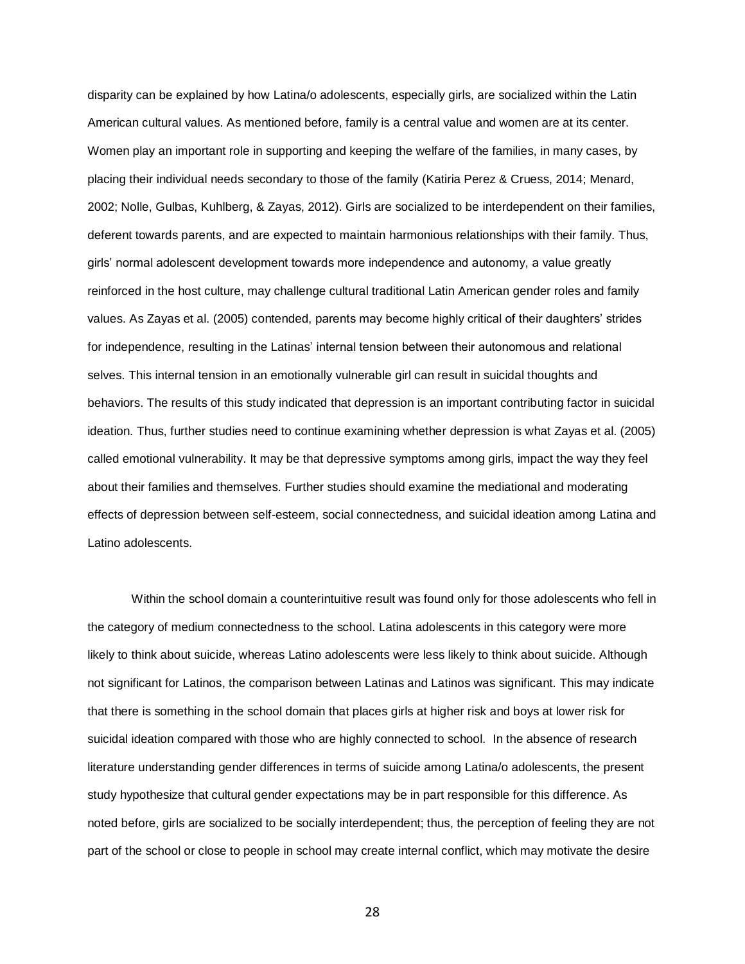disparity can be explained by how Latina/o adolescents, especially girls, are socialized within the Latin American cultural values. As mentioned before, family is a central value and women are at its center. Women play an important role in supporting and keeping the welfare of the families, in many cases, by placing their individual needs secondary to those of the family (Katiria Perez & Cruess, 2014; Menard, 2002; Nolle, Gulbas, Kuhlberg, & Zayas, 2012). Girls are socialized to be interdependent on their families, deferent towards parents, and are expected to maintain harmonious relationships with their family. Thus, girls' normal adolescent development towards more independence and autonomy, a value greatly reinforced in the host culture, may challenge cultural traditional Latin American gender roles and family values. As Zayas et al. (2005) contended, parents may become highly critical of their daughters' strides for independence, resulting in the Latinas' internal tension between their autonomous and relational selves. This internal tension in an emotionally vulnerable girl can result in suicidal thoughts and behaviors. The results of this study indicated that depression is an important contributing factor in suicidal ideation. Thus, further studies need to continue examining whether depression is what Zayas et al. (2005) called emotional vulnerability. It may be that depressive symptoms among girls, impact the way they feel about their families and themselves. Further studies should examine the mediational and moderating effects of depression between self-esteem, social connectedness, and suicidal ideation among Latina and Latino adolescents.

Within the school domain a counterintuitive result was found only for those adolescents who fell in the category of medium connectedness to the school. Latina adolescents in this category were more likely to think about suicide, whereas Latino adolescents were less likely to think about suicide. Although not significant for Latinos, the comparison between Latinas and Latinos was significant. This may indicate that there is something in the school domain that places girls at higher risk and boys at lower risk for suicidal ideation compared with those who are highly connected to school. In the absence of research literature understanding gender differences in terms of suicide among Latina/o adolescents, the present study hypothesize that cultural gender expectations may be in part responsible for this difference. As noted before, girls are socialized to be socially interdependent; thus, the perception of feeling they are not part of the school or close to people in school may create internal conflict, which may motivate the desire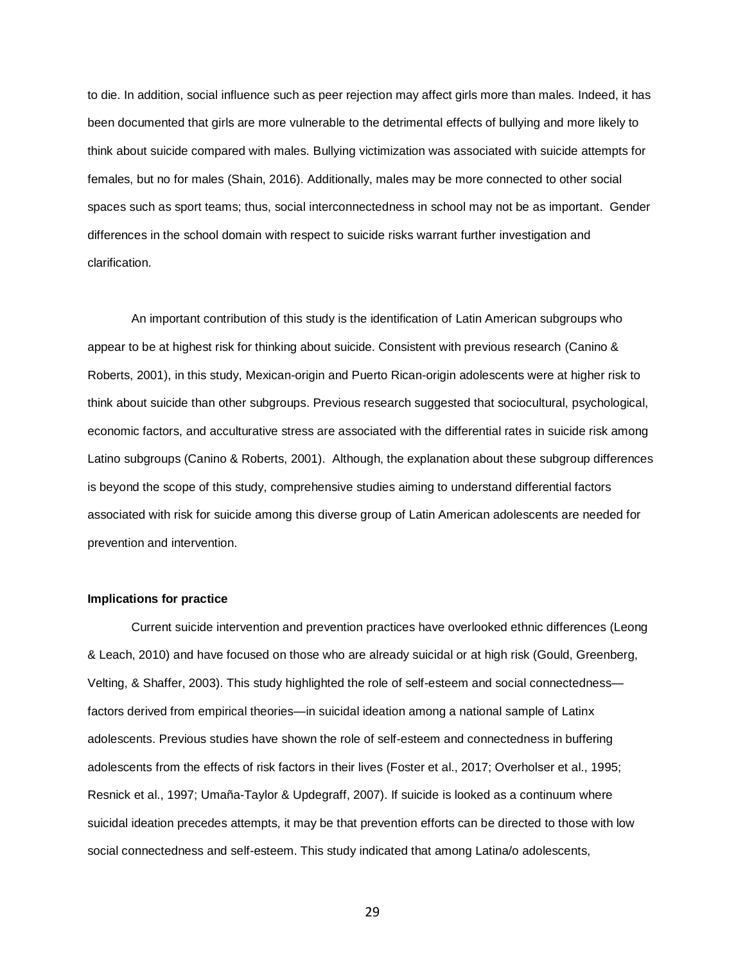to die. In addition, social influence such as peer rejection may affect girls more than males. Indeed, it has been documented that girls are more vulnerable to the detrimental effects of bullying and more likely to think about suicide compared with males. Bullying victimization was associated with suicide attempts for females, but no for males (Shain, 2016). Additionally, males may be more connected to other social spaces such as sport teams; thus, social interconnectedness in school may not be as important. Gender differences in the school domain with respect to suicide risks warrant further investigation and clarification.

An important contribution of this study is the identification of Latin American subgroups who appear to be at highest risk for thinking about suicide. Consistent with previous research (Canino & Roberts, 2001), in this study, Mexican-origin and Puerto Rican-origin adolescents were at higher risk to think about suicide than other subgroups. Previous research suggested that sociocultural, psychological, economic factors, and acculturative stress are associated with the differential rates in suicide risk among Latino subgroups (Canino & Roberts, 2001). Although, the explanation about these subgroup differences is beyond the scope of this study, comprehensive studies aiming to understand differential factors associated with risk for suicide among this diverse group of Latin American adolescents are needed for prevention and intervention.

## **Implications for practice**

Current suicide intervention and prevention practices have overlooked ethnic differences (Leong & Leach, 2010) and have focused on those who are already suicidal or at high risk (Gould, Greenberg, Velting, & Shaffer, 2003). This study highlighted the role of self-esteem and social connectedness factors derived from empirical theories—in suicidal ideation among a national sample of Latinx adolescents. Previous studies have shown the role of self-esteem and connectedness in buffering adolescents from the effects of risk factors in their lives (Foster et al., 2017; Overholser et al., 1995; Resnick et al., 1997; Umaña-Taylor & Updegraff, 2007). If suicide is looked as a continuum where suicidal ideation precedes attempts, it may be that prevention efforts can be directed to those with low social connectedness and self-esteem. This study indicated that among Latina/o adolescents,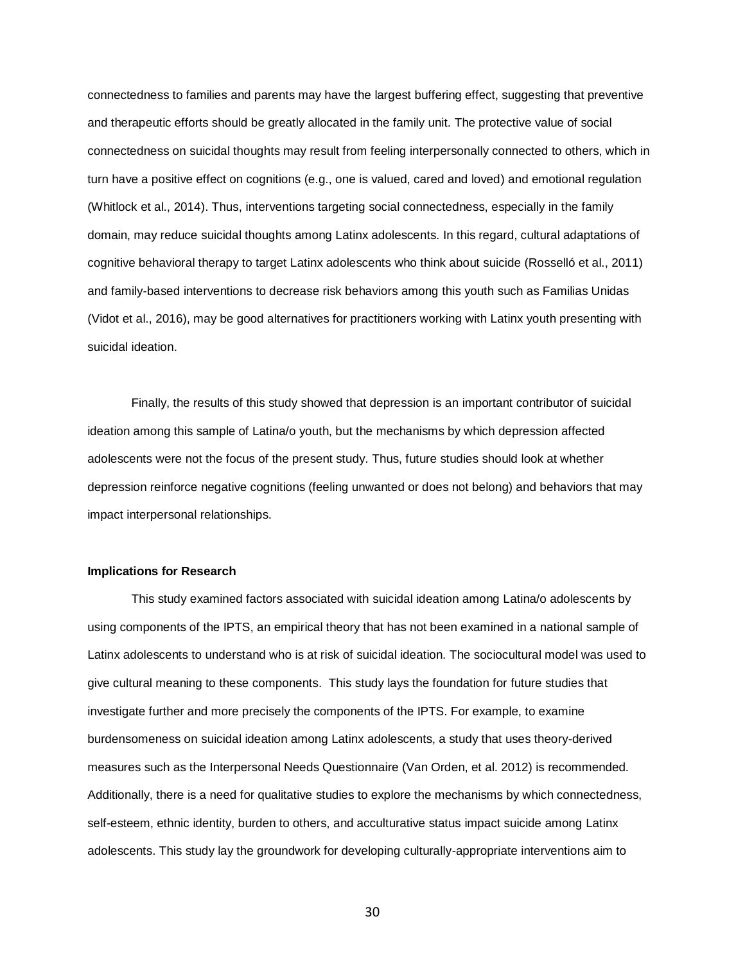connectedness to families and parents may have the largest buffering effect, suggesting that preventive and therapeutic efforts should be greatly allocated in the family unit. The protective value of social connectedness on suicidal thoughts may result from feeling interpersonally connected to others, which in turn have a positive effect on cognitions (e.g., one is valued, cared and loved) and emotional regulation (Whitlock et al., 2014). Thus, interventions targeting social connectedness, especially in the family domain, may reduce suicidal thoughts among Latinx adolescents. In this regard, cultural adaptations of cognitive behavioral therapy to target Latinx adolescents who think about suicide (Rosselló et al., 2011) and family-based interventions to decrease risk behaviors among this youth such as Familias Unidas (Vidot et al., 2016), may be good alternatives for practitioners working with Latinx youth presenting with suicidal ideation.

Finally, the results of this study showed that depression is an important contributor of suicidal ideation among this sample of Latina/o youth, but the mechanisms by which depression affected adolescents were not the focus of the present study. Thus, future studies should look at whether depression reinforce negative cognitions (feeling unwanted or does not belong) and behaviors that may impact interpersonal relationships.

## **Implications for Research**

This study examined factors associated with suicidal ideation among Latina/o adolescents by using components of the IPTS, an empirical theory that has not been examined in a national sample of Latinx adolescents to understand who is at risk of suicidal ideation. The sociocultural model was used to give cultural meaning to these components. This study lays the foundation for future studies that investigate further and more precisely the components of the IPTS. For example, to examine burdensomeness on suicidal ideation among Latinx adolescents, a study that uses theory-derived measures such as the Interpersonal Needs Questionnaire (Van Orden, et al. 2012) is recommended. Additionally, there is a need for qualitative studies to explore the mechanisms by which connectedness, self-esteem, ethnic identity, burden to others, and acculturative status impact suicide among Latinx adolescents. This study lay the groundwork for developing culturally-appropriate interventions aim to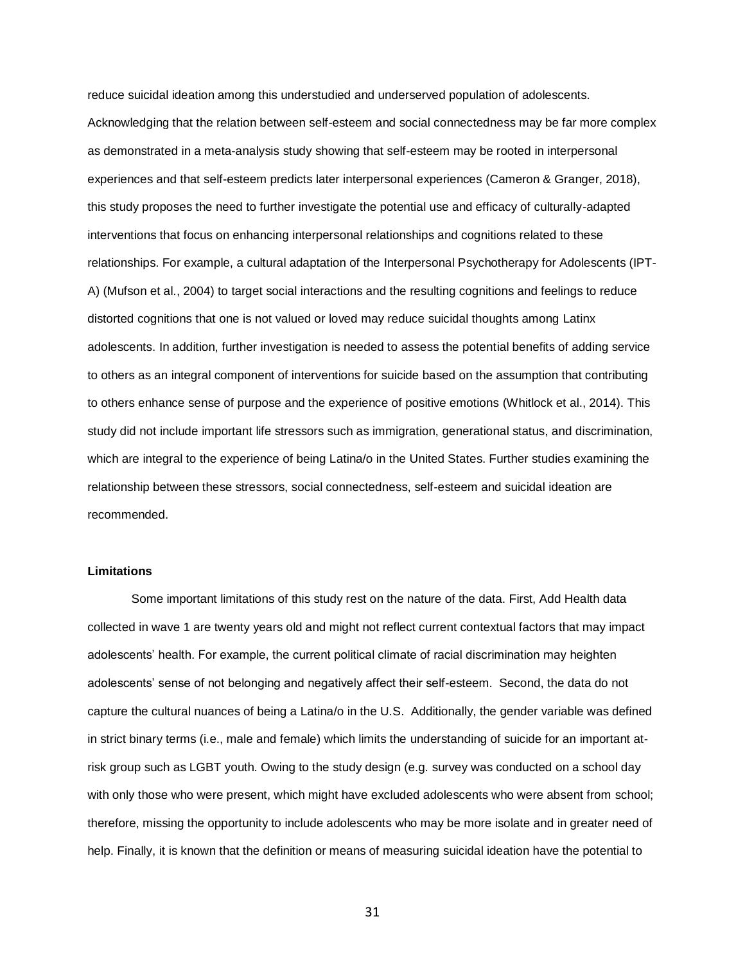reduce suicidal ideation among this understudied and underserved population of adolescents. Acknowledging that the relation between self-esteem and social connectedness may be far more complex as demonstrated in a meta-analysis study showing that self-esteem may be rooted in interpersonal experiences and that self-esteem predicts later interpersonal experiences (Cameron & Granger, 2018), this study proposes the need to further investigate the potential use and efficacy of culturally-adapted interventions that focus on enhancing interpersonal relationships and cognitions related to these relationships. For example, a cultural adaptation of the Interpersonal Psychotherapy for Adolescents (IPT-A) (Mufson et al., 2004) to target social interactions and the resulting cognitions and feelings to reduce distorted cognitions that one is not valued or loved may reduce suicidal thoughts among Latinx adolescents. In addition, further investigation is needed to assess the potential benefits of adding service to others as an integral component of interventions for suicide based on the assumption that contributing to others enhance sense of purpose and the experience of positive emotions (Whitlock et al., 2014). This study did not include important life stressors such as immigration, generational status, and discrimination, which are integral to the experience of being Latina/o in the United States. Further studies examining the relationship between these stressors, social connectedness, self-esteem and suicidal ideation are recommended.

# **Limitations**

Some important limitations of this study rest on the nature of the data. First, Add Health data collected in wave 1 are twenty years old and might not reflect current contextual factors that may impact adolescents' health. For example, the current political climate of racial discrimination may heighten adolescents' sense of not belonging and negatively affect their self-esteem. Second, the data do not capture the cultural nuances of being a Latina/o in the U.S. Additionally, the gender variable was defined in strict binary terms (i.e., male and female) which limits the understanding of suicide for an important atrisk group such as LGBT youth. Owing to the study design (e.g. survey was conducted on a school day with only those who were present, which might have excluded adolescents who were absent from school; therefore, missing the opportunity to include adolescents who may be more isolate and in greater need of help. Finally, it is known that the definition or means of measuring suicidal ideation have the potential to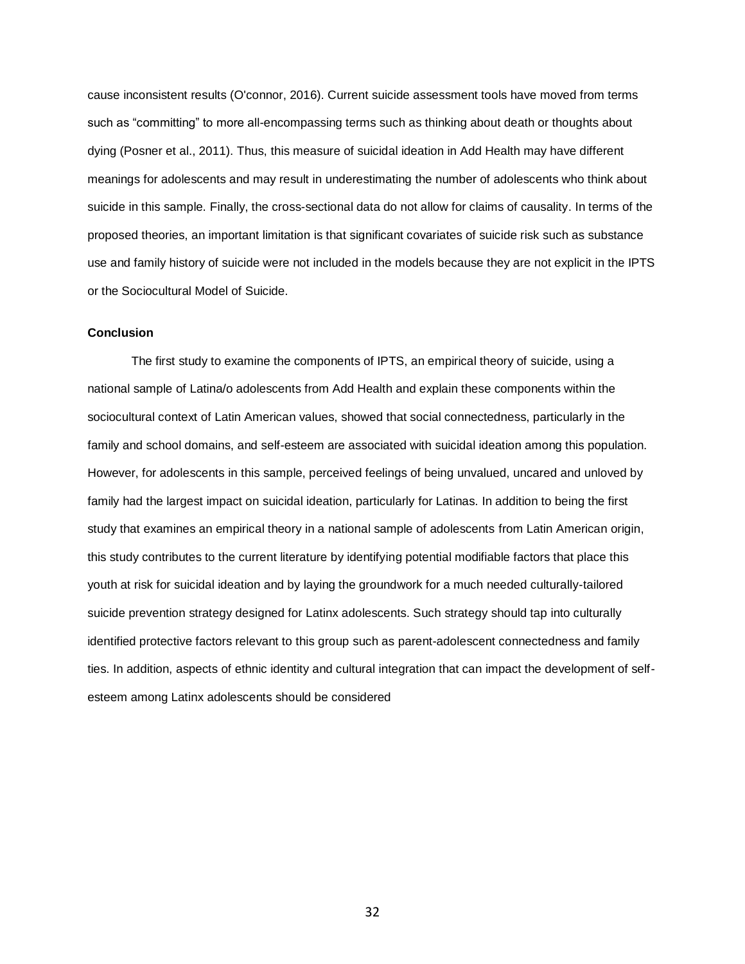cause inconsistent results (O'connor, 2016). Current suicide assessment tools have moved from terms such as "committing" to more all-encompassing terms such as thinking about death or thoughts about dying (Posner et al., 2011). Thus, this measure of suicidal ideation in Add Health may have different meanings for adolescents and may result in underestimating the number of adolescents who think about suicide in this sample. Finally, the cross-sectional data do not allow for claims of causality. In terms of the proposed theories, an important limitation is that significant covariates of suicide risk such as substance use and family history of suicide were not included in the models because they are not explicit in the IPTS or the Sociocultural Model of Suicide.

## **Conclusion**

The first study to examine the components of IPTS, an empirical theory of suicide, using a national sample of Latina/o adolescents from Add Health and explain these components within the sociocultural context of Latin American values, showed that social connectedness, particularly in the family and school domains, and self-esteem are associated with suicidal ideation among this population. However, for adolescents in this sample, perceived feelings of being unvalued, uncared and unloved by family had the largest impact on suicidal ideation, particularly for Latinas. In addition to being the first study that examines an empirical theory in a national sample of adolescents from Latin American origin, this study contributes to the current literature by identifying potential modifiable factors that place this youth at risk for suicidal ideation and by laying the groundwork for a much needed culturally-tailored suicide prevention strategy designed for Latinx adolescents. Such strategy should tap into culturally identified protective factors relevant to this group such as parent-adolescent connectedness and family ties. In addition, aspects of ethnic identity and cultural integration that can impact the development of selfesteem among Latinx adolescents should be considered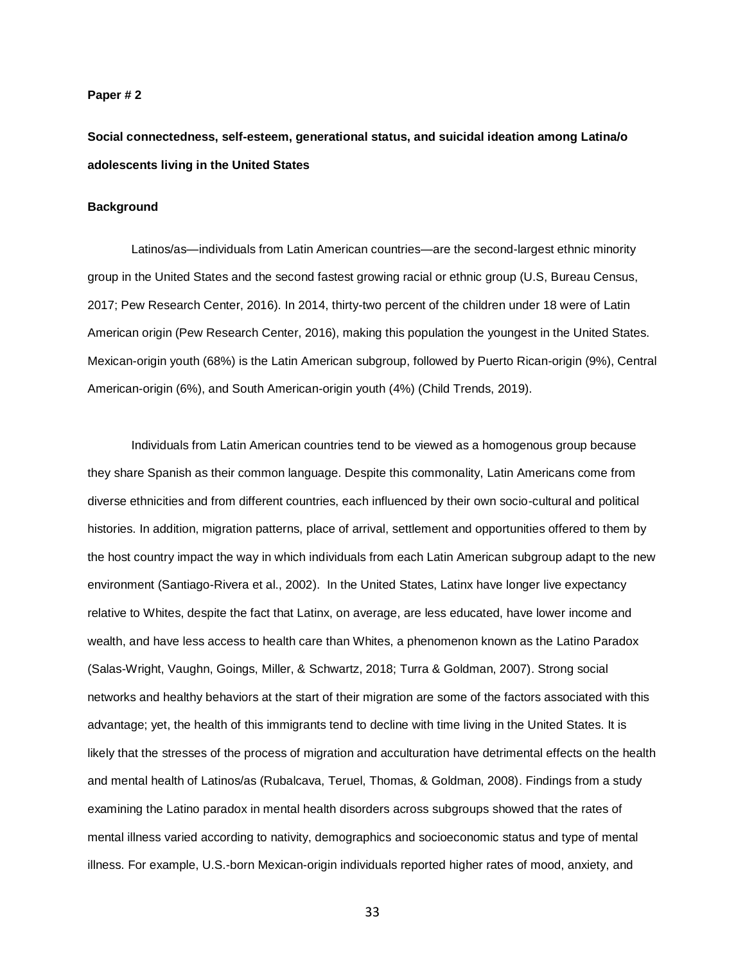### **Paper # 2**

**Social connectedness, self-esteem, generational status, and suicidal ideation among Latina/o adolescents living in the United States**

## **Background**

Latinos/as—individuals from Latin American countries—are the second-largest ethnic minority group in the United States and the second fastest growing racial or ethnic group (U.S, Bureau Census, 2017; Pew Research Center, 2016). In 2014, thirty-two percent of the children under 18 were of Latin American origin (Pew Research Center, 2016), making this population the youngest in the United States. Mexican-origin youth (68%) is the Latin American subgroup, followed by Puerto Rican-origin (9%), Central American-origin (6%), and South American-origin youth (4%) (Child Trends, 2019).

Individuals from Latin American countries tend to be viewed as a homogenous group because they share Spanish as their common language. Despite this commonality, Latin Americans come from diverse ethnicities and from different countries, each influenced by their own socio-cultural and political histories. In addition, migration patterns, place of arrival, settlement and opportunities offered to them by the host country impact the way in which individuals from each Latin American subgroup adapt to the new environment (Santiago-Rivera et al., 2002). In the United States, Latinx have longer live expectancy relative to Whites, despite the fact that Latinx, on average, are less educated, have lower income and wealth, and have less access to health care than Whites, a phenomenon known as the Latino Paradox (Salas-Wright, Vaughn, Goings, Miller, & Schwartz, 2018; Turra & Goldman, 2007). Strong social networks and healthy behaviors at the start of their migration are some of the factors associated with this advantage; yet, the health of this immigrants tend to decline with time living in the United States. It is likely that the stresses of the process of migration and acculturation have detrimental effects on the health and mental health of Latinos/as (Rubalcava, Teruel, Thomas, & Goldman, 2008). Findings from a study examining the Latino paradox in mental health disorders across subgroups showed that the rates of mental illness varied according to nativity, demographics and socioeconomic status and type of mental illness. For example, U.S.-born Mexican-origin individuals reported higher rates of mood, anxiety, and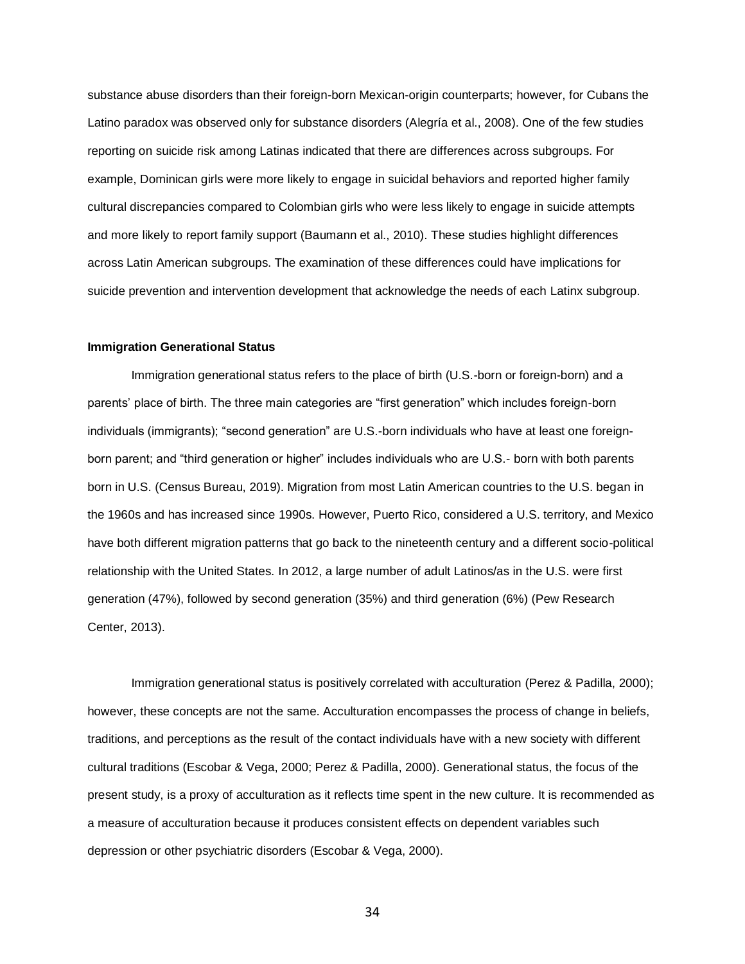substance abuse disorders than their foreign-born Mexican-origin counterparts; however, for Cubans the Latino paradox was observed only for substance disorders (Alegría et al., 2008). One of the few studies reporting on suicide risk among Latinas indicated that there are differences across subgroups. For example, Dominican girls were more likely to engage in suicidal behaviors and reported higher family cultural discrepancies compared to Colombian girls who were less likely to engage in suicide attempts and more likely to report family support (Baumann et al., 2010). These studies highlight differences across Latin American subgroups. The examination of these differences could have implications for suicide prevention and intervention development that acknowledge the needs of each Latinx subgroup.

## **Immigration Generational Status**

Immigration generational status refers to the place of birth (U.S.-born or foreign-born) and a parents' place of birth. The three main categories are "first generation" which includes foreign-born individuals (immigrants); "second generation" are U.S.-born individuals who have at least one foreignborn parent; and "third generation or higher" includes individuals who are U.S.- born with both parents born in U.S. (Census Bureau, 2019). Migration from most Latin American countries to the U.S. began in the 1960s and has increased since 1990s. However, Puerto Rico, considered a U.S. territory, and Mexico have both different migration patterns that go back to the nineteenth century and a different socio-political relationship with the United States. In 2012, a large number of adult Latinos/as in the U.S. were first generation (47%), followed by second generation (35%) and third generation (6%) (Pew Research Center, 2013).

Immigration generational status is positively correlated with acculturation (Perez & Padilla, 2000); however, these concepts are not the same. Acculturation encompasses the process of change in beliefs, traditions, and perceptions as the result of the contact individuals have with a new society with different cultural traditions (Escobar & Vega, 2000; Perez & Padilla, 2000). Generational status, the focus of the present study, is a proxy of acculturation as it reflects time spent in the new culture. It is recommended as a measure of acculturation because it produces consistent effects on dependent variables such depression or other psychiatric disorders (Escobar & Vega, 2000).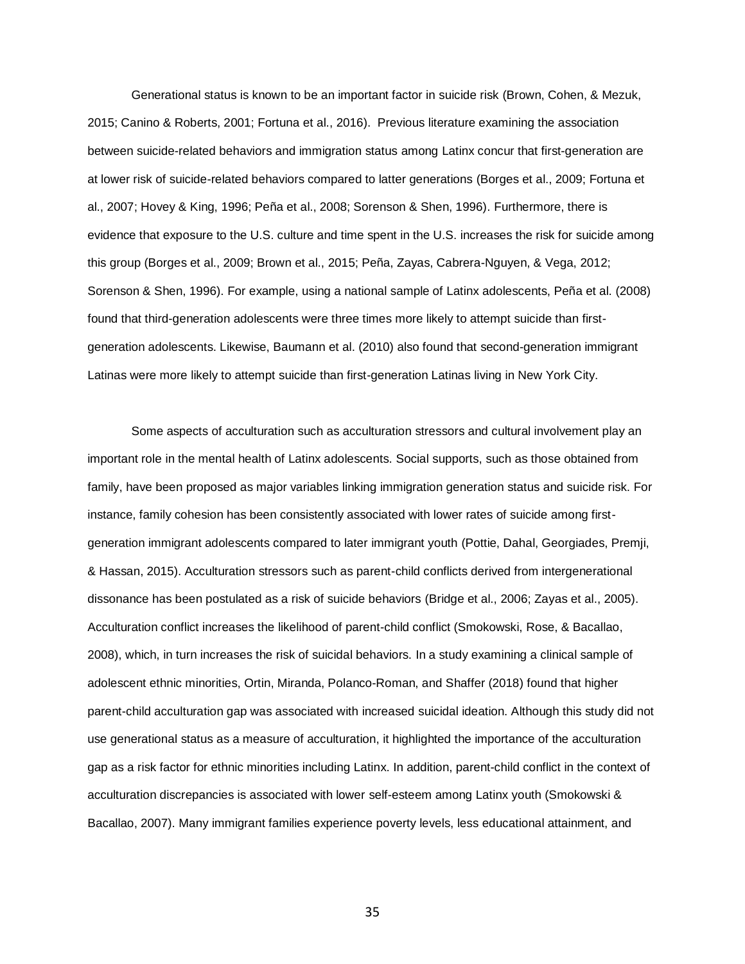Generational status is known to be an important factor in suicide risk (Brown, Cohen, & Mezuk, 2015; Canino & Roberts, 2001; Fortuna et al., 2016). Previous literature examining the association between suicide-related behaviors and immigration status among Latinx concur that first-generation are at lower risk of suicide-related behaviors compared to latter generations (Borges et al., 2009; Fortuna et al., 2007; Hovey & King, 1996; Peña et al., 2008; Sorenson & Shen, 1996). Furthermore, there is evidence that exposure to the U.S. culture and time spent in the U.S. increases the risk for suicide among this group (Borges et al., 2009; Brown et al., 2015; Peña, Zayas, Cabrera-Nguyen, & Vega, 2012; Sorenson & Shen, 1996). For example, using a national sample of Latinx adolescents, Peña et al. (2008) found that third-generation adolescents were three times more likely to attempt suicide than firstgeneration adolescents. Likewise, Baumann et al. (2010) also found that second-generation immigrant Latinas were more likely to attempt suicide than first-generation Latinas living in New York City.

Some aspects of acculturation such as acculturation stressors and cultural involvement play an important role in the mental health of Latinx adolescents. Social supports, such as those obtained from family, have been proposed as major variables linking immigration generation status and suicide risk. For instance, family cohesion has been consistently associated with lower rates of suicide among firstgeneration immigrant adolescents compared to later immigrant youth (Pottie, Dahal, Georgiades, Premji, & Hassan, 2015). Acculturation stressors such as parent-child conflicts derived from intergenerational dissonance has been postulated as a risk of suicide behaviors (Bridge et al., 2006; Zayas et al., 2005). Acculturation conflict increases the likelihood of parent-child conflict (Smokowski, Rose, & Bacallao, 2008), which, in turn increases the risk of suicidal behaviors. In a study examining a clinical sample of adolescent ethnic minorities, Ortin, Miranda, Polanco-Roman, and Shaffer (2018) found that higher parent-child acculturation gap was associated with increased suicidal ideation. Although this study did not use generational status as a measure of acculturation, it highlighted the importance of the acculturation gap as a risk factor for ethnic minorities including Latinx. In addition, parent-child conflict in the context of acculturation discrepancies is associated with lower self-esteem among Latinx youth (Smokowski & Bacallao, 2007). Many immigrant families experience poverty levels, less educational attainment, and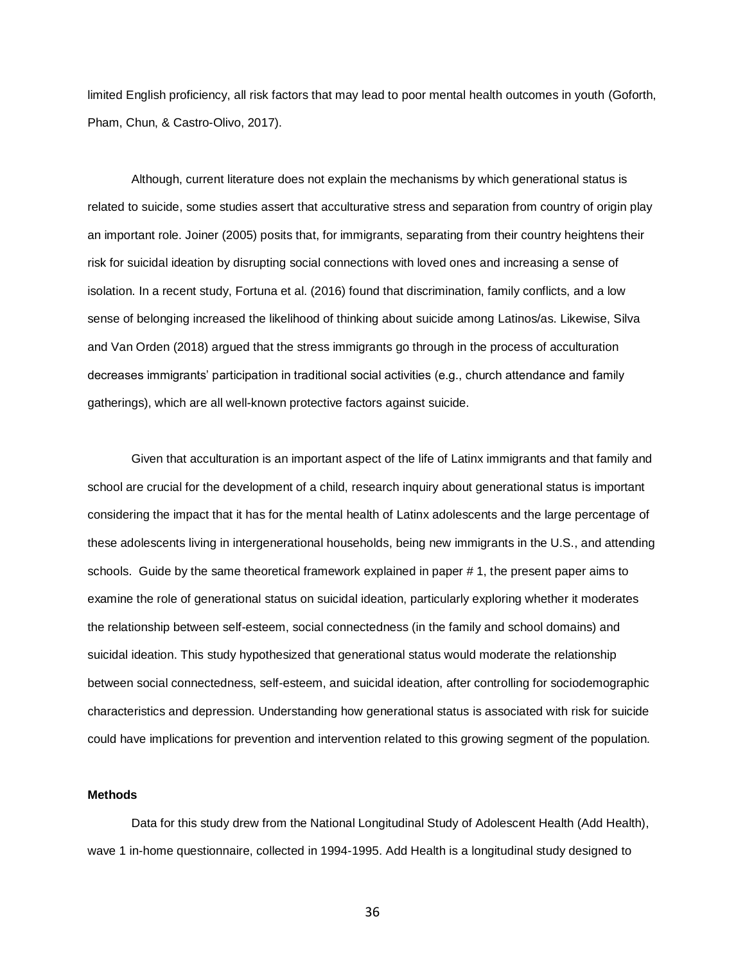limited English proficiency, all risk factors that may lead to poor mental health outcomes in youth (Goforth, Pham, Chun, & Castro-Olivo, 2017).

Although, current literature does not explain the mechanisms by which generational status is related to suicide, some studies assert that acculturative stress and separation from country of origin play an important role. Joiner (2005) posits that, for immigrants, separating from their country heightens their risk for suicidal ideation by disrupting social connections with loved ones and increasing a sense of isolation. In a recent study, Fortuna et al. (2016) found that discrimination, family conflicts, and a low sense of belonging increased the likelihood of thinking about suicide among Latinos/as. Likewise, Silva and Van Orden (2018) argued that the stress immigrants go through in the process of acculturation decreases immigrants' participation in traditional social activities (e.g., church attendance and family gatherings), which are all well-known protective factors against suicide.

Given that acculturation is an important aspect of the life of Latinx immigrants and that family and school are crucial for the development of a child, research inquiry about generational status is important considering the impact that it has for the mental health of Latinx adolescents and the large percentage of these adolescents living in intergenerational households, being new immigrants in the U.S., and attending schools. Guide by the same theoretical framework explained in paper # 1, the present paper aims to examine the role of generational status on suicidal ideation, particularly exploring whether it moderates the relationship between self-esteem, social connectedness (in the family and school domains) and suicidal ideation. This study hypothesized that generational status would moderate the relationship between social connectedness, self-esteem, and suicidal ideation, after controlling for sociodemographic characteristics and depression. Understanding how generational status is associated with risk for suicide could have implications for prevention and intervention related to this growing segment of the population.

#### **Methods**

Data for this study drew from the National Longitudinal Study of Adolescent Health (Add Health), wave 1 in-home questionnaire, collected in 1994-1995. Add Health is a longitudinal study designed to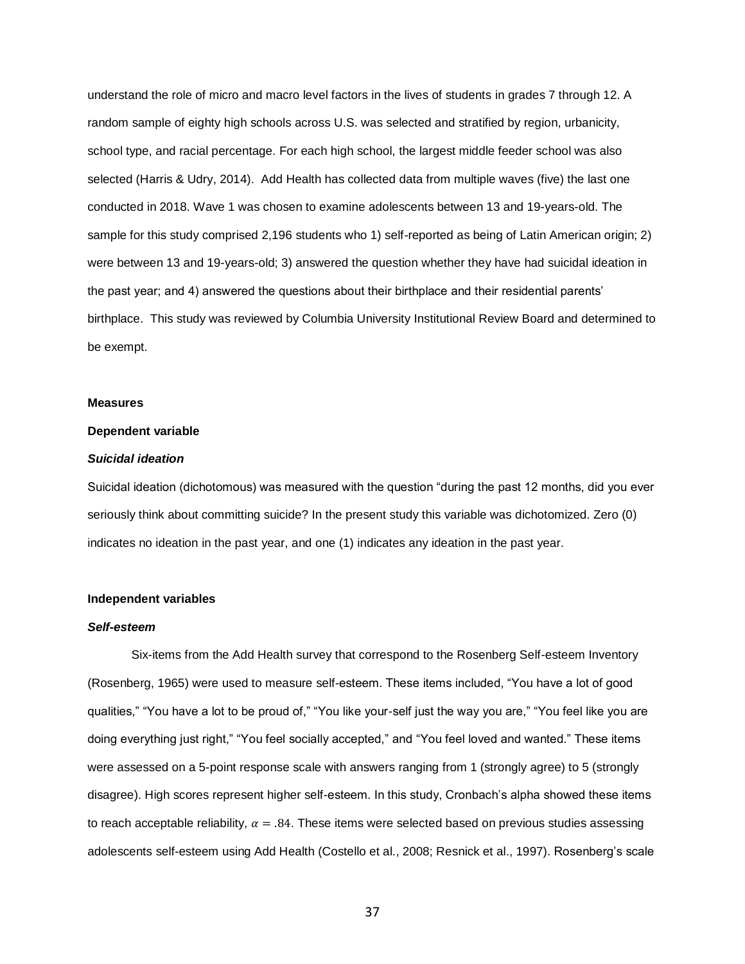understand the role of micro and macro level factors in the lives of students in grades 7 through 12. A random sample of eighty high schools across U.S. was selected and stratified by region, urbanicity, school type, and racial percentage. For each high school, the largest middle feeder school was also selected (Harris & Udry, 2014). Add Health has collected data from multiple waves (five) the last one conducted in 2018. Wave 1 was chosen to examine adolescents between 13 and 19-years-old. The sample for this study comprised 2,196 students who 1) self-reported as being of Latin American origin; 2) were between 13 and 19-years-old; 3) answered the question whether they have had suicidal ideation in the past year; and 4) answered the questions about their birthplace and their residential parents' birthplace. This study was reviewed by Columbia University Institutional Review Board and determined to be exempt.

#### **Measures**

### **Dependent variable**

#### *Suicidal ideation*

Suicidal ideation (dichotomous) was measured with the question "during the past 12 months, did you ever seriously think about committing suicide? In the present study this variable was dichotomized. Zero (0) indicates no ideation in the past year, and one (1) indicates any ideation in the past year.

### **Independent variables**

### *Self-esteem*

Six-items from the Add Health survey that correspond to the Rosenberg Self-esteem Inventory (Rosenberg, 1965) were used to measure self-esteem. These items included, "You have a lot of good qualities," "You have a lot to be proud of," "You like your-self just the way you are," "You feel like you are doing everything just right," "You feel socially accepted," and "You feel loved and wanted." These items were assessed on a 5-point response scale with answers ranging from 1 (strongly agree) to 5 (strongly disagree). High scores represent higher self-esteem. In this study, Cronbach's alpha showed these items to reach acceptable reliability,  $\alpha = .84$ . These items were selected based on previous studies assessing adolescents self-esteem using Add Health (Costello et al., 2008; Resnick et al., 1997). Rosenberg's scale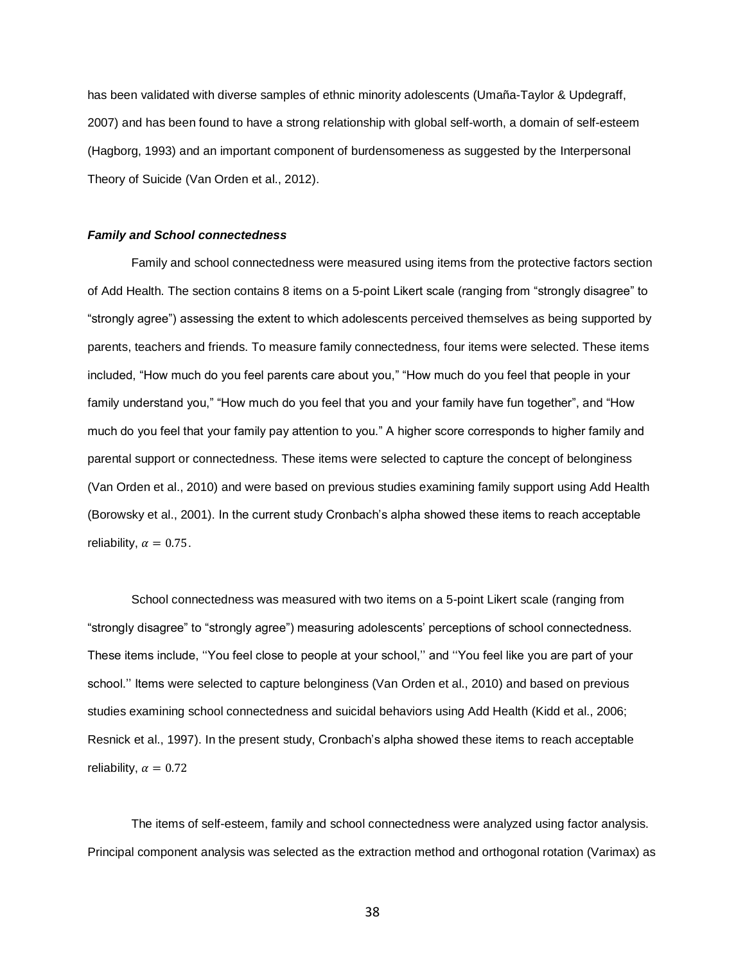has been validated with diverse samples of ethnic minority adolescents (Umaña-Taylor & Updegraff, 2007) and has been found to have a strong relationship with global self-worth, a domain of self-esteem (Hagborg, 1993) and an important component of burdensomeness as suggested by the Interpersonal Theory of Suicide (Van Orden et al., 2012).

#### *Family and School connectedness*

Family and school connectedness were measured using items from the protective factors section of Add Health. The section contains 8 items on a 5-point Likert scale (ranging from "strongly disagree" to "strongly agree") assessing the extent to which adolescents perceived themselves as being supported by parents, teachers and friends. To measure family connectedness, four items were selected. These items included, "How much do you feel parents care about you," "How much do you feel that people in your family understand you," "How much do you feel that you and your family have fun together", and "How much do you feel that your family pay attention to you." A higher score corresponds to higher family and parental support or connectedness. These items were selected to capture the concept of belonginess (Van Orden et al., 2010) and were based on previous studies examining family support using Add Health (Borowsky et al., 2001). In the current study Cronbach's alpha showed these items to reach acceptable reliability,  $\alpha = 0.75$ .

School connectedness was measured with two items on a 5-point Likert scale (ranging from "strongly disagree" to "strongly agree") measuring adolescents' perceptions of school connectedness. These items include, ''You feel close to people at your school,'' and ''You feel like you are part of your school.'' Items were selected to capture belonginess (Van Orden et al., 2010) and based on previous studies examining school connectedness and suicidal behaviors using Add Health (Kidd et al., 2006; Resnick et al., 1997). In the present study, Cronbach's alpha showed these items to reach acceptable reliability,  $\alpha = 0.72$ 

The items of self-esteem, family and school connectedness were analyzed using factor analysis. Principal component analysis was selected as the extraction method and orthogonal rotation (Varimax) as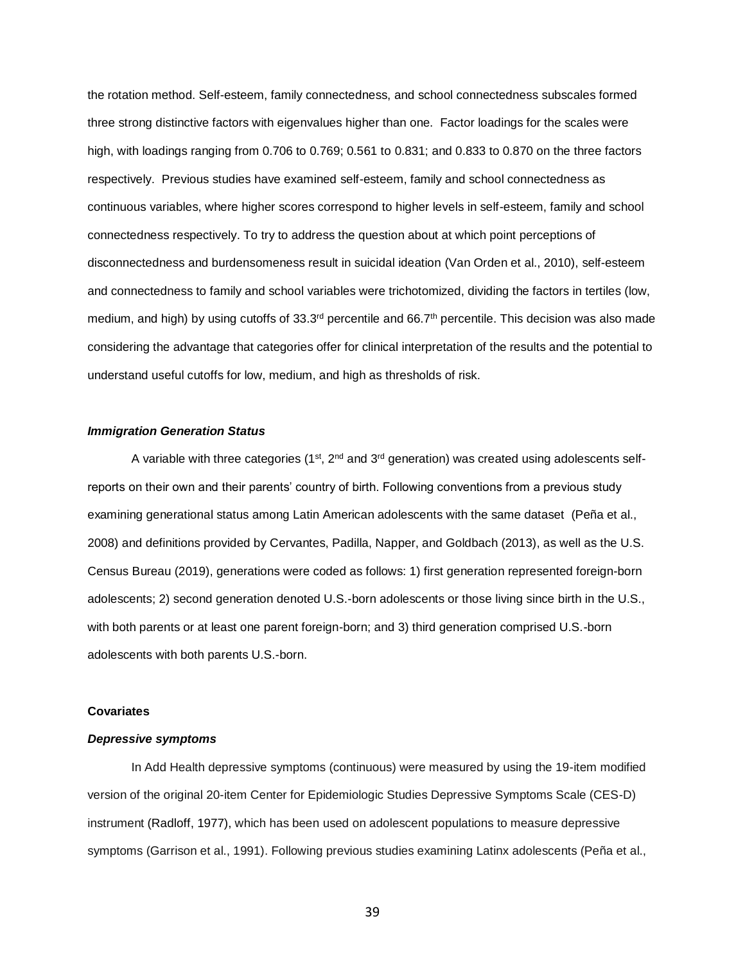the rotation method. Self-esteem, family connectedness, and school connectedness subscales formed three strong distinctive factors with eigenvalues higher than one. Factor loadings for the scales were high, with loadings ranging from 0.706 to 0.769; 0.561 to 0.831; and 0.833 to 0.870 on the three factors respectively. Previous studies have examined self-esteem, family and school connectedness as continuous variables, where higher scores correspond to higher levels in self-esteem, family and school connectedness respectively. To try to address the question about at which point perceptions of disconnectedness and burdensomeness result in suicidal ideation (Van Orden et al., 2010), self-esteem and connectedness to family and school variables were trichotomized, dividing the factors in tertiles (low, medium, and high) by using cutoffs of 33.3<sup>rd</sup> percentile and 66.7<sup>th</sup> percentile. This decision was also made considering the advantage that categories offer for clinical interpretation of the results and the potential to understand useful cutoffs for low, medium, and high as thresholds of risk.

## *Immigration Generation Status*

A variable with three categories (1<sup>st</sup>, 2<sup>nd</sup> and 3<sup>rd</sup> generation) was created using adolescents selfreports on their own and their parents' country of birth. Following conventions from a previous study examining generational status among Latin American adolescents with the same dataset (Peña et al., 2008) and definitions provided by Cervantes, Padilla, Napper, and Goldbach (2013), as well as the U.S. Census Bureau (2019), generations were coded as follows: 1) first generation represented foreign-born adolescents; 2) second generation denoted U.S.-born adolescents or those living since birth in the U.S., with both parents or at least one parent foreign-born; and 3) third generation comprised U.S.-born adolescents with both parents U.S.-born.

#### **Covariates**

#### *Depressive symptoms*

In Add Health depressive symptoms (continuous) were measured by using the 19-item modified version of the original 20-item Center for Epidemiologic Studies Depressive Symptoms Scale (CES-D) instrument (Radloff, 1977), which has been used on adolescent populations to measure depressive symptoms (Garrison et al., 1991). Following previous studies examining Latinx adolescents (Peña et al.,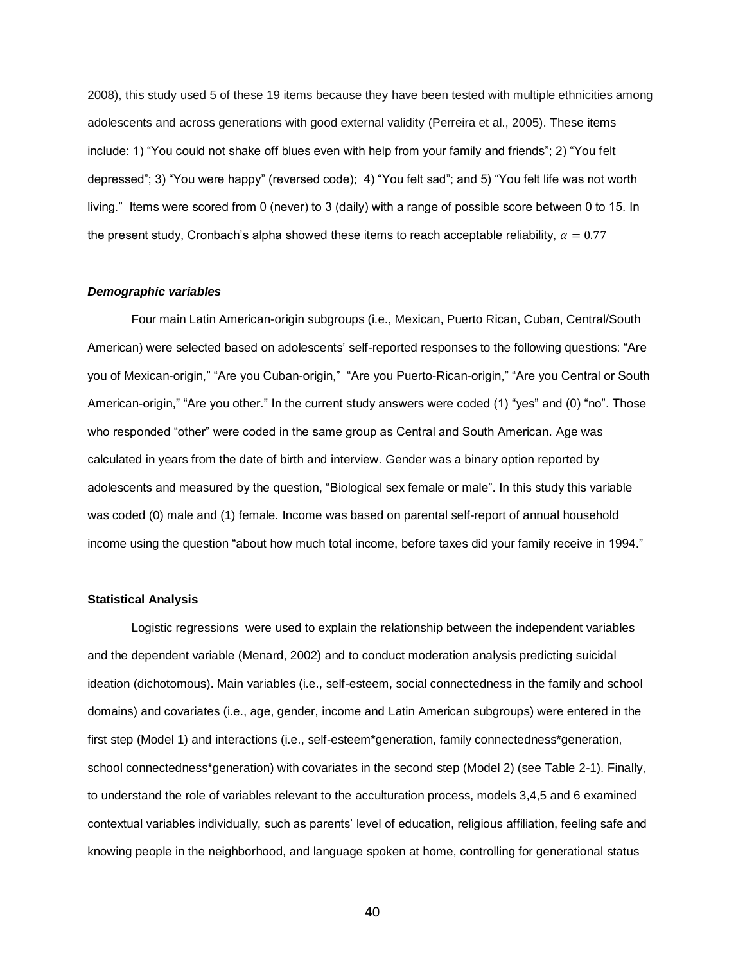2008), this study used 5 of these 19 items because they have been tested with multiple ethnicities among adolescents and across generations with good external validity (Perreira et al., 2005). These items include: 1) "You could not shake off blues even with help from your family and friends"; 2) "You felt depressed"; 3) "You were happy" (reversed code); 4) "You felt sad"; and 5) "You felt life was not worth living." Items were scored from 0 (never) to 3 (daily) with a range of possible score between 0 to 15. In the present study, Cronbach's alpha showed these items to reach acceptable reliability,  $\alpha = 0.77$ 

#### *Demographic variables*

Four main Latin American-origin subgroups (i.e., Mexican, Puerto Rican, Cuban, Central/South American) were selected based on adolescents' self-reported responses to the following questions: "Are you of Mexican-origin," "Are you Cuban-origin," "Are you Puerto-Rican-origin," "Are you Central or South American-origin," "Are you other." In the current study answers were coded (1) "yes" and (0) "no". Those who responded "other" were coded in the same group as Central and South American. Age was calculated in years from the date of birth and interview. Gender was a binary option reported by adolescents and measured by the question, "Biological sex female or male". In this study this variable was coded (0) male and (1) female. Income was based on parental self-report of annual household income using the question "about how much total income, before taxes did your family receive in 1994."

#### **Statistical Analysis**

Logistic regressions were used to explain the relationship between the independent variables and the dependent variable (Menard, 2002) and to conduct moderation analysis predicting suicidal ideation (dichotomous). Main variables (i.e., self-esteem, social connectedness in the family and school domains) and covariates (i.e., age, gender, income and Latin American subgroups) were entered in the first step (Model 1) and interactions (i.e., self-esteem\*generation, family connectedness\*generation, school connectedness\*generation) with covariates in the second step (Model 2) (see Table 2-1). Finally, to understand the role of variables relevant to the acculturation process, models 3,4,5 and 6 examined contextual variables individually, such as parents' level of education, religious affiliation, feeling safe and knowing people in the neighborhood, and language spoken at home, controlling for generational status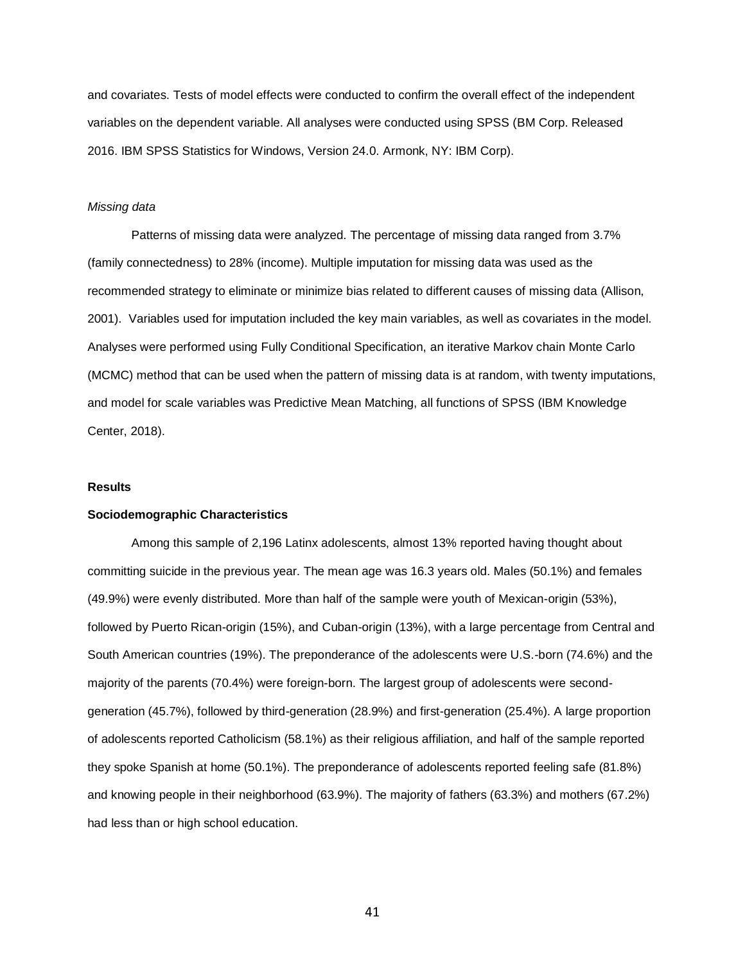and covariates. Tests of model effects were conducted to confirm the overall effect of the independent variables on the dependent variable. All analyses were conducted using SPSS (BM Corp. Released 2016. IBM SPSS Statistics for Windows, Version 24.0. Armonk, NY: IBM Corp).

# *Missing data*

Patterns of missing data were analyzed. The percentage of missing data ranged from 3.7% (family connectedness) to 28% (income). Multiple imputation for missing data was used as the recommended strategy to eliminate or minimize bias related to different causes of missing data (Allison, 2001). Variables used for imputation included the key main variables, as well as covariates in the model. Analyses were performed using Fully Conditional Specification, an iterative Markov chain Monte Carlo (MCMC) method that can be used when the pattern of missing data is at random, with twenty imputations, and model for scale variables was Predictive Mean Matching, all functions of SPSS (IBM Knowledge Center, 2018).

#### **Results**

## **Sociodemographic Characteristics**

Among this sample of 2,196 Latinx adolescents, almost 13% reported having thought about committing suicide in the previous year. The mean age was 16.3 years old. Males (50.1%) and females (49.9%) were evenly distributed. More than half of the sample were youth of Mexican-origin (53%), followed by Puerto Rican-origin (15%), and Cuban-origin (13%), with a large percentage from Central and South American countries (19%). The preponderance of the adolescents were U.S.-born (74.6%) and the majority of the parents (70.4%) were foreign-born. The largest group of adolescents were secondgeneration (45.7%), followed by third-generation (28.9%) and first-generation (25.4%). A large proportion of adolescents reported Catholicism (58.1%) as their religious affiliation, and half of the sample reported they spoke Spanish at home (50.1%). The preponderance of adolescents reported feeling safe (81.8%) and knowing people in their neighborhood (63.9%). The majority of fathers (63.3%) and mothers (67.2%) had less than or high school education.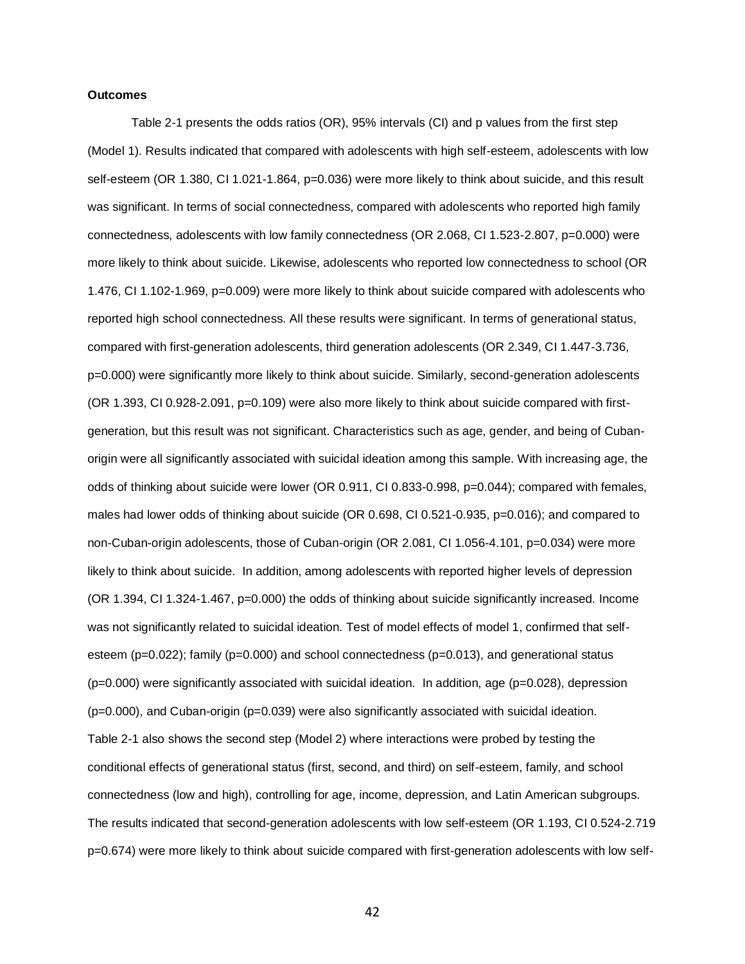#### **Outcomes**

Table 2-1 presents the odds ratios (OR), 95% intervals (CI) and p values from the first step (Model 1). Results indicated that compared with adolescents with high self-esteem, adolescents with low self-esteem (OR 1.380, CI 1.021-1.864, p=0.036) were more likely to think about suicide, and this result was significant. In terms of social connectedness, compared with adolescents who reported high family connectedness, adolescents with low family connectedness (OR 2.068, CI 1.523-2.807, p=0.000) were more likely to think about suicide. Likewise, adolescents who reported low connectedness to school (OR 1.476, CI 1.102-1.969, p=0.009) were more likely to think about suicide compared with adolescents who reported high school connectedness. All these results were significant. In terms of generational status, compared with first-generation adolescents, third generation adolescents (OR 2.349, CI 1.447-3.736, p=0.000) were significantly more likely to think about suicide. Similarly, second-generation adolescents (OR 1.393, CI 0.928-2.091, p=0.109) were also more likely to think about suicide compared with firstgeneration, but this result was not significant. Characteristics such as age, gender, and being of Cubanorigin were all significantly associated with suicidal ideation among this sample. With increasing age, the odds of thinking about suicide were lower (OR 0.911, CI 0.833-0.998, p=0.044); compared with females, males had lower odds of thinking about suicide (OR 0.698, CI 0.521-0.935, p=0.016); and compared to non-Cuban-origin adolescents, those of Cuban-origin (OR 2.081, CI 1.056-4.101, p=0.034) were more likely to think about suicide. In addition, among adolescents with reported higher levels of depression (OR 1.394, CI 1.324-1.467, p=0.000) the odds of thinking about suicide significantly increased. Income was not significantly related to suicidal ideation. Test of model effects of model 1, confirmed that selfesteem (p=0.022); family (p=0.000) and school connectedness (p=0.013), and generational status (p=0.000) were significantly associated with suicidal ideation. In addition, age (p=0.028), depression (p=0.000), and Cuban-origin (p=0.039) were also significantly associated with suicidal ideation. Table 2-1 also shows the second step (Model 2) where interactions were probed by testing the conditional effects of generational status (first, second, and third) on self-esteem, family, and school connectedness (low and high), controlling for age, income, depression, and Latin American subgroups. The results indicated that second-generation adolescents with low self-esteem (OR 1.193, CI 0.524-2.719 p=0.674) were more likely to think about suicide compared with first-generation adolescents with low self-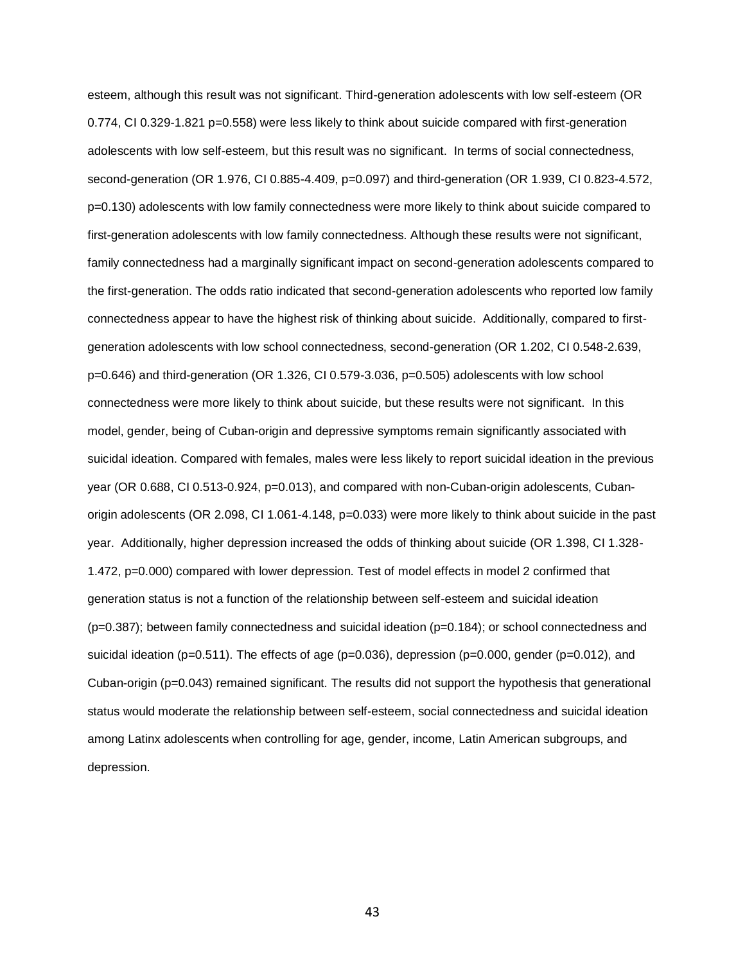esteem, although this result was not significant. Third-generation adolescents with low self-esteem (OR 0.774, CI 0.329-1.821 p=0.558) were less likely to think about suicide compared with first-generation adolescents with low self-esteem, but this result was no significant. In terms of social connectedness, second-generation (OR 1.976, CI 0.885-4.409, p=0.097) and third-generation (OR 1.939, CI 0.823-4.572, p=0.130) adolescents with low family connectedness were more likely to think about suicide compared to first-generation adolescents with low family connectedness. Although these results were not significant, family connectedness had a marginally significant impact on second-generation adolescents compared to the first-generation. The odds ratio indicated that second-generation adolescents who reported low family connectedness appear to have the highest risk of thinking about suicide. Additionally, compared to firstgeneration adolescents with low school connectedness, second-generation (OR 1.202, CI 0.548-2.639, p=0.646) and third-generation (OR 1.326, CI 0.579-3.036, p=0.505) adolescents with low school connectedness were more likely to think about suicide, but these results were not significant. In this model, gender, being of Cuban-origin and depressive symptoms remain significantly associated with suicidal ideation. Compared with females, males were less likely to report suicidal ideation in the previous year (OR 0.688, CI 0.513-0.924, p=0.013), and compared with non-Cuban-origin adolescents, Cubanorigin adolescents (OR 2.098, CI 1.061-4.148, p=0.033) were more likely to think about suicide in the past year. Additionally, higher depression increased the odds of thinking about suicide (OR 1.398, CI 1.328- 1.472, p=0.000) compared with lower depression. Test of model effects in model 2 confirmed that generation status is not a function of the relationship between self-esteem and suicidal ideation (p=0.387); between family connectedness and suicidal ideation (p=0.184); or school connectedness and suicidal ideation (p=0.511). The effects of age (p=0.036), depression (p=0.000, gender (p=0.012), and Cuban-origin (p=0.043) remained significant. The results did not support the hypothesis that generational status would moderate the relationship between self-esteem, social connectedness and suicidal ideation among Latinx adolescents when controlling for age, gender, income, Latin American subgroups, and depression.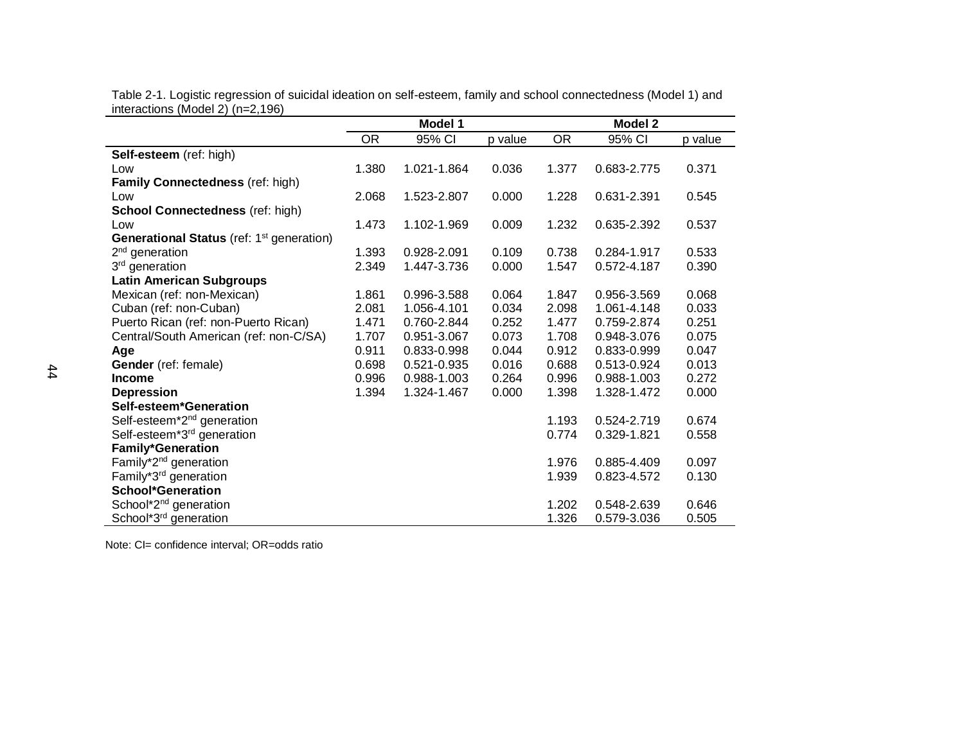|                                                       | Model 1   |             |         | <b>Model 2</b> |             |         |
|-------------------------------------------------------|-----------|-------------|---------|----------------|-------------|---------|
|                                                       | <b>OR</b> | 95% CI      | p value | <b>OR</b>      | 95% CI      | p value |
| Self-esteem (ref: high)                               |           |             |         |                |             |         |
| Low                                                   | 1.380     | 1.021-1.864 | 0.036   | 1.377          | 0.683-2.775 | 0.371   |
| Family Connectedness (ref: high)                      |           |             |         |                |             |         |
| Low                                                   | 2.068     | 1.523-2.807 | 0.000   | 1.228          | 0.631-2.391 | 0.545   |
| <b>School Connectedness (ref: high)</b>               |           |             |         |                |             |         |
| Low                                                   | 1.473     | 1.102-1.969 | 0.009   | 1.232          | 0.635-2.392 | 0.537   |
| Generational Status (ref: 1 <sup>st</sup> generation) |           |             |         |                |             |         |
| $2nd$ generation                                      | 1.393     | 0.928-2.091 | 0.109   | 0.738          | 0.284-1.917 | 0.533   |
| 3 <sup>rd</sup> generation                            | 2.349     | 1.447-3.736 | 0.000   | 1.547          | 0.572-4.187 | 0.390   |
| <b>Latin American Subgroups</b>                       |           |             |         |                |             |         |
| Mexican (ref: non-Mexican)                            | 1.861     | 0.996-3.588 | 0.064   | 1.847          | 0.956-3.569 | 0.068   |
| Cuban (ref: non-Cuban)                                | 2.081     | 1.056-4.101 | 0.034   | 2.098          | 1.061-4.148 | 0.033   |
| Puerto Rican (ref: non-Puerto Rican)                  | 1.471     | 0.760-2.844 | 0.252   | 1.477          | 0.759-2.874 | 0.251   |
| Central/South American (ref: non-C/SA)                | 1.707     | 0.951-3.067 | 0.073   | 1.708          | 0.948-3.076 | 0.075   |
| Age                                                   | 0.911     | 0.833-0.998 | 0.044   | 0.912          | 0.833-0.999 | 0.047   |
| Gender (ref: female)                                  | 0.698     | 0.521-0.935 | 0.016   | 0.688          | 0.513-0.924 | 0.013   |
| <b>Income</b>                                         | 0.996     | 0.988-1.003 | 0.264   | 0.996          | 0.988-1.003 | 0.272   |
| <b>Depression</b>                                     | 1.394     | 1.324-1.467 | 0.000   | 1.398          | 1.328-1.472 | 0.000   |
| Self-esteem*Generation                                |           |             |         |                |             |         |
| Self-esteem*2 <sup>nd</sup> generation                |           |             |         | 1.193          | 0.524-2.719 | 0.674   |
| Self-esteem*3 <sup>rd</sup> generation                |           |             |         | 0.774          | 0.329-1.821 | 0.558   |
| <b>Family*Generation</b>                              |           |             |         |                |             |         |
| Family*2 <sup>nd</sup> generation                     |           |             |         | 1.976          | 0.885-4.409 | 0.097   |
| Family*3 <sup>rd</sup> generation                     |           |             |         | 1.939          | 0.823-4.572 | 0.130   |
| <b>School*Generation</b>                              |           |             |         |                |             |         |
| School*2 <sup>nd</sup> generation                     |           |             |         | 1.202          | 0.548-2.639 | 0.646   |
| School*3 <sup>rd</sup> generation                     |           |             |         | 1.326          | 0.579-3.036 | 0.505   |

Table 2-1. Logistic regression of suicidal ideation on self-esteem, family and school connectedness (Model 1) and interactions (Model 2) (n=2,196)

Note: CI= confidence interval; OR=odds ratio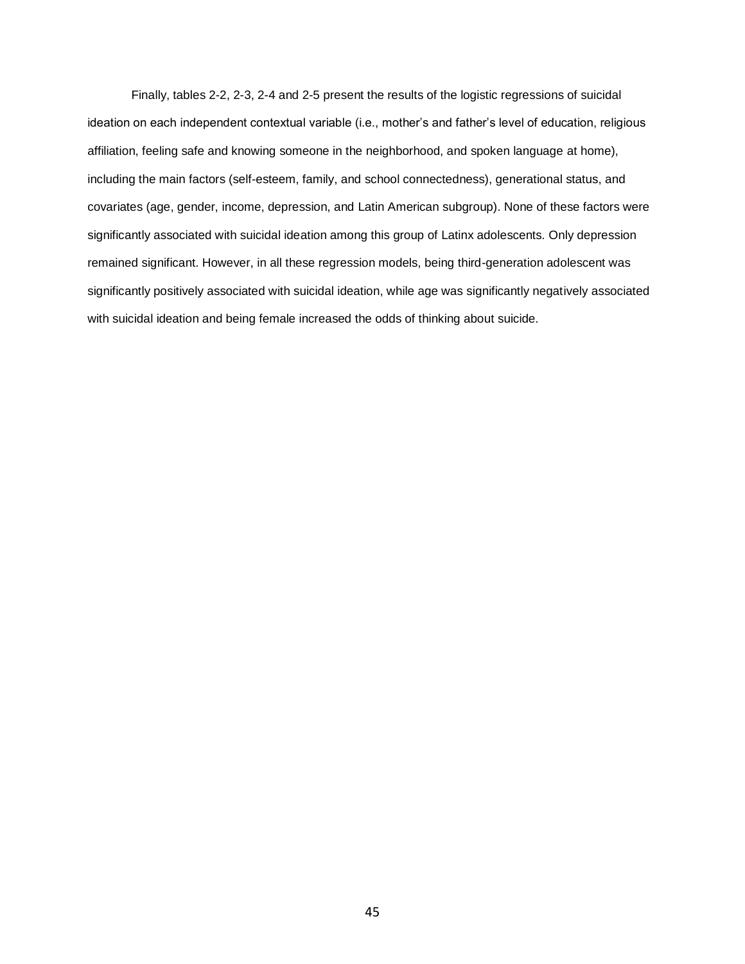Finally, tables 2-2, 2-3, 2-4 and 2-5 present the results of the logistic regressions of suicidal ideation on each independent contextual variable (i.e., mother's and father's level of education, religious affiliation, feeling safe and knowing someone in the neighborhood, and spoken language at home), including the main factors (self-esteem, family, and school connectedness), generational status, and covariates (age, gender, income, depression, and Latin American subgroup). None of these factors were significantly associated with suicidal ideation among this group of Latinx adolescents. Only depression remained significant. However, in all these regression models, being third-generation adolescent was significantly positively associated with suicidal ideation, while age was significantly negatively associated with suicidal ideation and being female increased the odds of thinking about suicide.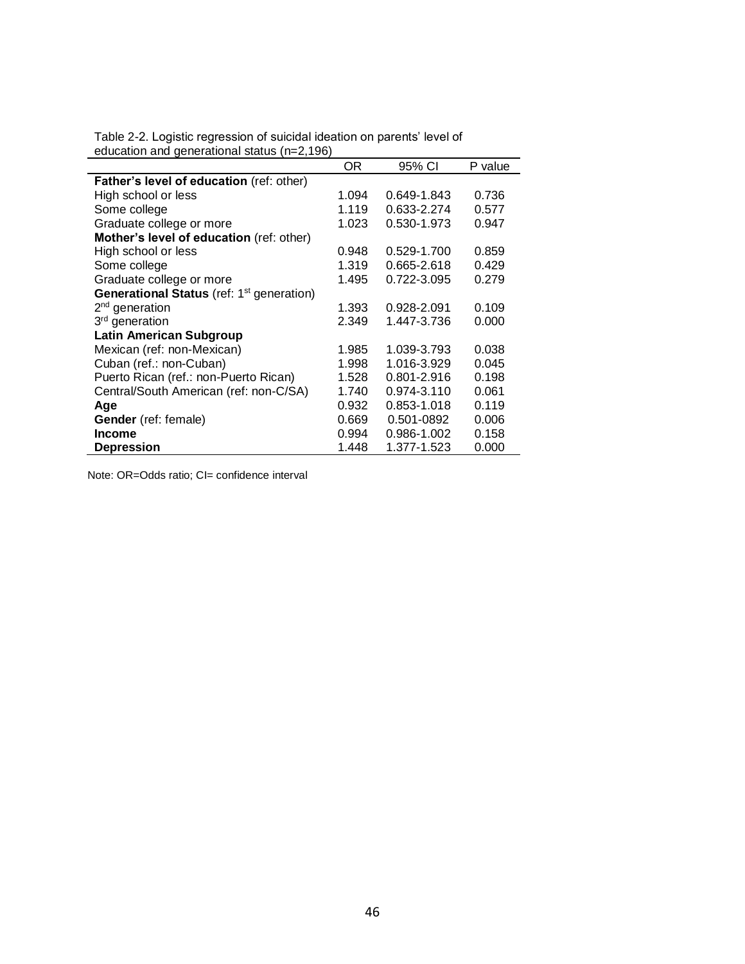| caacation and goncrational status (n=2,150)                  | OR.   | 95% CI      | P value |
|--------------------------------------------------------------|-------|-------------|---------|
| Father's level of education (ref: other)                     |       |             |         |
| High school or less                                          | 1.094 | 0.649-1.843 | 0.736   |
| Some college                                                 | 1.119 | 0.633-2.274 | 0.577   |
| Graduate college or more                                     | 1.023 | 0.530-1.973 | 0.947   |
| Mother's level of education (ref: other)                     |       |             |         |
| High school or less                                          | 0.948 | 0.529-1.700 | 0.859   |
| Some college                                                 | 1.319 | 0.665-2.618 | 0.429   |
| Graduate college or more                                     | 1.495 | 0.722-3.095 | 0.279   |
| <b>Generational Status</b> (ref: 1 <sup>st</sup> generation) |       |             |         |
| 2 <sup>nd</sup> generation                                   | 1.393 | 0.928-2.091 | 0.109   |
| 3 <sup>rd</sup> generation                                   | 2.349 | 1.447-3.736 | 0.000   |
| <b>Latin American Subgroup</b>                               |       |             |         |
| Mexican (ref: non-Mexican)                                   | 1.985 | 1.039-3.793 | 0.038   |
| Cuban (ref.: non-Cuban)                                      | 1.998 | 1.016-3.929 | 0.045   |
| Puerto Rican (ref.: non-Puerto Rican)                        | 1.528 | 0.801-2.916 | 0.198   |
| Central/South American (ref: non-C/SA)                       | 1.740 | 0.974-3.110 | 0.061   |
| Age                                                          | 0.932 | 0.853-1.018 | 0.119   |
| Gender (ref: female)                                         | 0.669 | 0.501-0892  | 0.006   |
| Income                                                       | 0.994 | 0.986-1.002 | 0.158   |
| <b>Depression</b>                                            | 1.448 | 1.377-1.523 | 0.000   |

Table 2-2. Logistic regression of suicidal ideation on parents' level of education and generational status (n=2,196)

Note: OR=Odds ratio; CI= confidence interval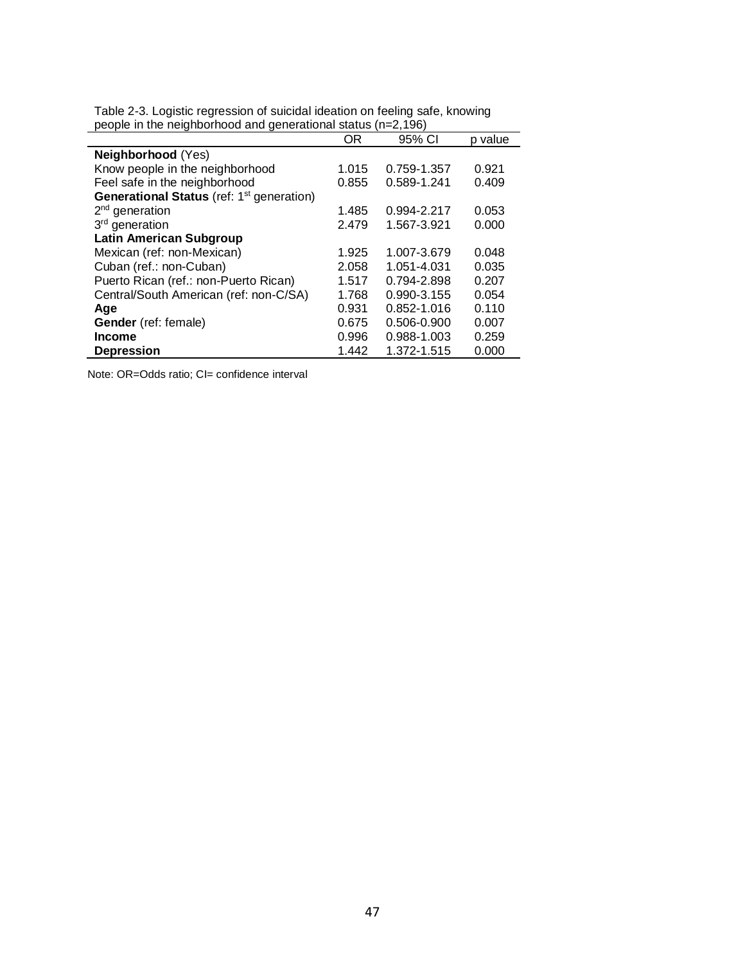|                                                       | OR    | 95% CI      | p value |
|-------------------------------------------------------|-------|-------------|---------|
| Neighborhood (Yes)                                    |       |             |         |
| Know people in the neighborhood                       | 1.015 | 0.759-1.357 | 0.921   |
| Feel safe in the neighborhood                         | 0.855 | 0.589-1.241 | 0.409   |
| Generational Status (ref: 1 <sup>st</sup> generation) |       |             |         |
| $2nd$ generation                                      | 1.485 | 0.994-2.217 | 0.053   |
| 3 <sup>rd</sup> generation                            | 2.479 | 1.567-3.921 | 0.000   |
| <b>Latin American Subgroup</b>                        |       |             |         |
| Mexican (ref: non-Mexican)                            | 1.925 | 1.007-3.679 | 0.048   |
| Cuban (ref.: non-Cuban)                               | 2.058 | 1.051-4.031 | 0.035   |
| Puerto Rican (ref.: non-Puerto Rican)                 | 1.517 | 0.794-2.898 | 0.207   |
| Central/South American (ref: non-C/SA)                | 1.768 | 0.990-3.155 | 0.054   |
| Age                                                   | 0.931 | 0.852-1.016 | 0.110   |
| Gender (ref: female)                                  | 0.675 | 0.506-0.900 | 0.007   |
| <b>Income</b>                                         | 0.996 | 0.988-1.003 | 0.259   |
| <b>Depression</b>                                     | 1.442 | 1.372-1.515 | 0.000   |

Table 2-3. Logistic regression of suicidal ideation on feeling safe, knowing people in the neighborhood and generational status (n=2,196)

Note: OR=Odds ratio; CI= confidence interval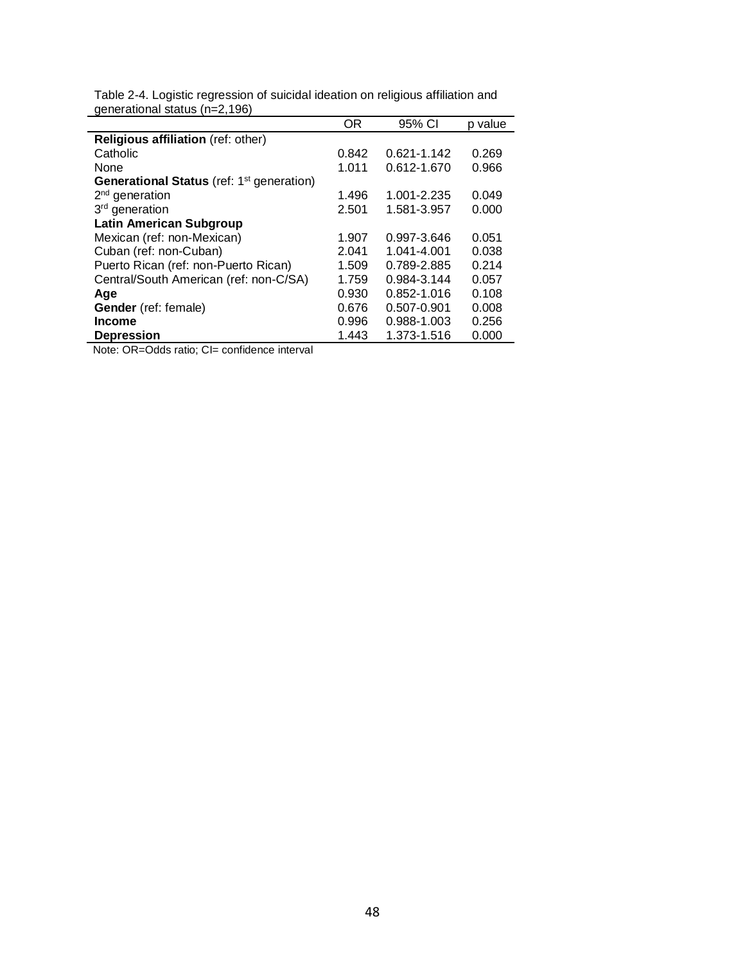|                                                              | OR    | 95% CI      | p value |
|--------------------------------------------------------------|-------|-------------|---------|
| Religious affiliation (ref: other)                           |       |             |         |
| Catholic                                                     | 0.842 | 0.621-1.142 | 0.269   |
| None                                                         | 1.011 | 0.612-1.670 | 0.966   |
| <b>Generational Status</b> (ref: 1 <sup>st</sup> generation) |       |             |         |
| $2nd$ generation                                             | 1.496 | 1.001-2.235 | 0.049   |
| 3 <sup>rd</sup> generation                                   | 2.501 | 1.581-3.957 | 0.000   |
| <b>Latin American Subgroup</b>                               |       |             |         |
| Mexican (ref: non-Mexican)                                   | 1.907 | 0.997-3.646 | 0.051   |
| Cuban (ref: non-Cuban)                                       | 2.041 | 1.041-4.001 | 0.038   |
| Puerto Rican (ref: non-Puerto Rican)                         | 1.509 | 0.789-2.885 | 0.214   |
| Central/South American (ref: non-C/SA)                       | 1.759 | 0.984-3.144 | 0.057   |
| Age                                                          | 0.930 | 0.852-1.016 | 0.108   |
| Gender (ref: female)                                         | 0.676 | 0.507-0.901 | 0.008   |
| <b>Income</b>                                                | 0.996 | 0.988-1.003 | 0.256   |
| <b>Depression</b>                                            | 1.443 | 1.373-1.516 | 0.000   |
| Note: OR=Odds ratio; CI= confidence interval                 |       |             |         |

Table 2-4. Logistic regression of suicidal ideation on religious affiliation and generational status (n=2,196)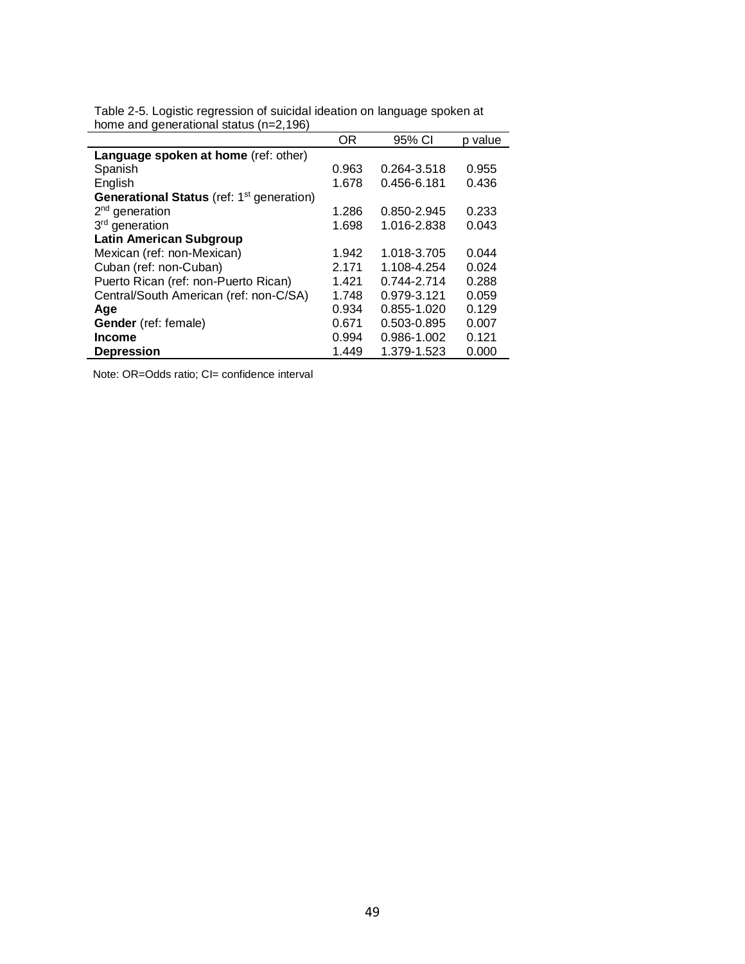|                                                              | ΟR    | 95% CI      | p value |
|--------------------------------------------------------------|-------|-------------|---------|
| Language spoken at home (ref: other)                         |       |             |         |
| Spanish                                                      | 0.963 | 0.264-3.518 | 0.955   |
| English                                                      | 1.678 | 0.456-6.181 | 0.436   |
| <b>Generational Status</b> (ref: 1 <sup>st</sup> generation) |       |             |         |
| $2nd$ generation                                             | 1.286 | 0.850-2.945 | 0.233   |
| 3 <sup>rd</sup> generation                                   | 1.698 | 1.016-2.838 | 0.043   |
| <b>Latin American Subgroup</b>                               |       |             |         |
| Mexican (ref: non-Mexican)                                   | 1.942 | 1.018-3.705 | 0.044   |
| Cuban (ref: non-Cuban)                                       | 2.171 | 1.108-4.254 | 0.024   |
| Puerto Rican (ref: non-Puerto Rican)                         | 1.421 | 0.744-2.714 | 0.288   |
| Central/South American (ref: non-C/SA)                       | 1.748 | 0.979-3.121 | 0.059   |
| Age                                                          | 0.934 | 0.855-1.020 | 0.129   |
| <b>Gender</b> (ref: female)                                  | 0.671 | 0.503-0.895 | 0.007   |
| <b>Income</b>                                                | 0.994 | 0.986-1.002 | 0.121   |
| <b>Depression</b>                                            | 1.449 | 1.379-1.523 | 0.000   |

Table 2-5. Logistic regression of suicidal ideation on language spoken at home and generational status (n=2,196)

Note: OR=Odds ratio; CI= confidence interval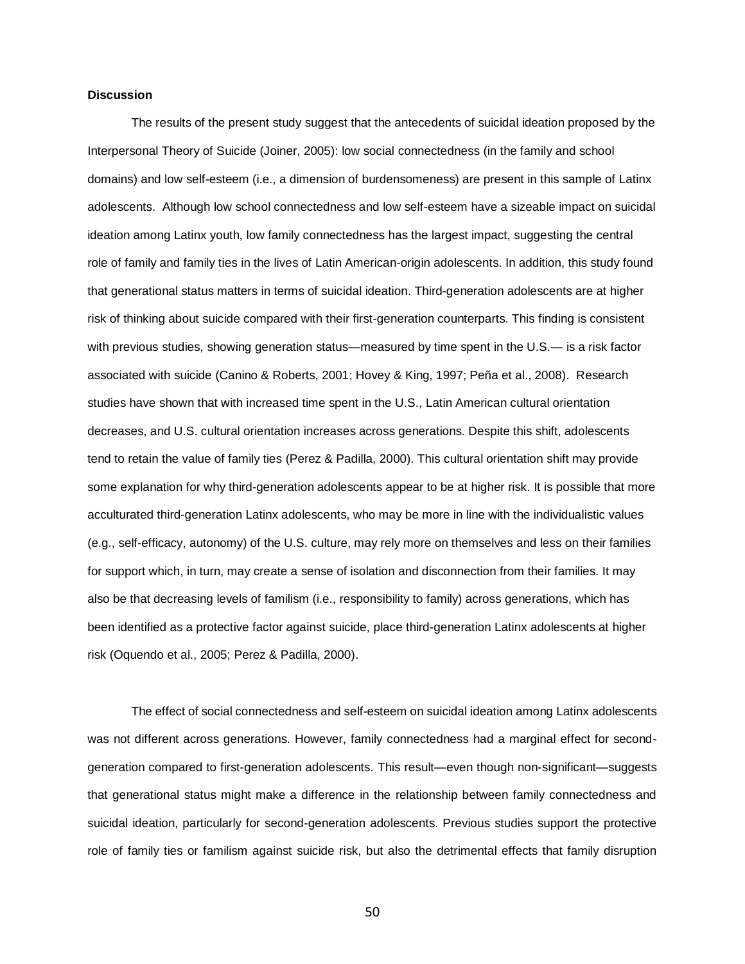# **Discussion**

The results of the present study suggest that the antecedents of suicidal ideation proposed by the Interpersonal Theory of Suicide (Joiner, 2005): low social connectedness (in the family and school domains) and low self-esteem (i.e., a dimension of burdensomeness) are present in this sample of Latinx adolescents. Although low school connectedness and low self-esteem have a sizeable impact on suicidal ideation among Latinx youth, low family connectedness has the largest impact, suggesting the central role of family and family ties in the lives of Latin American-origin adolescents. In addition, this study found that generational status matters in terms of suicidal ideation. Third-generation adolescents are at higher risk of thinking about suicide compared with their first-generation counterparts. This finding is consistent with previous studies, showing generation status—measured by time spent in the U.S.— is a risk factor associated with suicide (Canino & Roberts, 2001; Hovey & King, 1997; Peña et al., 2008). Research studies have shown that with increased time spent in the U.S., Latin American cultural orientation decreases, and U.S. cultural orientation increases across generations. Despite this shift, adolescents tend to retain the value of family ties (Perez & Padilla, 2000). This cultural orientation shift may provide some explanation for why third-generation adolescents appear to be at higher risk. It is possible that more acculturated third-generation Latinx adolescents, who may be more in line with the individualistic values (e.g., self-efficacy, autonomy) of the U.S. culture, may rely more on themselves and less on their families for support which, in turn, may create a sense of isolation and disconnection from their families. It may also be that decreasing levels of familism (i.e., responsibility to family) across generations, which has been identified as a protective factor against suicide, place third-generation Latinx adolescents at higher risk (Oquendo et al., 2005; Perez & Padilla, 2000).

The effect of social connectedness and self-esteem on suicidal ideation among Latinx adolescents was not different across generations. However, family connectedness had a marginal effect for secondgeneration compared to first-generation adolescents. This result—even though non-significant—suggests that generational status might make a difference in the relationship between family connectedness and suicidal ideation, particularly for second-generation adolescents. Previous studies support the protective role of family ties or familism against suicide risk, but also the detrimental effects that family disruption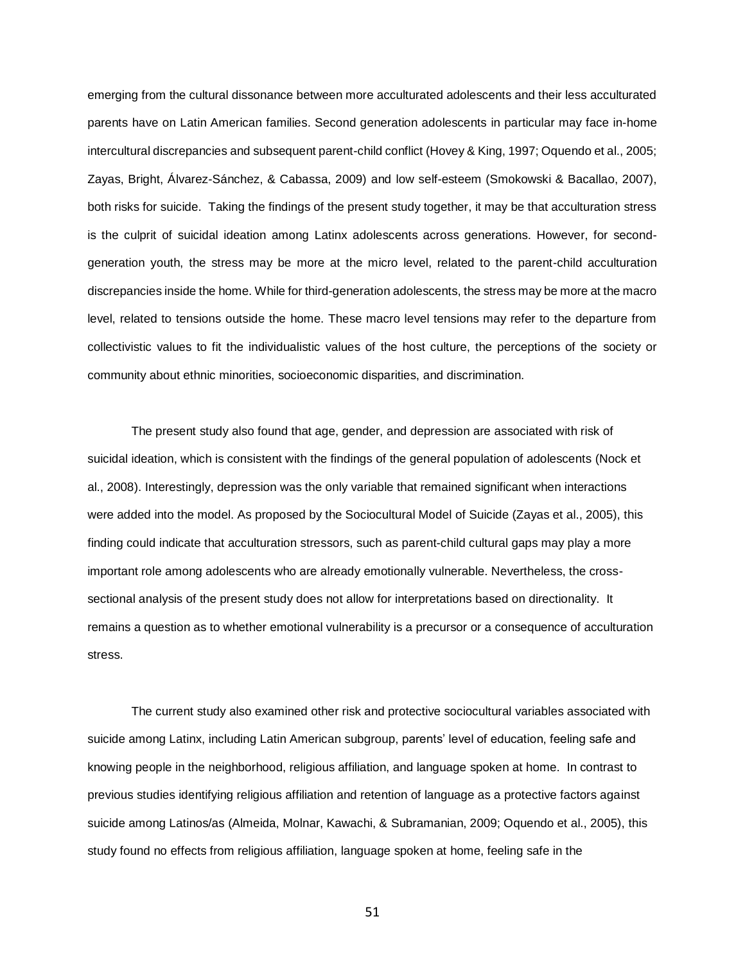emerging from the cultural dissonance between more acculturated adolescents and their less acculturated parents have on Latin American families. Second generation adolescents in particular may face in-home intercultural discrepancies and subsequent parent-child conflict (Hovey & King, 1997; Oquendo et al., 2005; Zayas, Bright, Álvarez-Sánchez, & Cabassa, 2009) and low self-esteem (Smokowski & Bacallao, 2007), both risks for suicide. Taking the findings of the present study together, it may be that acculturation stress is the culprit of suicidal ideation among Latinx adolescents across generations. However, for secondgeneration youth, the stress may be more at the micro level, related to the parent-child acculturation discrepancies inside the home. While for third-generation adolescents, the stress may be more at the macro level, related to tensions outside the home. These macro level tensions may refer to the departure from collectivistic values to fit the individualistic values of the host culture, the perceptions of the society or community about ethnic minorities, socioeconomic disparities, and discrimination.

The present study also found that age, gender, and depression are associated with risk of suicidal ideation, which is consistent with the findings of the general population of adolescents (Nock et al., 2008). Interestingly, depression was the only variable that remained significant when interactions were added into the model. As proposed by the Sociocultural Model of Suicide (Zayas et al., 2005), this finding could indicate that acculturation stressors, such as parent-child cultural gaps may play a more important role among adolescents who are already emotionally vulnerable. Nevertheless, the crosssectional analysis of the present study does not allow for interpretations based on directionality. It remains a question as to whether emotional vulnerability is a precursor or a consequence of acculturation stress.

The current study also examined other risk and protective sociocultural variables associated with suicide among Latinx, including Latin American subgroup, parents' level of education, feeling safe and knowing people in the neighborhood, religious affiliation, and language spoken at home. In contrast to previous studies identifying religious affiliation and retention of language as a protective factors against suicide among Latinos/as (Almeida, Molnar, Kawachi, & Subramanian, 2009; Oquendo et al., 2005), this study found no effects from religious affiliation, language spoken at home, feeling safe in the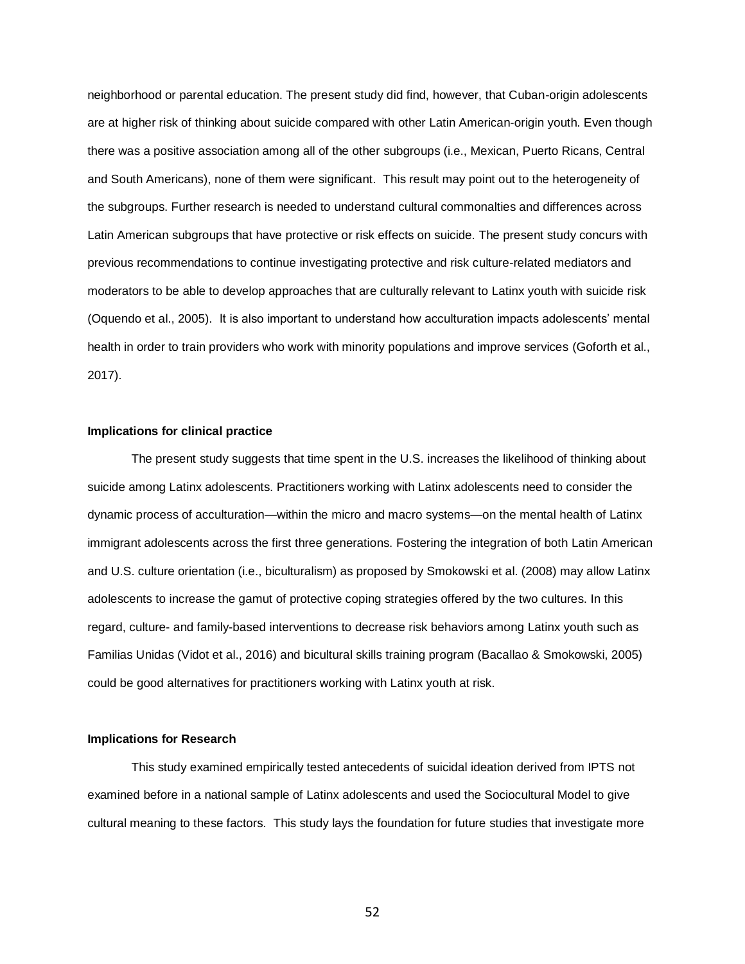neighborhood or parental education. The present study did find, however, that Cuban-origin adolescents are at higher risk of thinking about suicide compared with other Latin American-origin youth. Even though there was a positive association among all of the other subgroups (i.e., Mexican, Puerto Ricans, Central and South Americans), none of them were significant. This result may point out to the heterogeneity of the subgroups. Further research is needed to understand cultural commonalties and differences across Latin American subgroups that have protective or risk effects on suicide. The present study concurs with previous recommendations to continue investigating protective and risk culture-related mediators and moderators to be able to develop approaches that are culturally relevant to Latinx youth with suicide risk (Oquendo et al., 2005). It is also important to understand how acculturation impacts adolescents' mental health in order to train providers who work with minority populations and improve services (Goforth et al., 2017).

### **Implications for clinical practice**

The present study suggests that time spent in the U.S. increases the likelihood of thinking about suicide among Latinx adolescents. Practitioners working with Latinx adolescents need to consider the dynamic process of acculturation—within the micro and macro systems—on the mental health of Latinx immigrant adolescents across the first three generations. Fostering the integration of both Latin American and U.S. culture orientation (i.e., biculturalism) as proposed by Smokowski et al. (2008) may allow Latinx adolescents to increase the gamut of protective coping strategies offered by the two cultures. In this regard, culture- and family-based interventions to decrease risk behaviors among Latinx youth such as Familias Unidas (Vidot et al., 2016) and bicultural skills training program (Bacallao & Smokowski, 2005) could be good alternatives for practitioners working with Latinx youth at risk.

## **Implications for Research**

This study examined empirically tested antecedents of suicidal ideation derived from IPTS not examined before in a national sample of Latinx adolescents and used the Sociocultural Model to give cultural meaning to these factors. This study lays the foundation for future studies that investigate more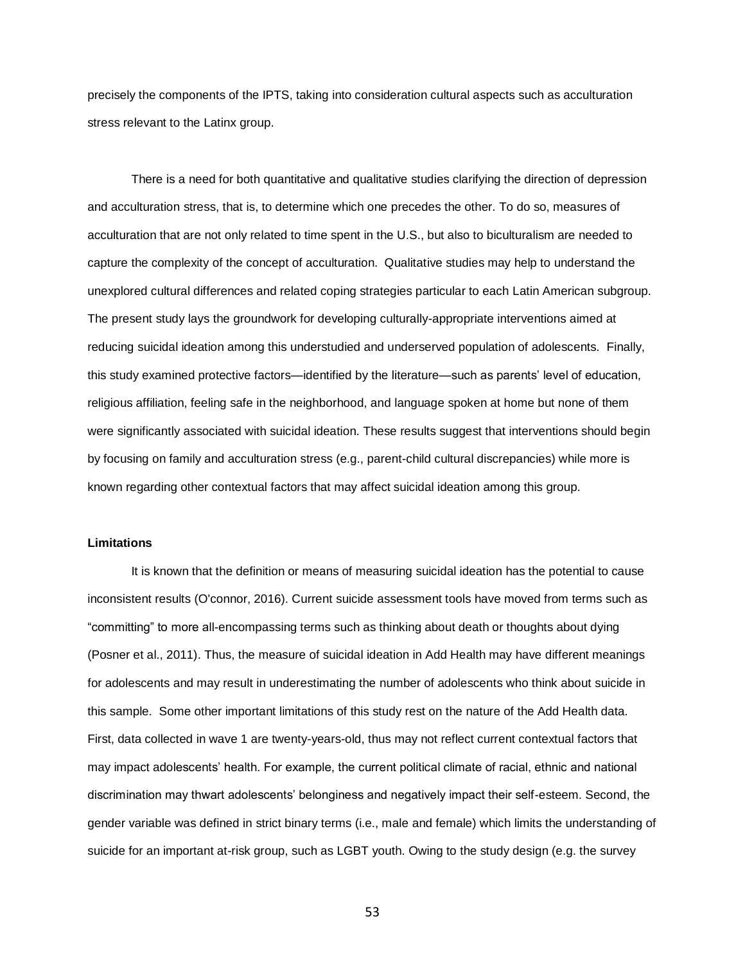precisely the components of the IPTS, taking into consideration cultural aspects such as acculturation stress relevant to the Latinx group.

There is a need for both quantitative and qualitative studies clarifying the direction of depression and acculturation stress, that is, to determine which one precedes the other. To do so, measures of acculturation that are not only related to time spent in the U.S., but also to biculturalism are needed to capture the complexity of the concept of acculturation. Qualitative studies may help to understand the unexplored cultural differences and related coping strategies particular to each Latin American subgroup. The present study lays the groundwork for developing culturally-appropriate interventions aimed at reducing suicidal ideation among this understudied and underserved population of adolescents. Finally, this study examined protective factors—identified by the literature—such as parents' level of education, religious affiliation, feeling safe in the neighborhood, and language spoken at home but none of them were significantly associated with suicidal ideation. These results suggest that interventions should begin by focusing on family and acculturation stress (e.g., parent-child cultural discrepancies) while more is known regarding other contextual factors that may affect suicidal ideation among this group.

#### **Limitations**

It is known that the definition or means of measuring suicidal ideation has the potential to cause inconsistent results (O'connor, 2016). Current suicide assessment tools have moved from terms such as "committing" to more all-encompassing terms such as thinking about death or thoughts about dying (Posner et al., 2011). Thus, the measure of suicidal ideation in Add Health may have different meanings for adolescents and may result in underestimating the number of adolescents who think about suicide in this sample. Some other important limitations of this study rest on the nature of the Add Health data. First, data collected in wave 1 are twenty-years-old, thus may not reflect current contextual factors that may impact adolescents' health. For example, the current political climate of racial, ethnic and national discrimination may thwart adolescents' belonginess and negatively impact their self-esteem. Second, the gender variable was defined in strict binary terms (i.e., male and female) which limits the understanding of suicide for an important at-risk group, such as LGBT youth. Owing to the study design (e.g. the survey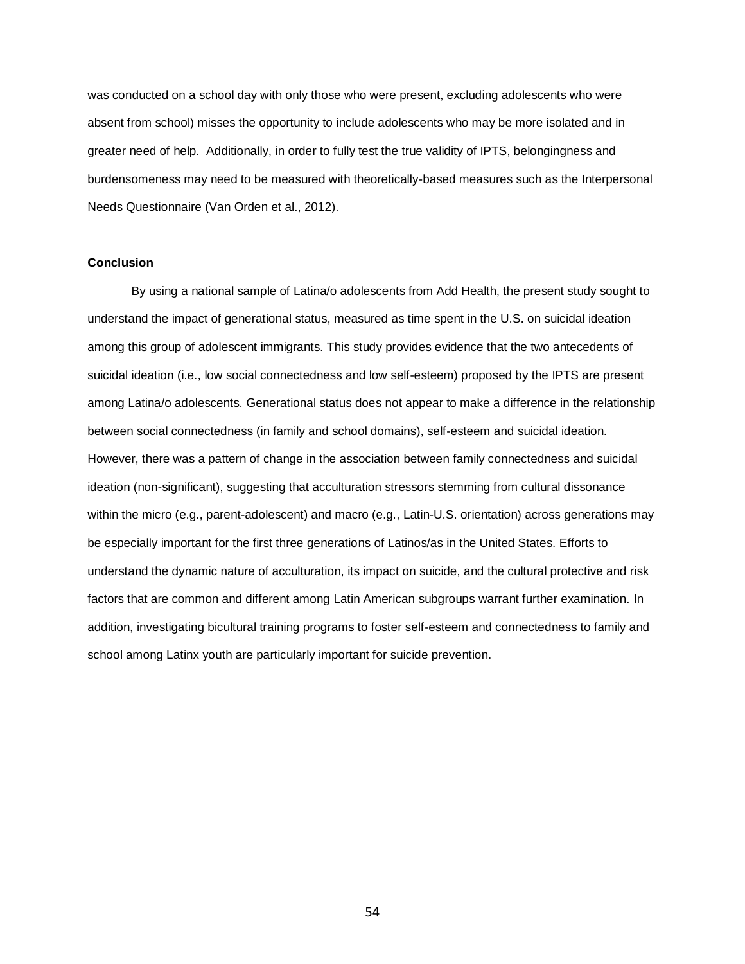was conducted on a school day with only those who were present, excluding adolescents who were absent from school) misses the opportunity to include adolescents who may be more isolated and in greater need of help. Additionally, in order to fully test the true validity of IPTS, belongingness and burdensomeness may need to be measured with theoretically-based measures such as the Interpersonal Needs Questionnaire (Van Orden et al., 2012).

## **Conclusion**

By using a national sample of Latina/o adolescents from Add Health, the present study sought to understand the impact of generational status, measured as time spent in the U.S. on suicidal ideation among this group of adolescent immigrants. This study provides evidence that the two antecedents of suicidal ideation (i.e., low social connectedness and low self-esteem) proposed by the IPTS are present among Latina/o adolescents. Generational status does not appear to make a difference in the relationship between social connectedness (in family and school domains), self-esteem and suicidal ideation. However, there was a pattern of change in the association between family connectedness and suicidal ideation (non-significant), suggesting that acculturation stressors stemming from cultural dissonance within the micro (e.g., parent-adolescent) and macro (e.g., Latin-U.S. orientation) across generations may be especially important for the first three generations of Latinos/as in the United States. Efforts to understand the dynamic nature of acculturation, its impact on suicide, and the cultural protective and risk factors that are common and different among Latin American subgroups warrant further examination. In addition, investigating bicultural training programs to foster self-esteem and connectedness to family and school among Latinx youth are particularly important for suicide prevention.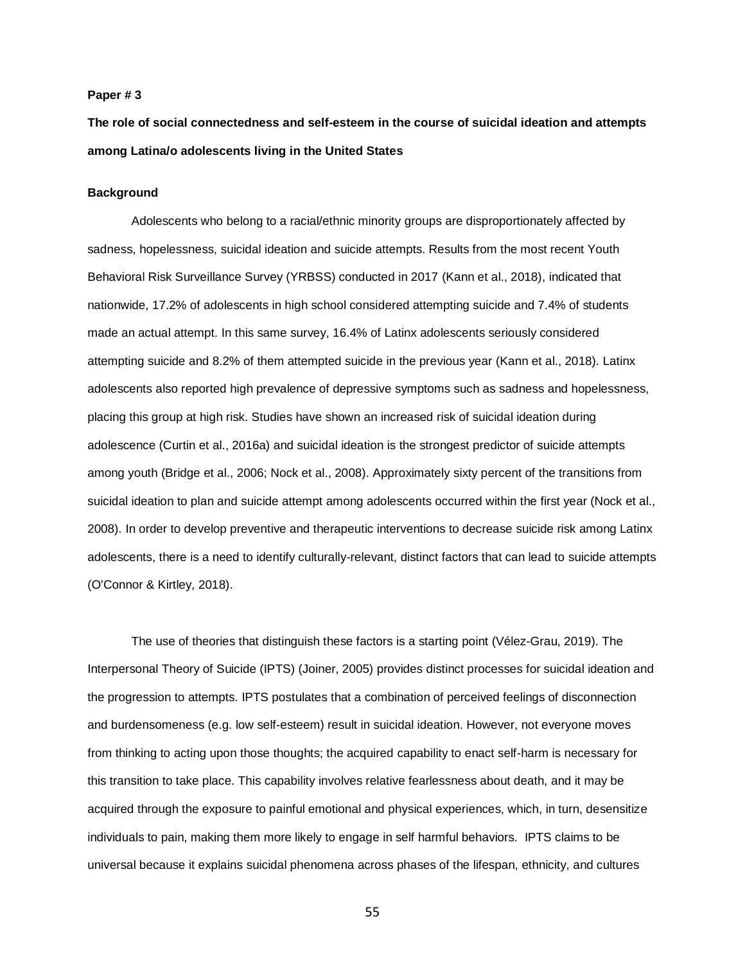### **Paper # 3**

**The role of social connectedness and self-esteem in the course of suicidal ideation and attempts among Latina/o adolescents living in the United States**

### **Background**

Adolescents who belong to a racial/ethnic minority groups are disproportionately affected by sadness, hopelessness, suicidal ideation and suicide attempts. Results from the most recent Youth Behavioral Risk Surveillance Survey (YRBSS) conducted in 2017 (Kann et al., 2018), indicated that nationwide, 17.2% of adolescents in high school considered attempting suicide and 7.4% of students made an actual attempt. In this same survey, 16.4% of Latinx adolescents seriously considered attempting suicide and 8.2% of them attempted suicide in the previous year (Kann et al., 2018). Latinx adolescents also reported high prevalence of depressive symptoms such as sadness and hopelessness, placing this group at high risk. Studies have shown an increased risk of suicidal ideation during adolescence (Curtin et al., 2016a) and suicidal ideation is the strongest predictor of suicide attempts among youth (Bridge et al., 2006; Nock et al., 2008). Approximately sixty percent of the transitions from suicidal ideation to plan and suicide attempt among adolescents occurred within the first year (Nock et al., 2008). In order to develop preventive and therapeutic interventions to decrease suicide risk among Latinx adolescents, there is a need to identify culturally-relevant, distinct factors that can lead to suicide attempts (O'Connor & Kirtley, 2018).

The use of theories that distinguish these factors is a starting point (Vélez-Grau, 2019). The Interpersonal Theory of Suicide (IPTS) (Joiner, 2005) provides distinct processes for suicidal ideation and the progression to attempts. IPTS postulates that a combination of perceived feelings of disconnection and burdensomeness (e.g. low self-esteem) result in suicidal ideation. However, not everyone moves from thinking to acting upon those thoughts; the acquired capability to enact self-harm is necessary for this transition to take place. This capability involves relative fearlessness about death, and it may be acquired through the exposure to painful emotional and physical experiences, which, in turn, desensitize individuals to pain, making them more likely to engage in self harmful behaviors. IPTS claims to be universal because it explains suicidal phenomena across phases of the lifespan, ethnicity, and cultures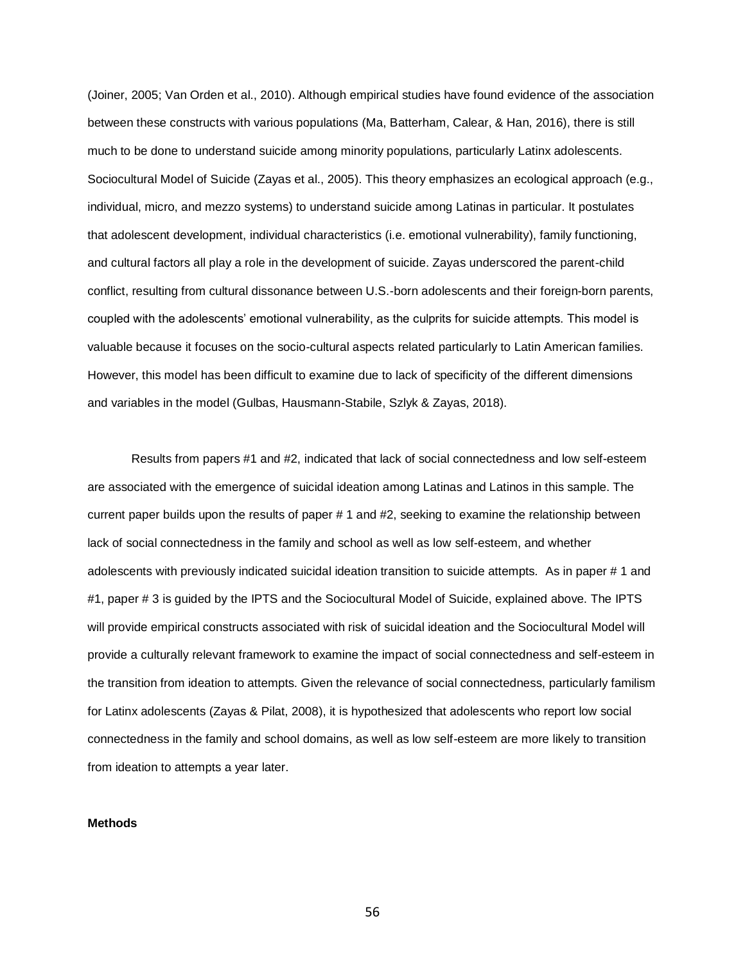(Joiner, 2005; Van Orden et al., 2010). Although empirical studies have found evidence of the association between these constructs with various populations (Ma, Batterham, Calear, & Han, 2016), there is still much to be done to understand suicide among minority populations, particularly Latinx adolescents. Sociocultural Model of Suicide (Zayas et al., 2005). This theory emphasizes an ecological approach (e.g., individual, micro, and mezzo systems) to understand suicide among Latinas in particular. It postulates that adolescent development, individual characteristics (i.e. emotional vulnerability), family functioning, and cultural factors all play a role in the development of suicide. Zayas underscored the parent-child conflict, resulting from cultural dissonance between U.S.-born adolescents and their foreign-born parents, coupled with the adolescents' emotional vulnerability, as the culprits for suicide attempts. This model is valuable because it focuses on the socio-cultural aspects related particularly to Latin American families. However, this model has been difficult to examine due to lack of specificity of the different dimensions and variables in the model (Gulbas, Hausmann-Stabile, Szlyk & Zayas, 2018).

Results from papers #1 and #2, indicated that lack of social connectedness and low self-esteem are associated with the emergence of suicidal ideation among Latinas and Latinos in this sample. The current paper builds upon the results of paper # 1 and #2, seeking to examine the relationship between lack of social connectedness in the family and school as well as low self-esteem, and whether adolescents with previously indicated suicidal ideation transition to suicide attempts. As in paper # 1 and #1, paper # 3 is guided by the IPTS and the Sociocultural Model of Suicide, explained above. The IPTS will provide empirical constructs associated with risk of suicidal ideation and the Sociocultural Model will provide a culturally relevant framework to examine the impact of social connectedness and self-esteem in the transition from ideation to attempts. Given the relevance of social connectedness, particularly familism for Latinx adolescents (Zayas & Pilat, 2008), it is hypothesized that adolescents who report low social connectedness in the family and school domains, as well as low self-esteem are more likely to transition from ideation to attempts a year later.

## **Methods**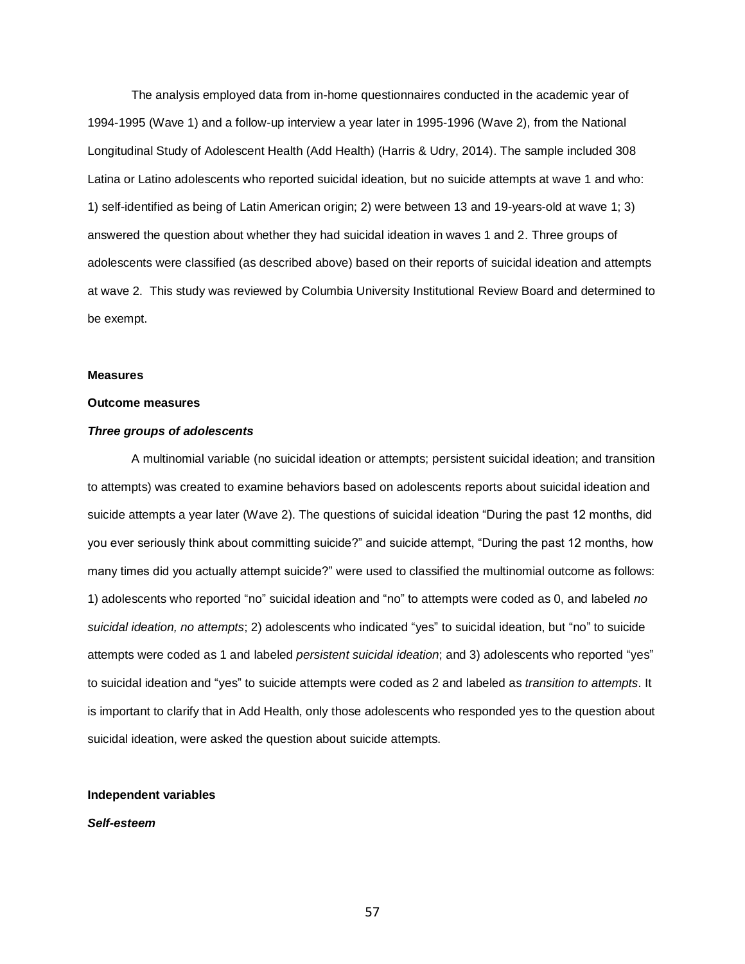The analysis employed data from in-home questionnaires conducted in the academic year of 1994-1995 (Wave 1) and a follow-up interview a year later in 1995-1996 (Wave 2), from the National Longitudinal Study of Adolescent Health (Add Health) (Harris & Udry, 2014). The sample included 308 Latina or Latino adolescents who reported suicidal ideation, but no suicide attempts at wave 1 and who: 1) self-identified as being of Latin American origin; 2) were between 13 and 19-years-old at wave 1; 3) answered the question about whether they had suicidal ideation in waves 1 and 2. Three groups of adolescents were classified (as described above) based on their reports of suicidal ideation and attempts at wave 2. This study was reviewed by Columbia University Institutional Review Board and determined to be exempt.

#### **Measures**

#### **Outcome measures**

# *Three groups of adolescents*

A multinomial variable (no suicidal ideation or attempts; persistent suicidal ideation; and transition to attempts) was created to examine behaviors based on adolescents reports about suicidal ideation and suicide attempts a year later (Wave 2). The questions of suicidal ideation "During the past 12 months, did you ever seriously think about committing suicide?" and suicide attempt, "During the past 12 months, how many times did you actually attempt suicide?" were used to classified the multinomial outcome as follows: 1) adolescents who reported "no" suicidal ideation and "no" to attempts were coded as 0, and labeled *no suicidal ideation, no attempts*; 2) adolescents who indicated "yes" to suicidal ideation, but "no" to suicide attempts were coded as 1 and labeled *persistent suicidal ideation*; and 3) adolescents who reported "yes" to suicidal ideation and "yes" to suicide attempts were coded as 2 and labeled as *transition to attempts*. It is important to clarify that in Add Health, only those adolescents who responded yes to the question about suicidal ideation, were asked the question about suicide attempts.

### **Independent variables**

### *Self-esteem*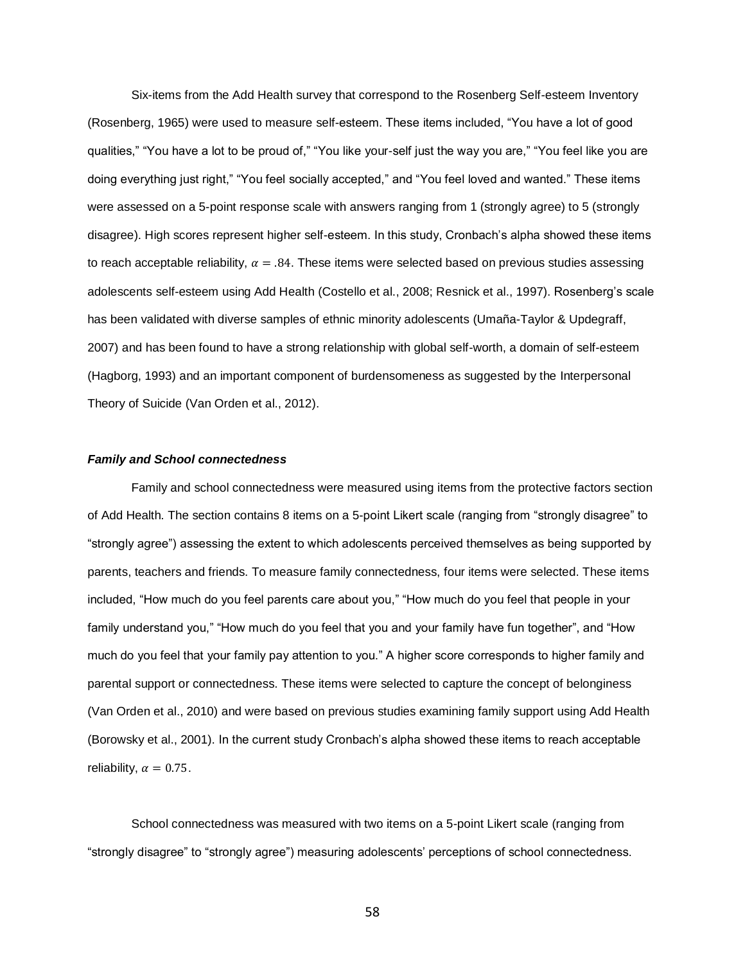Six-items from the Add Health survey that correspond to the Rosenberg Self-esteem Inventory (Rosenberg, 1965) were used to measure self-esteem. These items included, "You have a lot of good qualities," "You have a lot to be proud of," "You like your-self just the way you are," "You feel like you are doing everything just right," "You feel socially accepted," and "You feel loved and wanted." These items were assessed on a 5-point response scale with answers ranging from 1 (strongly agree) to 5 (strongly disagree). High scores represent higher self-esteem. In this study, Cronbach's alpha showed these items to reach acceptable reliability,  $\alpha = .84$ . These items were selected based on previous studies assessing adolescents self-esteem using Add Health (Costello et al., 2008; Resnick et al., 1997). Rosenberg's scale has been validated with diverse samples of ethnic minority adolescents (Umaña-Taylor & Updegraff, 2007) and has been found to have a strong relationship with global self-worth, a domain of self-esteem (Hagborg, 1993) and an important component of burdensomeness as suggested by the Interpersonal Theory of Suicide (Van Orden et al., 2012).

#### *Family and School connectedness*

Family and school connectedness were measured using items from the protective factors section of Add Health. The section contains 8 items on a 5-point Likert scale (ranging from "strongly disagree" to "strongly agree") assessing the extent to which adolescents perceived themselves as being supported by parents, teachers and friends. To measure family connectedness, four items were selected. These items included, "How much do you feel parents care about you," "How much do you feel that people in your family understand you," "How much do you feel that you and your family have fun together", and "How much do you feel that your family pay attention to you." A higher score corresponds to higher family and parental support or connectedness. These items were selected to capture the concept of belonginess (Van Orden et al., 2010) and were based on previous studies examining family support using Add Health (Borowsky et al., 2001). In the current study Cronbach's alpha showed these items to reach acceptable reliability,  $\alpha = 0.75$ .

School connectedness was measured with two items on a 5-point Likert scale (ranging from "strongly disagree" to "strongly agree") measuring adolescents' perceptions of school connectedness.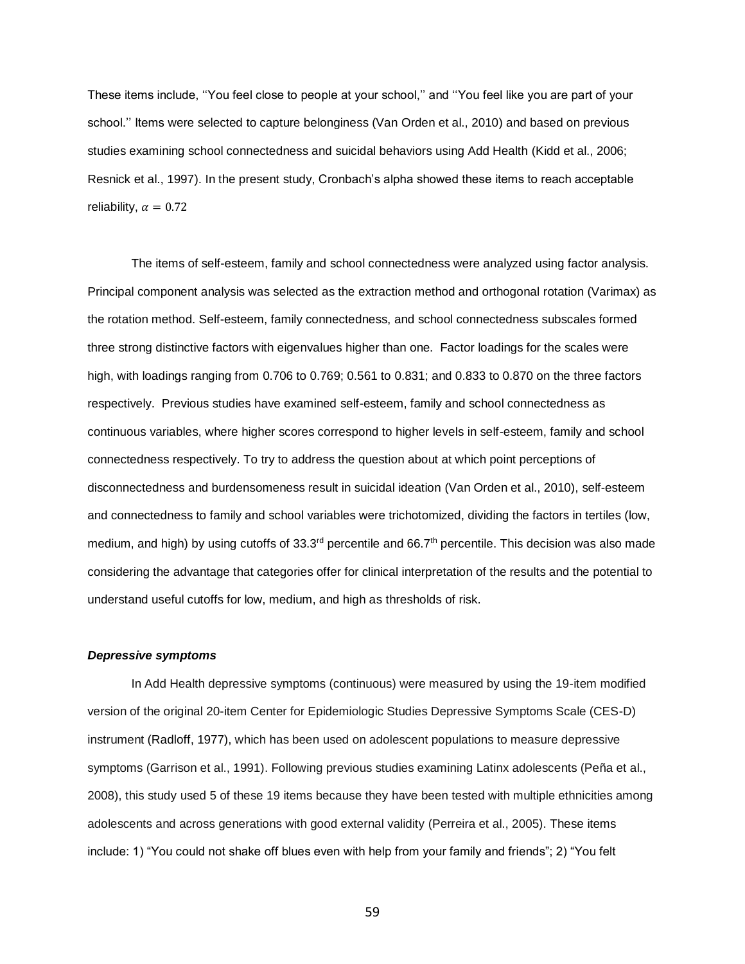These items include, ''You feel close to people at your school,'' and ''You feel like you are part of your school.'' Items were selected to capture belonginess (Van Orden et al., 2010) and based on previous studies examining school connectedness and suicidal behaviors using Add Health (Kidd et al., 2006; Resnick et al., 1997). In the present study, Cronbach's alpha showed these items to reach acceptable reliability,  $\alpha = 0.72$ 

The items of self-esteem, family and school connectedness were analyzed using factor analysis. Principal component analysis was selected as the extraction method and orthogonal rotation (Varimax) as the rotation method. Self-esteem, family connectedness, and school connectedness subscales formed three strong distinctive factors with eigenvalues higher than one. Factor loadings for the scales were high, with loadings ranging from 0.706 to 0.769; 0.561 to 0.831; and 0.833 to 0.870 on the three factors respectively. Previous studies have examined self-esteem, family and school connectedness as continuous variables, where higher scores correspond to higher levels in self-esteem, family and school connectedness respectively. To try to address the question about at which point perceptions of disconnectedness and burdensomeness result in suicidal ideation (Van Orden et al., 2010), self-esteem and connectedness to family and school variables were trichotomized, dividing the factors in tertiles (low, medium, and high) by using cutoffs of  $33.3<sup>rd</sup>$  percentile and 66.7<sup>th</sup> percentile. This decision was also made considering the advantage that categories offer for clinical interpretation of the results and the potential to understand useful cutoffs for low, medium, and high as thresholds of risk.

#### *Depressive symptoms*

In Add Health depressive symptoms (continuous) were measured by using the 19-item modified version of the original 20-item Center for Epidemiologic Studies Depressive Symptoms Scale (CES-D) instrument (Radloff, 1977), which has been used on adolescent populations to measure depressive symptoms (Garrison et al., 1991). Following previous studies examining Latinx adolescents (Peña et al., 2008), this study used 5 of these 19 items because they have been tested with multiple ethnicities among adolescents and across generations with good external validity (Perreira et al., 2005). These items include: 1) "You could not shake off blues even with help from your family and friends"; 2) "You felt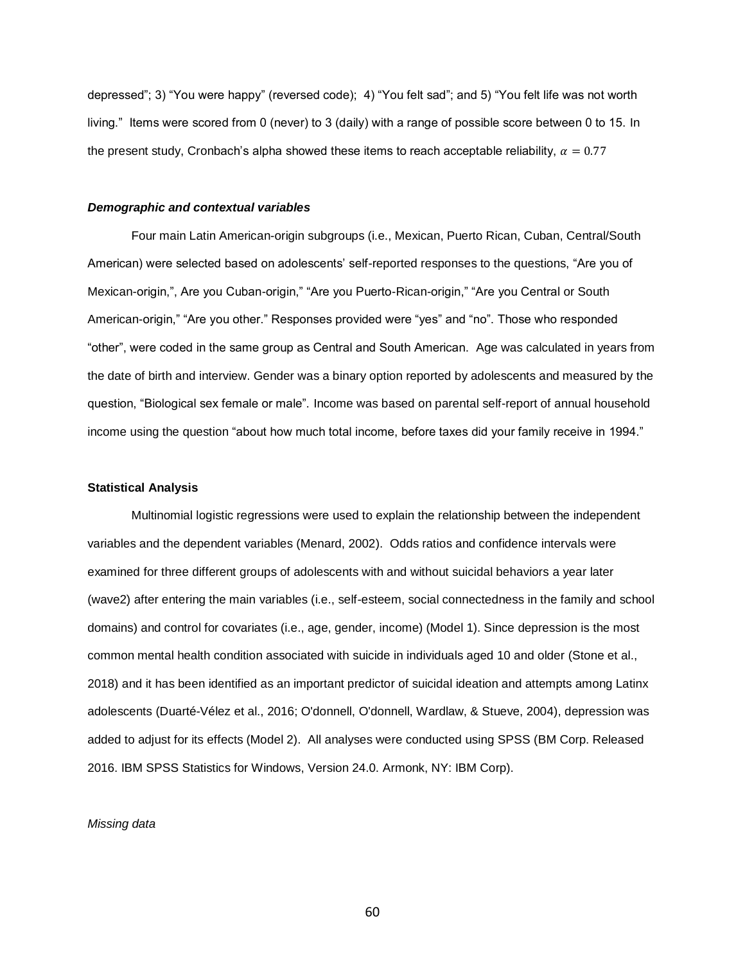depressed"; 3) "You were happy" (reversed code); 4) "You felt sad"; and 5) "You felt life was not worth living." Items were scored from 0 (never) to 3 (daily) with a range of possible score between 0 to 15. In the present study, Cronbach's alpha showed these items to reach acceptable reliability,  $\alpha = 0.77$ 

## *Demographic and contextual variables*

Four main Latin American-origin subgroups (i.e., Mexican, Puerto Rican, Cuban, Central/South American) were selected based on adolescents' self-reported responses to the questions, "Are you of Mexican-origin,", Are you Cuban-origin," "Are you Puerto-Rican-origin," "Are you Central or South American-origin," "Are you other." Responses provided were "yes" and "no". Those who responded "other", were coded in the same group as Central and South American. Age was calculated in years from the date of birth and interview. Gender was a binary option reported by adolescents and measured by the question, "Biological sex female or male". Income was based on parental self-report of annual household income using the question "about how much total income, before taxes did your family receive in 1994."

#### **Statistical Analysis**

Multinomial logistic regressions were used to explain the relationship between the independent variables and the dependent variables (Menard, 2002). Odds ratios and confidence intervals were examined for three different groups of adolescents with and without suicidal behaviors a year later (wave2) after entering the main variables (i.e., self-esteem, social connectedness in the family and school domains) and control for covariates (i.e., age, gender, income) (Model 1). Since depression is the most common mental health condition associated with suicide in individuals aged 10 and older (Stone et al., 2018) and it has been identified as an important predictor of suicidal ideation and attempts among Latinx adolescents (Duarté-Vélez et al., 2016; O'donnell, O'donnell, Wardlaw, & Stueve, 2004), depression was added to adjust for its effects (Model 2). All analyses were conducted using SPSS (BM Corp. Released 2016. IBM SPSS Statistics for Windows, Version 24.0. Armonk, NY: IBM Corp).

## *Missing data*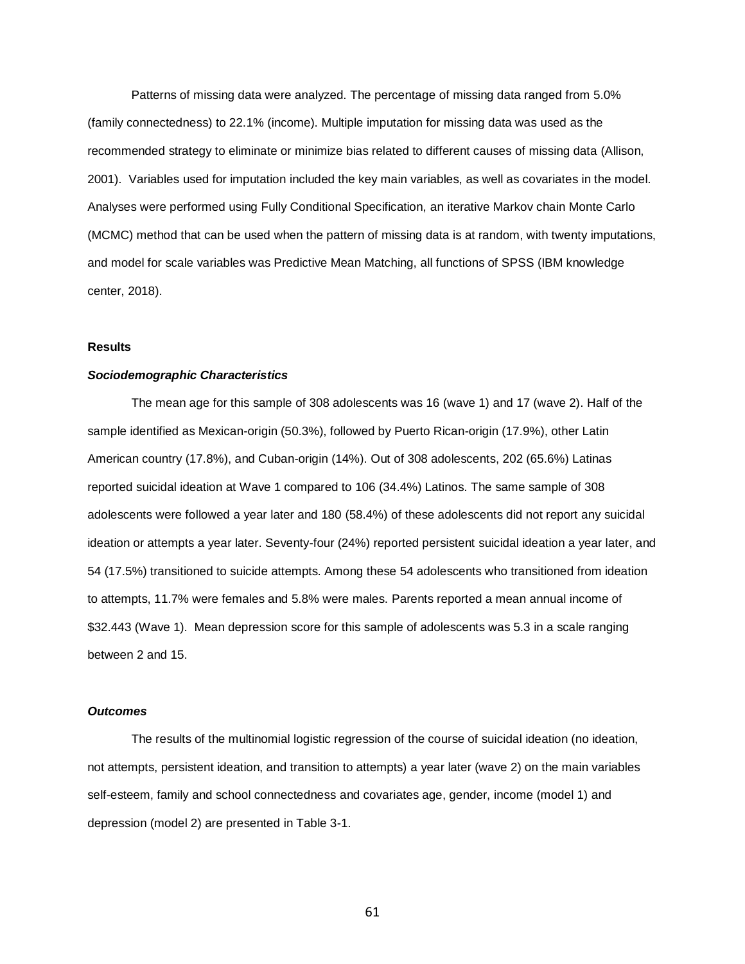Patterns of missing data were analyzed. The percentage of missing data ranged from 5.0% (family connectedness) to 22.1% (income). Multiple imputation for missing data was used as the recommended strategy to eliminate or minimize bias related to different causes of missing data (Allison, 2001). Variables used for imputation included the key main variables, as well as covariates in the model. Analyses were performed using Fully Conditional Specification, an iterative Markov chain Monte Carlo (MCMC) method that can be used when the pattern of missing data is at random, with twenty imputations, and model for scale variables was Predictive Mean Matching, all functions of SPSS (IBM knowledge center, 2018).

## **Results**

## *Sociodemographic Characteristics*

The mean age for this sample of 308 adolescents was 16 (wave 1) and 17 (wave 2). Half of the sample identified as Mexican-origin (50.3%), followed by Puerto Rican-origin (17.9%), other Latin American country (17.8%), and Cuban-origin (14%). Out of 308 adolescents, 202 (65.6%) Latinas reported suicidal ideation at Wave 1 compared to 106 (34.4%) Latinos. The same sample of 308 adolescents were followed a year later and 180 (58.4%) of these adolescents did not report any suicidal ideation or attempts a year later. Seventy-four (24%) reported persistent suicidal ideation a year later, and 54 (17.5%) transitioned to suicide attempts. Among these 54 adolescents who transitioned from ideation to attempts, 11.7% were females and 5.8% were males. Parents reported a mean annual income of \$32.443 (Wave 1). Mean depression score for this sample of adolescents was 5.3 in a scale ranging between 2 and 15.

## *Outcomes*

The results of the multinomial logistic regression of the course of suicidal ideation (no ideation, not attempts, persistent ideation, and transition to attempts) a year later (wave 2) on the main variables self-esteem, family and school connectedness and covariates age, gender, income (model 1) and depression (model 2) are presented in Table 3-1.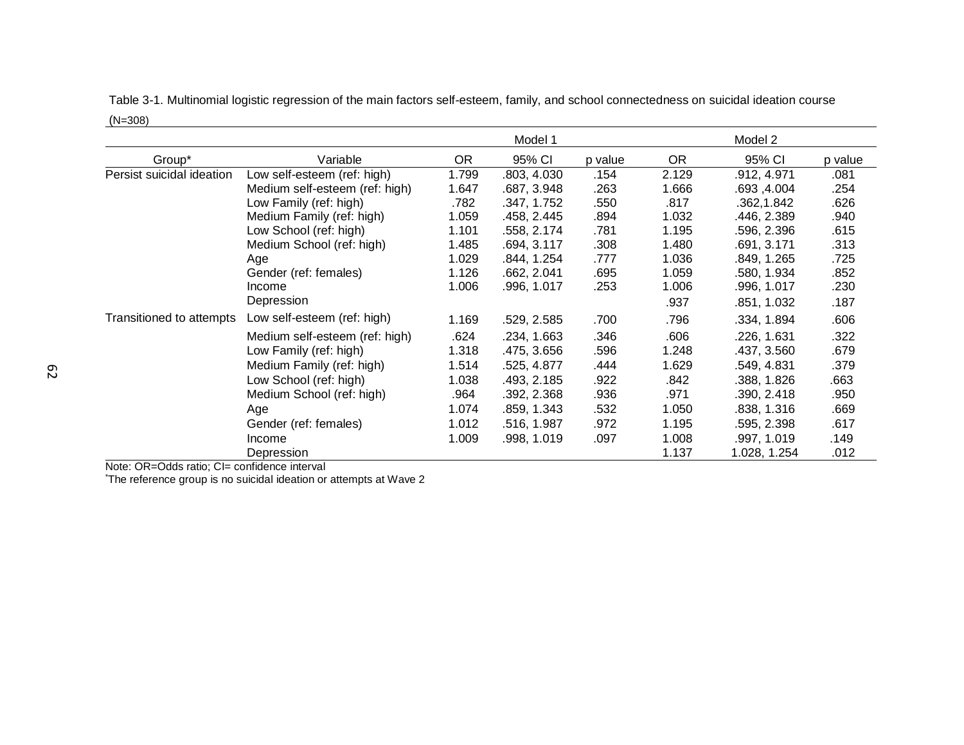|                           |                                |           | Model 1     |         |           | Model 2      |         |
|---------------------------|--------------------------------|-----------|-------------|---------|-----------|--------------|---------|
| Group*                    | Variable                       | <b>OR</b> | 95% CI      | p value | <b>OR</b> | 95% CI       | p value |
| Persist suicidal ideation | Low self-esteem (ref: high)    | 1.799     | .803, 4.030 | .154    | 2.129     | .912, 4.971  | .081    |
|                           | Medium self-esteem (ref: high) | 1.647     | .687, 3.948 | .263    | 1.666     | .693,4.004   | .254    |
|                           | Low Family (ref: high)         | .782      | .347, 1.752 | .550    | .817      | .362,1.842   | .626    |
|                           | Medium Family (ref: high)      | 1.059     | .458, 2.445 | .894    | 1.032     | .446, 2.389  | .940    |
|                           | Low School (ref: high)         | 1.101     | .558, 2.174 | .781    | 1.195     | .596, 2.396  | .615    |
|                           | Medium School (ref: high)      | 1.485     | .694, 3.117 | .308    | 1.480     | .691, 3.171  | .313    |
|                           | Age                            | 1.029     | .844, 1.254 | .777    | 1.036     | .849, 1.265  | .725    |
|                           | Gender (ref: females)          | 1.126     | .662, 2.041 | .695    | 1.059     | .580, 1.934  | .852    |
|                           | Income                         | 1.006     | .996, 1.017 | .253    | 1.006     | .996, 1.017  | .230    |
|                           | Depression                     |           |             |         | .937      | .851, 1.032  | .187    |
| Transitioned to attempts  | Low self-esteem (ref: high)    | 1.169     | .529, 2.585 | .700    | .796      | .334, 1.894  | .606    |
|                           | Medium self-esteem (ref: high) | .624      | .234, 1.663 | .346    | .606      | .226, 1.631  | .322    |
|                           | Low Family (ref: high)         | 1.318     | .475, 3.656 | .596    | 1.248     | .437, 3.560  | .679    |
|                           | Medium Family (ref: high)      | 1.514     | .525, 4.877 | .444    | 1.629     | .549, 4.831  | .379    |
|                           | Low School (ref: high)         | 1.038     | .493, 2.185 | .922    | .842      | .388, 1.826  | .663    |
|                           | Medium School (ref: high)      | .964      | .392, 2.368 | .936    | .971      | .390, 2.418  | .950    |
|                           | Age                            | 1.074     | .859, 1.343 | .532    | 1.050     | .838, 1.316  | .669    |
|                           | Gender (ref: females)          | 1.012     | .516, 1.987 | .972    | 1.195     | .595, 2.398  | .617    |
|                           | Income                         | 1.009     | .998, 1.019 | .097    | 1.008     | .997, 1.019  | .149    |
|                           | Depression                     |           |             |         | 1.137     | 1.028, 1.254 | .012    |

Table 3-1. Multinomial logistic regression of the main factors self-esteem, family, and school connectedness on suicidal ideation course  $(N=308)$ 

Note: OR=Odds ratio; CI= confidence interval

\*The reference group is no suicidal ideation or attempts at Wave 2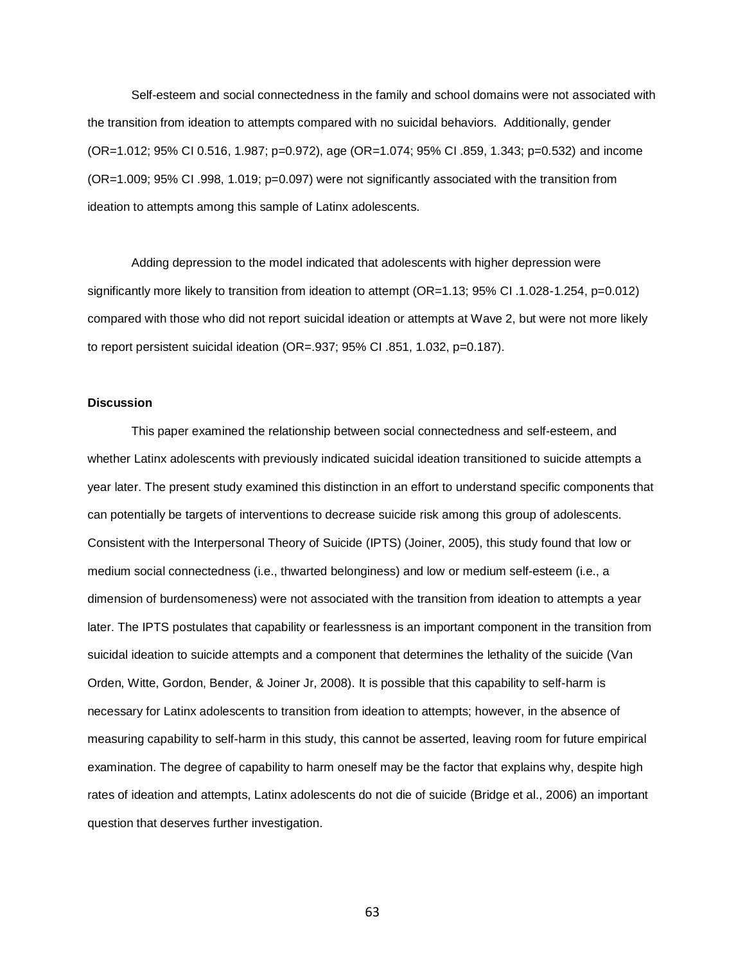Self-esteem and social connectedness in the family and school domains were not associated with the transition from ideation to attempts compared with no suicidal behaviors. Additionally, gender (OR=1.012; 95% CI 0.516, 1.987; p=0.972), age (OR=1.074; 95% CI .859, 1.343; p=0.532) and income (OR=1.009; 95% CI .998, 1.019; p=0.097) were not significantly associated with the transition from ideation to attempts among this sample of Latinx adolescents.

Adding depression to the model indicated that adolescents with higher depression were significantly more likely to transition from ideation to attempt (OR=1.13; 95% CI .1.028-1.254, p=0.012) compared with those who did not report suicidal ideation or attempts at Wave 2, but were not more likely to report persistent suicidal ideation (OR=.937; 95% CI .851, 1.032, p=0.187).

# **Discussion**

This paper examined the relationship between social connectedness and self-esteem, and whether Latinx adolescents with previously indicated suicidal ideation transitioned to suicide attempts a year later. The present study examined this distinction in an effort to understand specific components that can potentially be targets of interventions to decrease suicide risk among this group of adolescents. Consistent with the Interpersonal Theory of Suicide (IPTS) (Joiner, 2005), this study found that low or medium social connectedness (i.e., thwarted belonginess) and low or medium self-esteem (i.e., a dimension of burdensomeness) were not associated with the transition from ideation to attempts a year later. The IPTS postulates that capability or fearlessness is an important component in the transition from suicidal ideation to suicide attempts and a component that determines the lethality of the suicide (Van Orden, Witte, Gordon, Bender, & Joiner Jr, 2008). It is possible that this capability to self-harm is necessary for Latinx adolescents to transition from ideation to attempts; however, in the absence of measuring capability to self-harm in this study, this cannot be asserted, leaving room for future empirical examination. The degree of capability to harm oneself may be the factor that explains why, despite high rates of ideation and attempts, Latinx adolescents do not die of suicide (Bridge et al., 2006) an important question that deserves further investigation.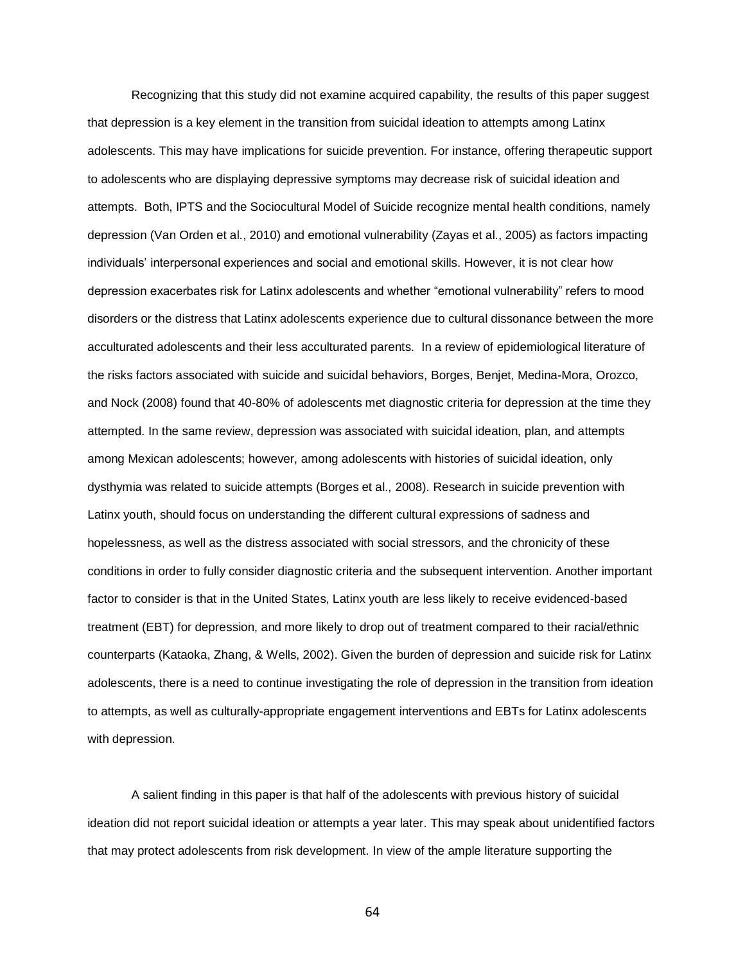Recognizing that this study did not examine acquired capability, the results of this paper suggest that depression is a key element in the transition from suicidal ideation to attempts among Latinx adolescents. This may have implications for suicide prevention. For instance, offering therapeutic support to adolescents who are displaying depressive symptoms may decrease risk of suicidal ideation and attempts. Both, IPTS and the Sociocultural Model of Suicide recognize mental health conditions, namely depression (Van Orden et al., 2010) and emotional vulnerability (Zayas et al., 2005) as factors impacting individuals' interpersonal experiences and social and emotional skills. However, it is not clear how depression exacerbates risk for Latinx adolescents and whether "emotional vulnerability" refers to mood disorders or the distress that Latinx adolescents experience due to cultural dissonance between the more acculturated adolescents and their less acculturated parents. In a review of epidemiological literature of the risks factors associated with suicide and suicidal behaviors, Borges, Benjet, Medina-Mora, Orozco, and Nock (2008) found that 40-80% of adolescents met diagnostic criteria for depression at the time they attempted. In the same review, depression was associated with suicidal ideation, plan, and attempts among Mexican adolescents; however, among adolescents with histories of suicidal ideation, only dysthymia was related to suicide attempts (Borges et al., 2008). Research in suicide prevention with Latinx youth, should focus on understanding the different cultural expressions of sadness and hopelessness, as well as the distress associated with social stressors, and the chronicity of these conditions in order to fully consider diagnostic criteria and the subsequent intervention. Another important factor to consider is that in the United States, Latinx youth are less likely to receive evidenced-based treatment (EBT) for depression, and more likely to drop out of treatment compared to their racial/ethnic counterparts (Kataoka, Zhang, & Wells, 2002). Given the burden of depression and suicide risk for Latinx adolescents, there is a need to continue investigating the role of depression in the transition from ideation to attempts, as well as culturally-appropriate engagement interventions and EBTs for Latinx adolescents with depression.

A salient finding in this paper is that half of the adolescents with previous history of suicidal ideation did not report suicidal ideation or attempts a year later. This may speak about unidentified factors that may protect adolescents from risk development. In view of the ample literature supporting the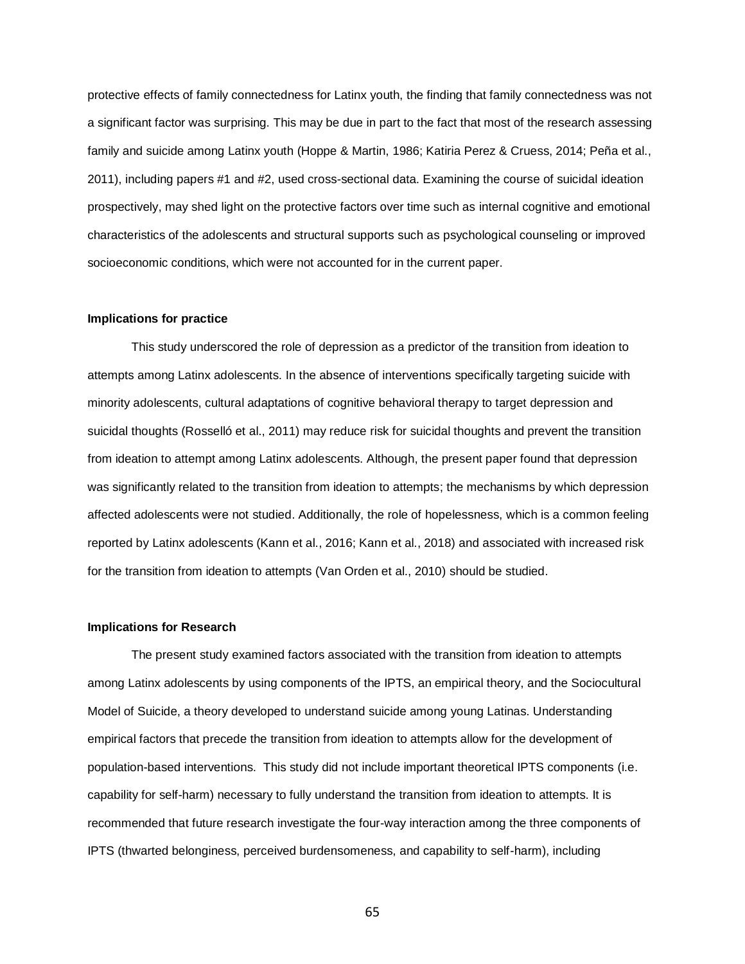protective effects of family connectedness for Latinx youth, the finding that family connectedness was not a significant factor was surprising. This may be due in part to the fact that most of the research assessing family and suicide among Latinx youth (Hoppe & Martin, 1986; Katiria Perez & Cruess, 2014; Peña et al., 2011), including papers #1 and #2, used cross-sectional data. Examining the course of suicidal ideation prospectively, may shed light on the protective factors over time such as internal cognitive and emotional characteristics of the adolescents and structural supports such as psychological counseling or improved socioeconomic conditions, which were not accounted for in the current paper.

#### **Implications for practice**

This study underscored the role of depression as a predictor of the transition from ideation to attempts among Latinx adolescents. In the absence of interventions specifically targeting suicide with minority adolescents, cultural adaptations of cognitive behavioral therapy to target depression and suicidal thoughts (Rosselló et al., 2011) may reduce risk for suicidal thoughts and prevent the transition from ideation to attempt among Latinx adolescents. Although, the present paper found that depression was significantly related to the transition from ideation to attempts; the mechanisms by which depression affected adolescents were not studied. Additionally, the role of hopelessness, which is a common feeling reported by Latinx adolescents (Kann et al., 2016; Kann et al., 2018) and associated with increased risk for the transition from ideation to attempts (Van Orden et al., 2010) should be studied.

#### **Implications for Research**

The present study examined factors associated with the transition from ideation to attempts among Latinx adolescents by using components of the IPTS, an empirical theory, and the Sociocultural Model of Suicide, a theory developed to understand suicide among young Latinas. Understanding empirical factors that precede the transition from ideation to attempts allow for the development of population-based interventions. This study did not include important theoretical IPTS components (i.e. capability for self-harm) necessary to fully understand the transition from ideation to attempts. It is recommended that future research investigate the four-way interaction among the three components of IPTS (thwarted belonginess, perceived burdensomeness, and capability to self-harm), including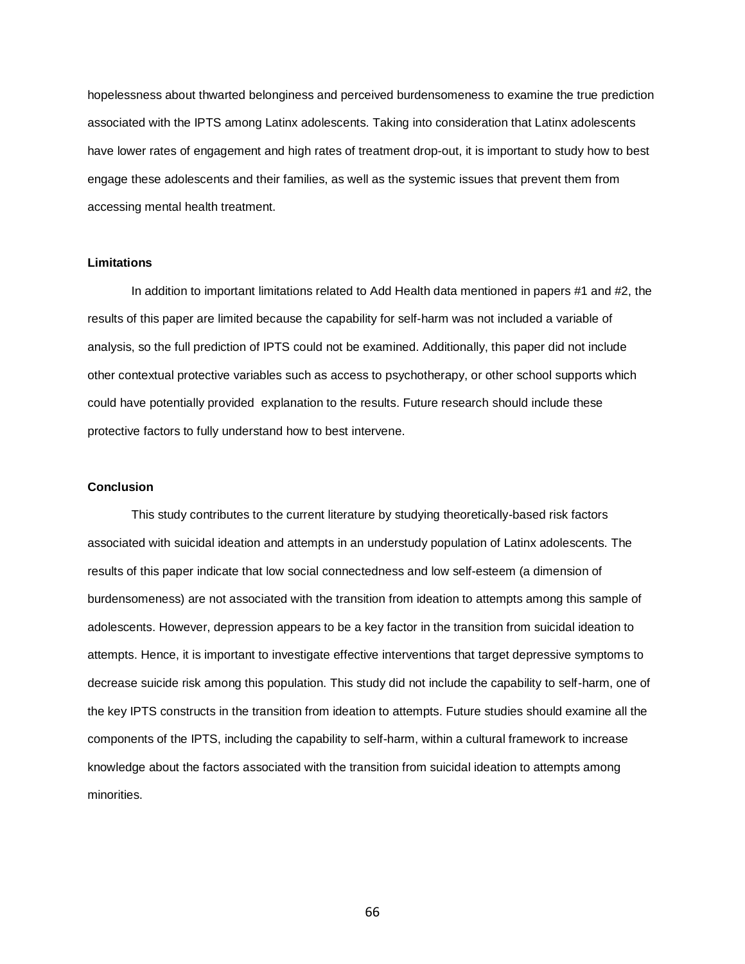hopelessness about thwarted belonginess and perceived burdensomeness to examine the true prediction associated with the IPTS among Latinx adolescents. Taking into consideration that Latinx adolescents have lower rates of engagement and high rates of treatment drop-out, it is important to study how to best engage these adolescents and their families, as well as the systemic issues that prevent them from accessing mental health treatment.

### **Limitations**

In addition to important limitations related to Add Health data mentioned in papers #1 and #2, the results of this paper are limited because the capability for self-harm was not included a variable of analysis, so the full prediction of IPTS could not be examined. Additionally, this paper did not include other contextual protective variables such as access to psychotherapy, or other school supports which could have potentially provided explanation to the results. Future research should include these protective factors to fully understand how to best intervene.

### **Conclusion**

This study contributes to the current literature by studying theoretically-based risk factors associated with suicidal ideation and attempts in an understudy population of Latinx adolescents. The results of this paper indicate that low social connectedness and low self-esteem (a dimension of burdensomeness) are not associated with the transition from ideation to attempts among this sample of adolescents. However, depression appears to be a key factor in the transition from suicidal ideation to attempts. Hence, it is important to investigate effective interventions that target depressive symptoms to decrease suicide risk among this population. This study did not include the capability to self-harm, one of the key IPTS constructs in the transition from ideation to attempts. Future studies should examine all the components of the IPTS, including the capability to self-harm, within a cultural framework to increase knowledge about the factors associated with the transition from suicidal ideation to attempts among minorities.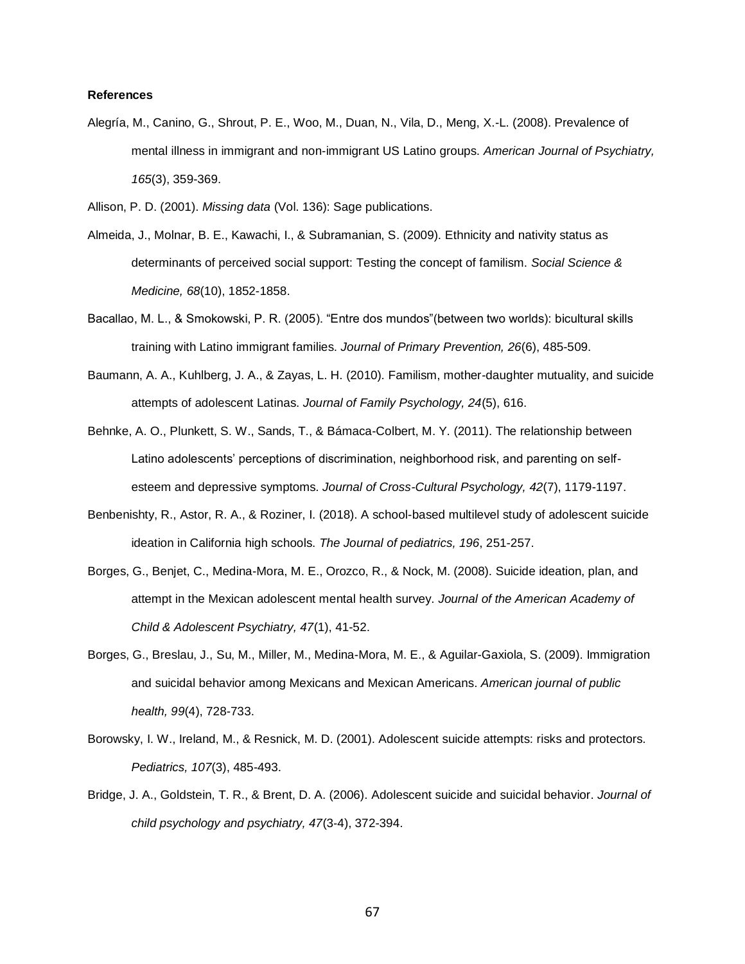## **References**

- Alegría, M., Canino, G., Shrout, P. E., Woo, M., Duan, N., Vila, D., Meng, X.-L. (2008). Prevalence of mental illness in immigrant and non-immigrant US Latino groups. *American Journal of Psychiatry, 165*(3), 359-369.
- Allison, P. D. (2001). *Missing data* (Vol. 136): Sage publications.
- Almeida, J., Molnar, B. E., Kawachi, I., & Subramanian, S. (2009). Ethnicity and nativity status as determinants of perceived social support: Testing the concept of familism. *Social Science & Medicine, 68*(10), 1852-1858.
- Bacallao, M. L., & Smokowski, P. R. (2005). "Entre dos mundos"(between two worlds): bicultural skills training with Latino immigrant families. *Journal of Primary Prevention, 26*(6), 485-509.
- Baumann, A. A., Kuhlberg, J. A., & Zayas, L. H. (2010). Familism, mother-daughter mutuality, and suicide attempts of adolescent Latinas. *Journal of Family Psychology, 24*(5), 616.
- Behnke, A. O., Plunkett, S. W., Sands, T., & Bámaca-Colbert, M. Y. (2011). The relationship between Latino adolescents' perceptions of discrimination, neighborhood risk, and parenting on selfesteem and depressive symptoms. *Journal of Cross-Cultural Psychology, 42*(7), 1179-1197.
- Benbenishty, R., Astor, R. A., & Roziner, I. (2018). A school-based multilevel study of adolescent suicide ideation in California high schools. *The Journal of pediatrics, 196*, 251-257.
- Borges, G., Benjet, C., Medina-Mora, M. E., Orozco, R., & Nock, M. (2008). Suicide ideation, plan, and attempt in the Mexican adolescent mental health survey. *Journal of the American Academy of Child & Adolescent Psychiatry, 47*(1), 41-52.
- Borges, G., Breslau, J., Su, M., Miller, M., Medina-Mora, M. E., & Aguilar-Gaxiola, S. (2009). Immigration and suicidal behavior among Mexicans and Mexican Americans. *American journal of public health, 99*(4), 728-733.
- Borowsky, I. W., Ireland, M., & Resnick, M. D. (2001). Adolescent suicide attempts: risks and protectors. *Pediatrics, 107*(3), 485-493.
- Bridge, J. A., Goldstein, T. R., & Brent, D. A. (2006). Adolescent suicide and suicidal behavior. *Journal of child psychology and psychiatry, 47*(3‐4), 372-394.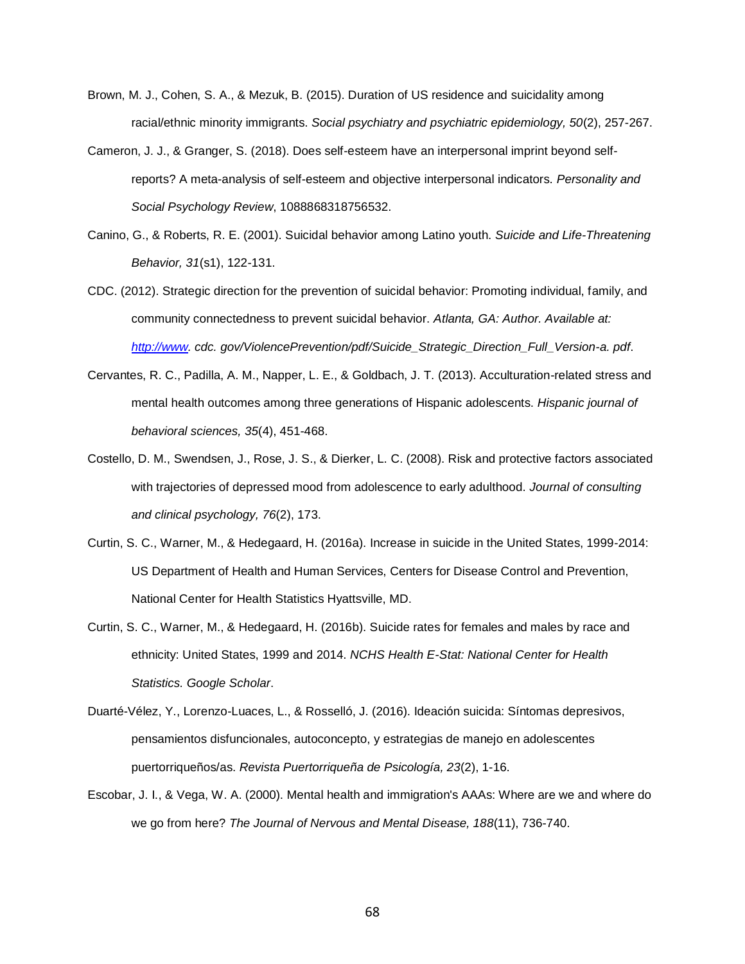- Brown, M. J., Cohen, S. A., & Mezuk, B. (2015). Duration of US residence and suicidality among racial/ethnic minority immigrants. *Social psychiatry and psychiatric epidemiology, 50*(2), 257-267.
- Cameron, J. J., & Granger, S. (2018). Does self-esteem have an interpersonal imprint beyond selfreports? A meta-analysis of self-esteem and objective interpersonal indicators. *Personality and Social Psychology Review*, 1088868318756532.
- Canino, G., & Roberts, R. E. (2001). Suicidal behavior among Latino youth. *Suicide and Life-Threatening Behavior, 31*(s1), 122-131.
- CDC. (2012). Strategic direction for the prevention of suicidal behavior: Promoting individual, family, and community connectedness to prevent suicidal behavior. *Atlanta, GA: Author. Available at: [http://www.](http://www/) cdc. gov/ViolencePrevention/pdf/Suicide\_Strategic\_Direction\_Full\_Version-a. pdf*.
- Cervantes, R. C., Padilla, A. M., Napper, L. E., & Goldbach, J. T. (2013). Acculturation-related stress and mental health outcomes among three generations of Hispanic adolescents. *Hispanic journal of behavioral sciences, 35*(4), 451-468.
- Costello, D. M., Swendsen, J., Rose, J. S., & Dierker, L. C. (2008). Risk and protective factors associated with trajectories of depressed mood from adolescence to early adulthood. *Journal of consulting and clinical psychology, 76*(2), 173.
- Curtin, S. C., Warner, M., & Hedegaard, H. (2016a). Increase in suicide in the United States, 1999-2014: US Department of Health and Human Services, Centers for Disease Control and Prevention, National Center for Health Statistics Hyattsville, MD.
- Curtin, S. C., Warner, M., & Hedegaard, H. (2016b). Suicide rates for females and males by race and ethnicity: United States, 1999 and 2014. *NCHS Health E-Stat: National Center for Health Statistics. Google Scholar*.
- Duarté-Vélez, Y., Lorenzo-Luaces, L., & Rosselló, J. (2016). Ideación suicida: Síntomas depresivos, pensamientos disfuncionales, autoconcepto, y estrategias de manejo en adolescentes puertorriqueños/as. *Revista Puertorriqueña de Psicología, 23*(2), 1-16.
- Escobar, J. I., & Vega, W. A. (2000). Mental health and immigration's AAAs: Where are we and where do we go from here? *The Journal of Nervous and Mental Disease, 188*(11), 736-740.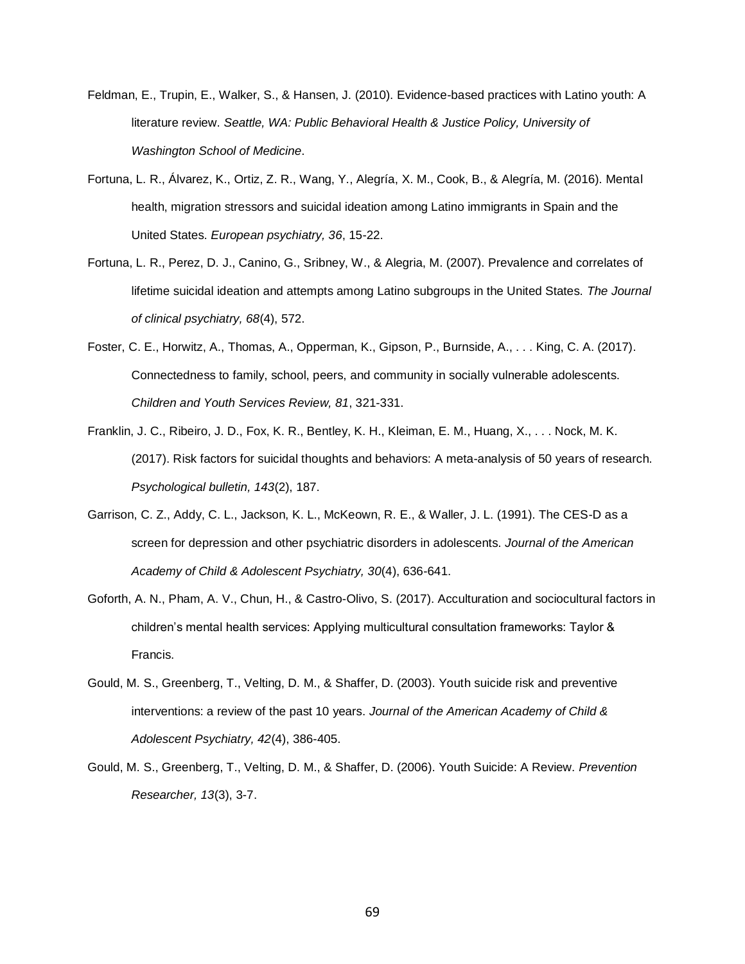- Feldman, E., Trupin, E., Walker, S., & Hansen, J. (2010). Evidence-based practices with Latino youth: A literature review. *Seattle, WA: Public Behavioral Health & Justice Policy, University of Washington School of Medicine*.
- Fortuna, L. R., Álvarez, K., Ortiz, Z. R., Wang, Y., Alegría, X. M., Cook, B., & Alegría, M. (2016). Mental health, migration stressors and suicidal ideation among Latino immigrants in Spain and the United States. *European psychiatry, 36*, 15-22.
- Fortuna, L. R., Perez, D. J., Canino, G., Sribney, W., & Alegria, M. (2007). Prevalence and correlates of lifetime suicidal ideation and attempts among Latino subgroups in the United States. *The Journal of clinical psychiatry, 68*(4), 572.
- Foster, C. E., Horwitz, A., Thomas, A., Opperman, K., Gipson, P., Burnside, A., . . . King, C. A. (2017). Connectedness to family, school, peers, and community in socially vulnerable adolescents. *Children and Youth Services Review, 81*, 321-331.
- Franklin, J. C., Ribeiro, J. D., Fox, K. R., Bentley, K. H., Kleiman, E. M., Huang, X., . . . Nock, M. K. (2017). Risk factors for suicidal thoughts and behaviors: A meta-analysis of 50 years of research. *Psychological bulletin, 143*(2), 187.
- Garrison, C. Z., Addy, C. L., Jackson, K. L., McKeown, R. E., & Waller, J. L. (1991). The CES-D as a screen for depression and other psychiatric disorders in adolescents. *Journal of the American Academy of Child & Adolescent Psychiatry, 30*(4), 636-641.
- Goforth, A. N., Pham, A. V., Chun, H., & Castro-Olivo, S. (2017). Acculturation and sociocultural factors in children's mental health services: Applying multicultural consultation frameworks: Taylor & Francis.
- Gould, M. S., Greenberg, T., Velting, D. M., & Shaffer, D. (2003). Youth suicide risk and preventive interventions: a review of the past 10 years. *Journal of the American Academy of Child & Adolescent Psychiatry, 42*(4), 386-405.
- Gould, M. S., Greenberg, T., Velting, D. M., & Shaffer, D. (2006). Youth Suicide: A Review. *Prevention Researcher, 13*(3), 3-7.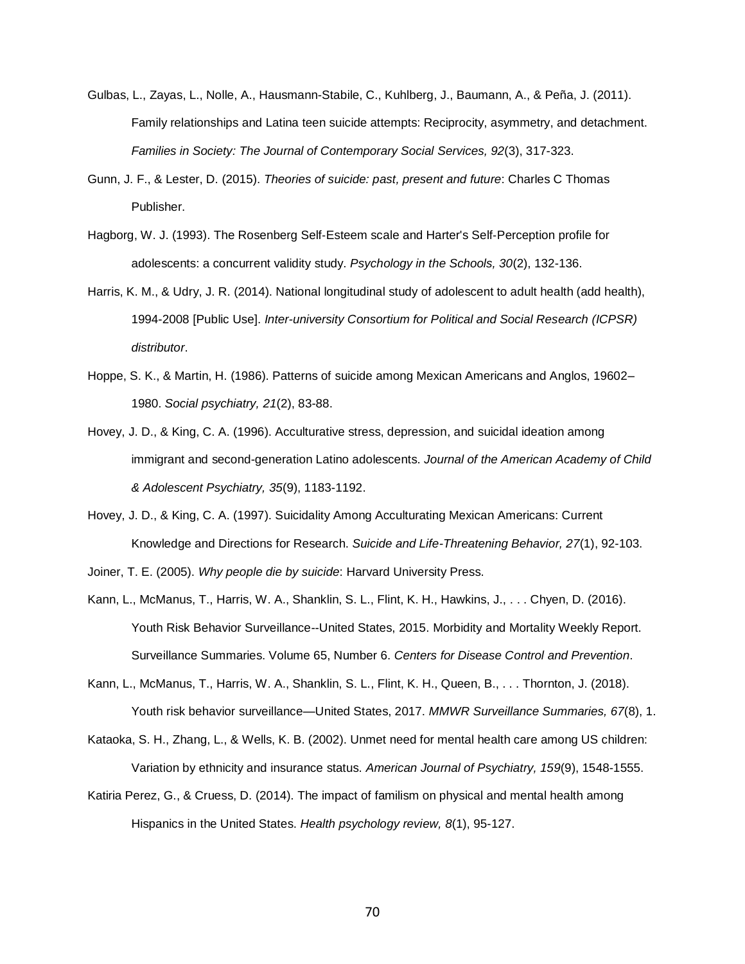- Gulbas, L., Zayas, L., Nolle, A., Hausmann-Stabile, C., Kuhlberg, J., Baumann, A., & Peña, J. (2011). Family relationships and Latina teen suicide attempts: Reciprocity, asymmetry, and detachment. *Families in Society: The Journal of Contemporary Social Services, 92*(3), 317-323.
- Gunn, J. F., & Lester, D. (2015). *Theories of suicide: past, present and future*: Charles C Thomas Publisher.
- Hagborg, W. J. (1993). The Rosenberg Self‐Esteem scale and Harter's Self‐Perception profile for adolescents: a concurrent validity study. *Psychology in the Schools, 30*(2), 132-136.
- Harris, K. M., & Udry, J. R. (2014). National longitudinal study of adolescent to adult health (add health), 1994-2008 [Public Use]. *Inter-university Consortium for Political and Social Research (ICPSR) distributor*.
- Hoppe, S. K., & Martin, H. (1986). Patterns of suicide among Mexican Americans and Anglos, 19602– 1980. *Social psychiatry, 21*(2), 83-88.
- Hovey, J. D., & King, C. A. (1996). Acculturative stress, depression, and suicidal ideation among immigrant and second-generation Latino adolescents. *Journal of the American Academy of Child & Adolescent Psychiatry, 35*(9), 1183-1192.
- Hovey, J. D., & King, C. A. (1997). Suicidality Among Acculturating Mexican Americans: Current Knowledge and Directions for Research. *Suicide and Life-Threatening Behavior, 27*(1), 92-103.
- Joiner, T. E. (2005). *Why people die by suicide*: Harvard University Press.
- Kann, L., McManus, T., Harris, W. A., Shanklin, S. L., Flint, K. H., Hawkins, J., . . . Chyen, D. (2016). Youth Risk Behavior Surveillance--United States, 2015. Morbidity and Mortality Weekly Report. Surveillance Summaries. Volume 65, Number 6. *Centers for Disease Control and Prevention*.
- Kann, L., McManus, T., Harris, W. A., Shanklin, S. L., Flint, K. H., Queen, B., . . . Thornton, J. (2018). Youth risk behavior surveillance—United States, 2017. *MMWR Surveillance Summaries, 67*(8), 1.
- Kataoka, S. H., Zhang, L., & Wells, K. B. (2002). Unmet need for mental health care among US children: Variation by ethnicity and insurance status. *American Journal of Psychiatry, 159*(9), 1548-1555.
- Katiria Perez, G., & Cruess, D. (2014). The impact of familism on physical and mental health among Hispanics in the United States. *Health psychology review, 8*(1), 95-127.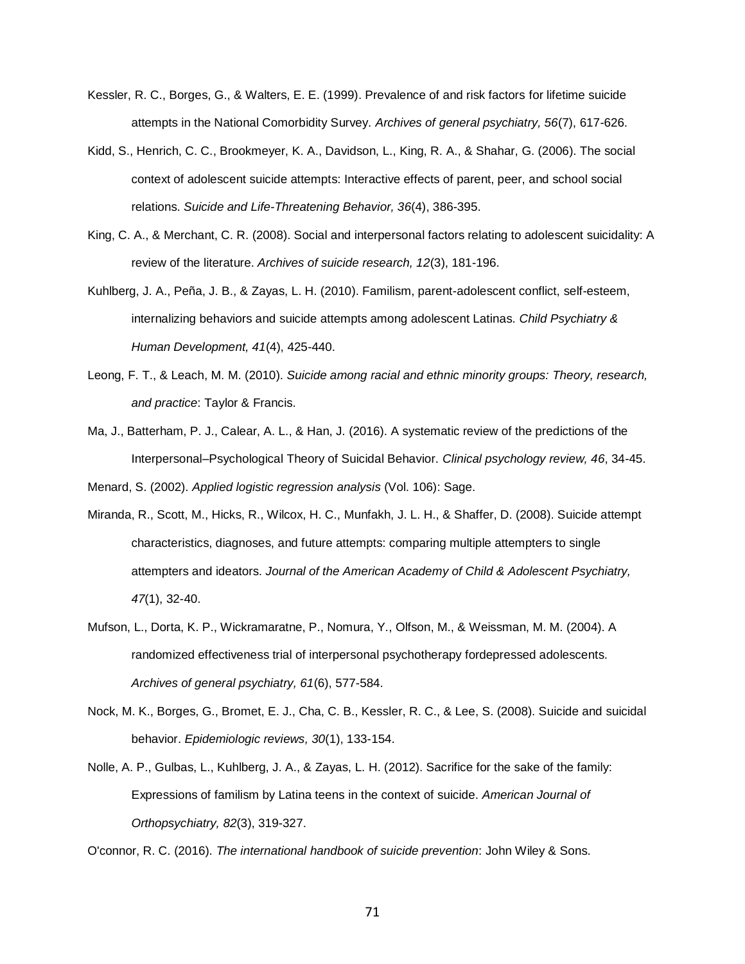- Kessler, R. C., Borges, G., & Walters, E. E. (1999). Prevalence of and risk factors for lifetime suicide attempts in the National Comorbidity Survey. *Archives of general psychiatry, 56*(7), 617-626.
- Kidd, S., Henrich, C. C., Brookmeyer, K. A., Davidson, L., King, R. A., & Shahar, G. (2006). The social context of adolescent suicide attempts: Interactive effects of parent, peer, and school social relations. *Suicide and Life-Threatening Behavior, 36*(4), 386-395.
- King, C. A., & Merchant, C. R. (2008). Social and interpersonal factors relating to adolescent suicidality: A review of the literature. *Archives of suicide research, 12*(3), 181-196.
- Kuhlberg, J. A., Peña, J. B., & Zayas, L. H. (2010). Familism, parent-adolescent conflict, self-esteem, internalizing behaviors and suicide attempts among adolescent Latinas. *Child Psychiatry & Human Development, 41*(4), 425-440.
- Leong, F. T., & Leach, M. M. (2010). *Suicide among racial and ethnic minority groups: Theory, research, and practice*: Taylor & Francis.
- Ma, J., Batterham, P. J., Calear, A. L., & Han, J. (2016). A systematic review of the predictions of the Interpersonal–Psychological Theory of Suicidal Behavior. *Clinical psychology review, 46*, 34-45.

Menard, S. (2002). *Applied logistic regression analysis* (Vol. 106): Sage.

- Miranda, R., Scott, M., Hicks, R., Wilcox, H. C., Munfakh, J. L. H., & Shaffer, D. (2008). Suicide attempt characteristics, diagnoses, and future attempts: comparing multiple attempters to single attempters and ideators. *Journal of the American Academy of Child & Adolescent Psychiatry, 47*(1), 32-40.
- Mufson, L., Dorta, K. P., Wickramaratne, P., Nomura, Y., Olfson, M., & Weissman, M. M. (2004). A randomized effectiveness trial of interpersonal psychotherapy fordepressed adolescents. *Archives of general psychiatry, 61*(6), 577-584.
- Nock, M. K., Borges, G., Bromet, E. J., Cha, C. B., Kessler, R. C., & Lee, S. (2008). Suicide and suicidal behavior. *Epidemiologic reviews, 30*(1), 133-154.
- Nolle, A. P., Gulbas, L., Kuhlberg, J. A., & Zayas, L. H. (2012). Sacrifice for the sake of the family: Expressions of familism by Latina teens in the context of suicide. *American Journal of Orthopsychiatry, 82*(3), 319-327.

O'connor, R. C. (2016). *The international handbook of suicide prevention*: John Wiley & Sons.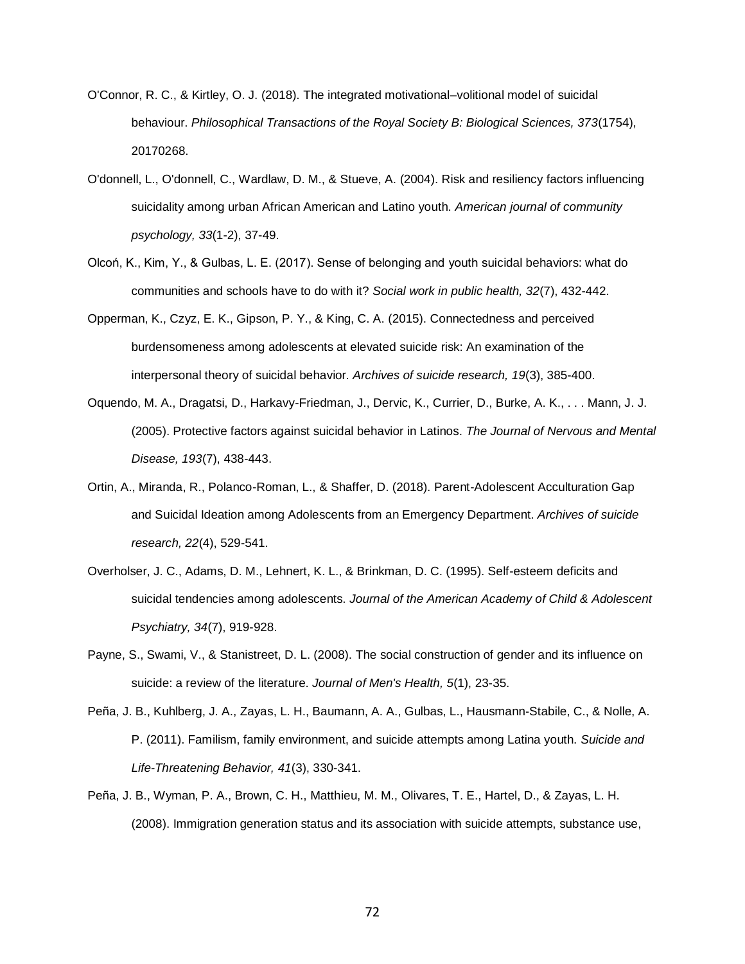- O'Connor, R. C., & Kirtley, O. J. (2018). The integrated motivational–volitional model of suicidal behaviour. *Philosophical Transactions of the Royal Society B: Biological Sciences, 373*(1754), 20170268.
- O'donnell, L., O'donnell, C., Wardlaw, D. M., & Stueve, A. (2004). Risk and resiliency factors influencing suicidality among urban African American and Latino youth. *American journal of community psychology, 33*(1-2), 37-49.
- Olcoń, K., Kim, Y., & Gulbas, L. E. (2017). Sense of belonging and youth suicidal behaviors: what do communities and schools have to do with it? *Social work in public health, 32*(7), 432-442.
- Opperman, K., Czyz, E. K., Gipson, P. Y., & King, C. A. (2015). Connectedness and perceived burdensomeness among adolescents at elevated suicide risk: An examination of the interpersonal theory of suicidal behavior. *Archives of suicide research, 19*(3), 385-400.
- Oquendo, M. A., Dragatsi, D., Harkavy-Friedman, J., Dervic, K., Currier, D., Burke, A. K., . . . Mann, J. J. (2005). Protective factors against suicidal behavior in Latinos. *The Journal of Nervous and Mental Disease, 193*(7), 438-443.
- Ortin, A., Miranda, R., Polanco-Roman, L., & Shaffer, D. (2018). Parent-Adolescent Acculturation Gap and Suicidal Ideation among Adolescents from an Emergency Department. *Archives of suicide research, 22*(4), 529-541.
- Overholser, J. C., Adams, D. M., Lehnert, K. L., & Brinkman, D. C. (1995). Self-esteem deficits and suicidal tendencies among adolescents. *Journal of the American Academy of Child & Adolescent Psychiatry, 34*(7), 919-928.
- Payne, S., Swami, V., & Stanistreet, D. L. (2008). The social construction of gender and its influence on suicide: a review of the literature. *Journal of Men's Health, 5*(1), 23-35.
- Peña, J. B., Kuhlberg, J. A., Zayas, L. H., Baumann, A. A., Gulbas, L., Hausmann‐Stabile, C., & Nolle, A. P. (2011). Familism, family environment, and suicide attempts among Latina youth. *Suicide and Life-Threatening Behavior, 41*(3), 330-341.
- Peña, J. B., Wyman, P. A., Brown, C. H., Matthieu, M. M., Olivares, T. E., Hartel, D., & Zayas, L. H. (2008). Immigration generation status and its association with suicide attempts, substance use,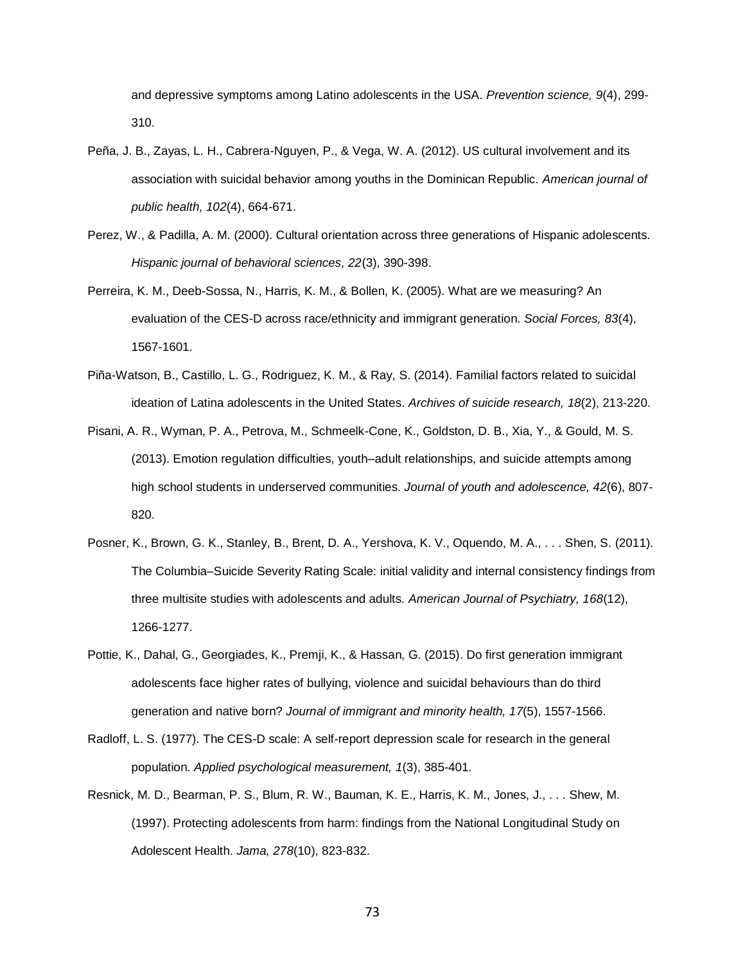and depressive symptoms among Latino adolescents in the USA. *Prevention science, 9*(4), 299- 310.

- Peña, J. B., Zayas, L. H., Cabrera-Nguyen, P., & Vega, W. A. (2012). US cultural involvement and its association with suicidal behavior among youths in the Dominican Republic. *American journal of public health, 102*(4), 664-671.
- Perez, W., & Padilla, A. M. (2000). Cultural orientation across three generations of Hispanic adolescents. *Hispanic journal of behavioral sciences, 22*(3), 390-398.
- Perreira, K. M., Deeb-Sossa, N., Harris, K. M., & Bollen, K. (2005). What are we measuring? An evaluation of the CES-D across race/ethnicity and immigrant generation. *Social Forces, 83*(4), 1567-1601.
- Piña-Watson, B., Castillo, L. G., Rodriguez, K. M., & Ray, S. (2014). Familial factors related to suicidal ideation of Latina adolescents in the United States. *Archives of suicide research, 18*(2), 213-220.
- Pisani, A. R., Wyman, P. A., Petrova, M., Schmeelk-Cone, K., Goldston, D. B., Xia, Y., & Gould, M. S. (2013). Emotion regulation difficulties, youth–adult relationships, and suicide attempts among high school students in underserved communities. *Journal of youth and adolescence, 42*(6), 807- 820.
- Posner, K., Brown, G. K., Stanley, B., Brent, D. A., Yershova, K. V., Oquendo, M. A., . . . Shen, S. (2011). The Columbia–Suicide Severity Rating Scale: initial validity and internal consistency findings from three multisite studies with adolescents and adults. *American Journal of Psychiatry, 168*(12), 1266-1277.
- Pottie, K., Dahal, G., Georgiades, K., Premji, K., & Hassan, G. (2015). Do first generation immigrant adolescents face higher rates of bullying, violence and suicidal behaviours than do third generation and native born? *Journal of immigrant and minority health, 17*(5), 1557-1566.
- Radloff, L. S. (1977). The CES-D scale: A self-report depression scale for research in the general population. *Applied psychological measurement, 1*(3), 385-401.
- Resnick, M. D., Bearman, P. S., Blum, R. W., Bauman, K. E., Harris, K. M., Jones, J., . . . Shew, M. (1997). Protecting adolescents from harm: findings from the National Longitudinal Study on Adolescent Health. *Jama, 278*(10), 823-832.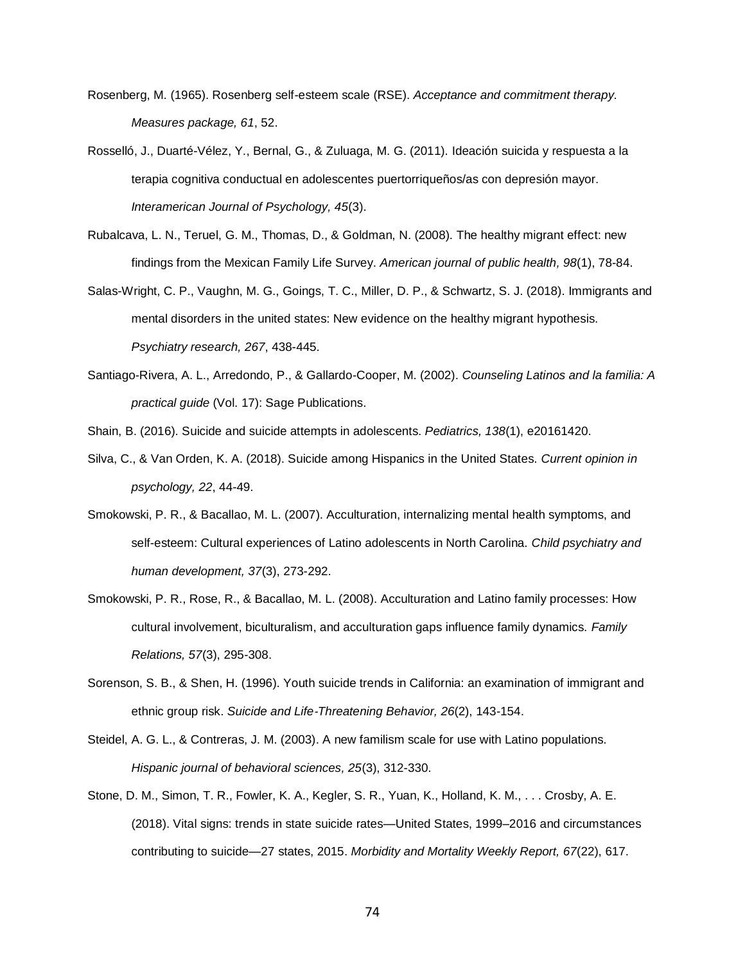- Rosenberg, M. (1965). Rosenberg self-esteem scale (RSE). *Acceptance and commitment therapy. Measures package, 61*, 52.
- Rosselló, J., Duarté-Vélez, Y., Bernal, G., & Zuluaga, M. G. (2011). Ideación suicida y respuesta a la terapia cognitiva conductual en adolescentes puertorriqueños/as con depresión mayor. *Interamerican Journal of Psychology, 45*(3).
- Rubalcava, L. N., Teruel, G. M., Thomas, D., & Goldman, N. (2008). The healthy migrant effect: new findings from the Mexican Family Life Survey. *American journal of public health, 98*(1), 78-84.
- Salas-Wright, C. P., Vaughn, M. G., Goings, T. C., Miller, D. P., & Schwartz, S. J. (2018). Immigrants and mental disorders in the united states: New evidence on the healthy migrant hypothesis. *Psychiatry research, 267*, 438-445.
- Santiago-Rivera, A. L., Arredondo, P., & Gallardo-Cooper, M. (2002). *Counseling Latinos and la familia: A practical guide* (Vol. 17): Sage Publications.
- Shain, B. (2016). Suicide and suicide attempts in adolescents. *Pediatrics, 138*(1), e20161420.
- Silva, C., & Van Orden, K. A. (2018). Suicide among Hispanics in the United States. *Current opinion in psychology, 22*, 44-49.
- Smokowski, P. R., & Bacallao, M. L. (2007). Acculturation, internalizing mental health symptoms, and self-esteem: Cultural experiences of Latino adolescents in North Carolina. *Child psychiatry and human development, 37*(3), 273-292.
- Smokowski, P. R., Rose, R., & Bacallao, M. L. (2008). Acculturation and Latino family processes: How cultural involvement, biculturalism, and acculturation gaps influence family dynamics. *Family Relations, 57*(3), 295-308.
- Sorenson, S. B., & Shen, H. (1996). Youth suicide trends in California: an examination of immigrant and ethnic group risk. *Suicide and Life*‐*Threatening Behavior, 26*(2), 143-154.
- Steidel, A. G. L., & Contreras, J. M. (2003). A new familism scale for use with Latino populations. *Hispanic journal of behavioral sciences, 25*(3), 312-330.
- Stone, D. M., Simon, T. R., Fowler, K. A., Kegler, S. R., Yuan, K., Holland, K. M., . . . Crosby, A. E. (2018). Vital signs: trends in state suicide rates—United States, 1999–2016 and circumstances contributing to suicide—27 states, 2015. *Morbidity and Mortality Weekly Report, 67*(22), 617.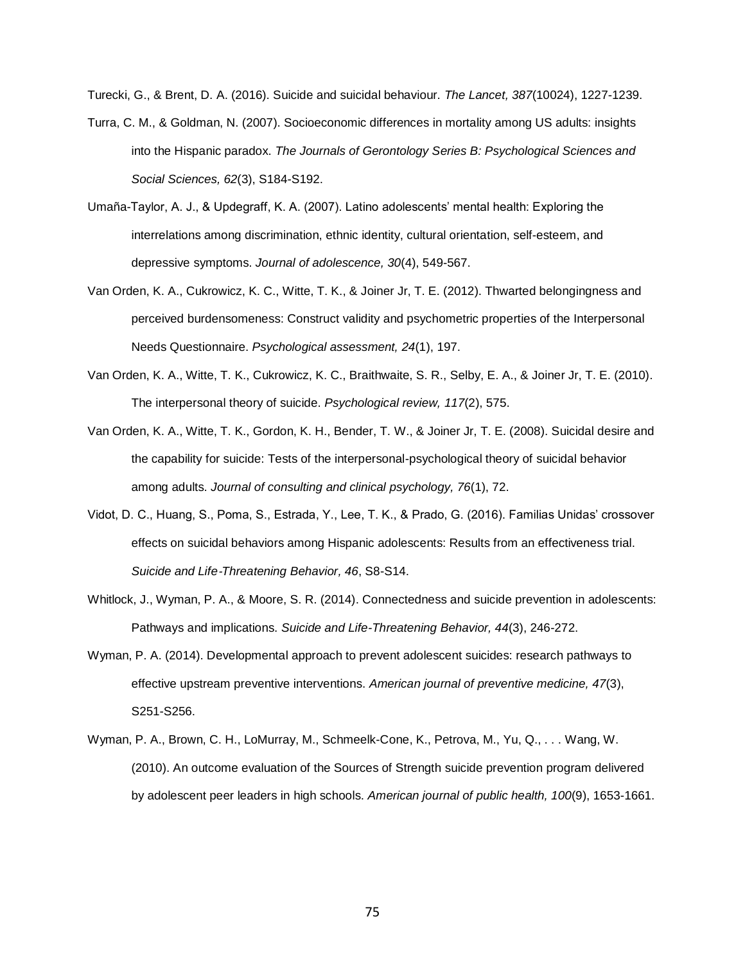Turecki, G., & Brent, D. A. (2016). Suicide and suicidal behaviour. *The Lancet, 387*(10024), 1227-1239.

- Turra, C. M., & Goldman, N. (2007). Socioeconomic differences in mortality among US adults: insights into the Hispanic paradox. *The Journals of Gerontology Series B: Psychological Sciences and Social Sciences, 62*(3), S184-S192.
- Umaña-Taylor, A. J., & Updegraff, K. A. (2007). Latino adolescents' mental health: Exploring the interrelations among discrimination, ethnic identity, cultural orientation, self-esteem, and depressive symptoms. *Journal of adolescence, 30*(4), 549-567.
- Van Orden, K. A., Cukrowicz, K. C., Witte, T. K., & Joiner Jr, T. E. (2012). Thwarted belongingness and perceived burdensomeness: Construct validity and psychometric properties of the Interpersonal Needs Questionnaire. *Psychological assessment, 24*(1), 197.
- Van Orden, K. A., Witte, T. K., Cukrowicz, K. C., Braithwaite, S. R., Selby, E. A., & Joiner Jr, T. E. (2010). The interpersonal theory of suicide. *Psychological review, 117*(2), 575.
- Van Orden, K. A., Witte, T. K., Gordon, K. H., Bender, T. W., & Joiner Jr, T. E. (2008). Suicidal desire and the capability for suicide: Tests of the interpersonal-psychological theory of suicidal behavior among adults. *Journal of consulting and clinical psychology, 76*(1), 72.
- Vidot, D. C., Huang, S., Poma, S., Estrada, Y., Lee, T. K., & Prado, G. (2016). Familias Unidas' crossover effects on suicidal behaviors among Hispanic adolescents: Results from an effectiveness trial. *Suicide and Life*‐*Threatening Behavior, 46*, S8-S14.
- Whitlock, J., Wyman, P. A., & Moore, S. R. (2014). Connectedness and suicide prevention in adolescents: Pathways and implications. *Suicide and Life-Threatening Behavior, 44*(3), 246-272.
- Wyman, P. A. (2014). Developmental approach to prevent adolescent suicides: research pathways to effective upstream preventive interventions. *American journal of preventive medicine, 47*(3), S251-S256.
- Wyman, P. A., Brown, C. H., LoMurray, M., Schmeelk-Cone, K., Petrova, M., Yu, Q., . . . Wang, W. (2010). An outcome evaluation of the Sources of Strength suicide prevention program delivered by adolescent peer leaders in high schools. *American journal of public health, 100*(9), 1653-1661.